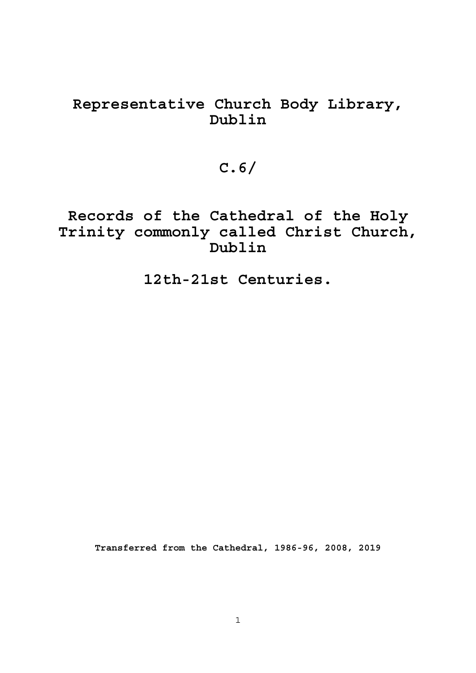## **Representative Church Body Library, Dublin**

# **C.6/**

**Records of the Cathedral of the Holy Trinity commonly called Christ Church, Dublin** 

 **12th-21st Centuries.** 

**Transferred from the Cathedral, 1986-96, 2008, 2019**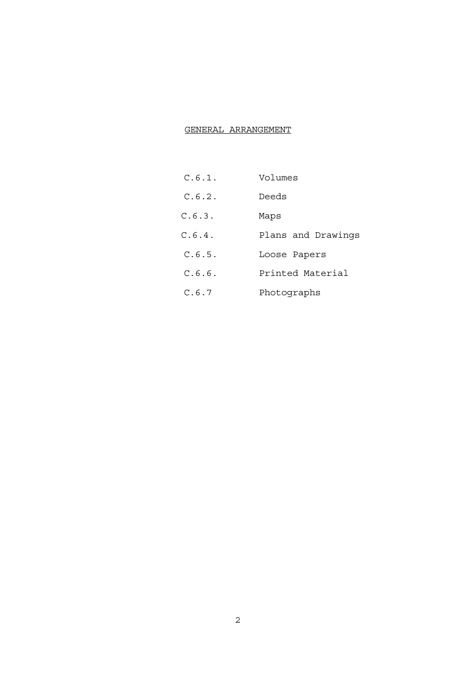### GENERAL ARRANGEMENT

- C.6.1. Volumes
- C.6.2. Deeds
- C.6.3. Maps
- C.6.4. Plans and Drawings
- C.6.5. Loose Papers
- C.6.6. Printed Material
- C.6.7 Photographs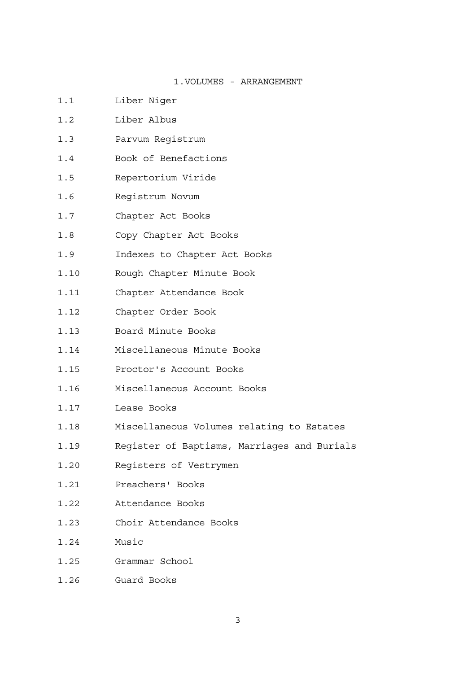### 1.VOLUMES - ARRANGEMENT

- 1.1 Liber Niger
- 1.2 Liber Albus
- 1.3 Parvum Registrum
- 1.4 Book of Benefactions
- 1.5 Repertorium Viride
- 1.6 Registrum Novum
- 1.7 Chapter Act Books
- 1.8 Copy Chapter Act Books
- 1.9 Indexes to Chapter Act Books
- 1.10 Rough Chapter Minute Book
- 1.11 Chapter Attendance Book
- 1.12 Chapter Order Book
- 1.13 Board Minute Books
- 1.14 Miscellaneous Minute Books
- 1.15 Proctor's Account Books
- 1.16 Miscellaneous Account Books
- 1.17 Lease Books
- 1.18 Miscellaneous Volumes relating to Estates
- 1.19 Register of Baptisms, Marriages and Burials
- 1.20 Registers of Vestrymen
- 1.21 Preachers' Books
- 1.22 Attendance Books
- 1.23 Choir Attendance Books
- 1.24 Music
- 1.25 Grammar School
- 1.26 Guard Books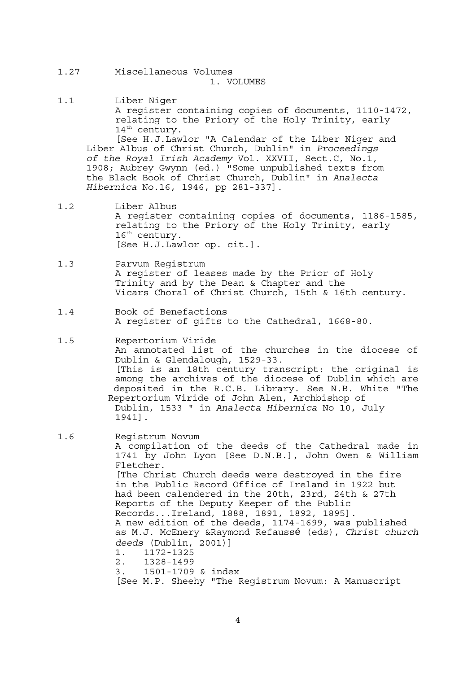- 1.27 Miscellaneous Volumes 1. VOLUMES
- 1.1 Liber Niger A register containing copies of documents, 1110-1472, relating to the Priory of the Holy Trinity, early 14<sup>th</sup> century.

 [See H.J.Lawlor "A Calendar of the Liber Niger and Liber Albus of Christ Church, Dublin" in *Proceedings of the Royal Irish Academy* Vol. XXVII, Sect.C, No.1, 1908; Aubrey Gwynn (ed.) "Some unpublished texts from the Black Book of Christ Church, Dublin" in *Analecta Hibernica* No.16, 1946, pp 281-337].

- 1.2 Liber Albus A register containing copies of documents, 1186-1585, relating to the Priory of the Holy Trinity, early 16<sup>th</sup> century. [See H.J.Lawlor op. cit.].
- 1.3 Parvum Registrum A register of leases made by the Prior of Holy Trinity and by the Dean & Chapter and the Vicars Choral of Christ Church, 15th & 16th century.
- 1.4 Book of Benefactions A register of gifts to the Cathedral, 1668-80.
- 1.5 Repertorium Viride An annotated list of the churches in the diocese of Dublin & Glendalough, 1529-33. [This is an 18th century transcript: the original is among the archives of the diocese of Dublin which are deposited in the R.C.B. Library. See N.B. White "The Repertorium Viride of John Alen, Archbishop of Dublin, 1533 " in *Analecta Hibernica* No 10, July 1941].
- 1.6 Registrum Novum A compilation of the deeds of the Cathedral made in 1741 by John Lyon [See D.N.B.], John Owen & William Fletcher. [The Christ Church deeds were destroyed in the fire in the Public Record Office of Ireland in 1922 but had been calendered in the 20th, 23rd, 24th & 27th Reports of the Deputy Keeper of the Public Records...Ireland, 1888, 1891, 1892, 1895]. A new edition of the deeds, 1174-1699, was published as M.J. McEnery &Raymond Refaussé (eds), *Christ church deeds* (Dublin, 2001)] 1. 1172-1325 2. 1328-1499 3. 1501-1709 & index [See M.P. Sheehy "The Registrum Novum: A Manuscript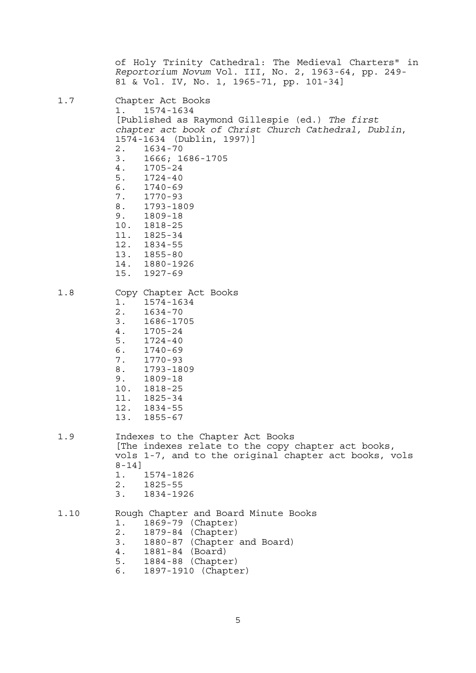of Holy Trinity Cathedral: The Medieval Charters" in *Reportorium Novum* Vol. III, No. 2, 1963-64, pp. 249- 81 & Vol. IV, No. 1, 1965-71, pp. 101-34] 1.7 Chapter Act Books 1. 1574-1634<br>[Published as Raymond Gillespie (ed.) The first chapter act book of Christ Church Cathedral, Dublin, 1574-1634 (Dublin, 1997)] 2. 1634-70 3. 1666; 1686-1705 4. 1705-24 5. 1724-40 6. 1740-69 7. 1770-93 8. 1793-1809 9. 1809-18 10. 1818-25<br>11. 1825-34 1825-34 12. 1834-55 13. 1855-80<br>14. 1880-19 14. 1880-1926 15. 1927-69 1.8 Copy Chapter Act Books<br>1. 1574-1634 1. 1574-1634 2. 1634-70 3. 1686-1705 4. 1705-24 5. 1724-40 6. 1740-69 7. 1770-93 8. 1793-1809 9. 1809-18 10. 1818-25 11. 1825-34 12. 1834-55 13. 1855-67 1.9 Indexes to the Chapter Act Books [The indexes relate to the copy chapter act books, vols 1-7, and to the original chapter act books, vols 8-14] 1. 1574-1826 2. 1825-55 3. 1834-1926 1.10 Rough Chapter and Board Minute Books 1. 1869-79 (Chapter) 2. 1879-84 (Chapter) 3. 1880-87 (Chapter and Board) 4. 1881-84 (Board) 5. 1884-88 (Chapter) 6. 1897-1910 (Chapter)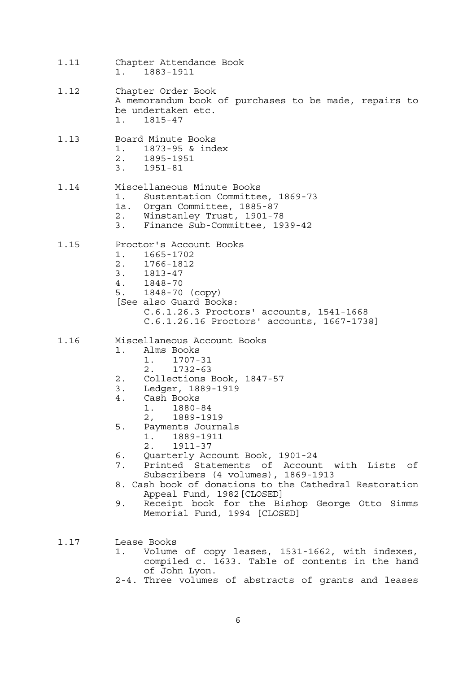- 1.11 Chapter Attendance Book 1. 1883-1911
- 1.12 Chapter Order Book A memorandum book of purchases to be made, repairs to be undertaken etc. 1. 1815-47
- 1.13 Board Minute Books
	- 1. 1873-95 & index
		- 2. 1895-1951
		- 3. 1951-81

### 1.14 Miscellaneous Minute Books 1. Sustentation Committee, 1869-73 1a. Organ Committee, 1885-87

- 2. Winstanley Trust, 1901-78
- 3. Finance Sub-Committee, 1939-42

### 1.15 Proctor's Account Books

- 1. 1665-1702
- 2. 1766-1812
- 3. 1813-47
- 4. 1848-70
- 5. 1848-70 (copy)
- [See also Guard Books:
	- C.6.1.26.3 Proctors' accounts, 1541-1668 C.6.1.26.16 Proctors' accounts, 1667-1738]
- 1.16 Miscellaneous Account Books
	- 1. Alms Books 1. 1707-31
		- 2. 1732-63
	- 2. Collections Book, 1847-57
	- 3. Ledger, 1889-1919
	- 4. Cash Books
		- 1. 1880-84
		- 2, 1889-1919
	- 5. Payments Journals
		- 1. 1889-1911
		- 2. 1911-37
	- 6. Quarterly Account Book, 1901-24
	- 7. Printed Statements of Account with Lists of Subscribers (4 volumes), 1869-1913
	- 8. Cash book of donations to the Cathedral Restoration Appeal Fund, 1982[CLOSED]
	- 9. Receipt book for the Bishop George Otto Simms Memorial Fund, 1994 [CLOSED]
- 1.17 Lease Books
	- 1. Volume of copy leases, 1531-1662, with indexes, compiled c. 1633. Table of contents in the hand of John Lyon.
	- 2-4. Three volumes of abstracts of grants and leases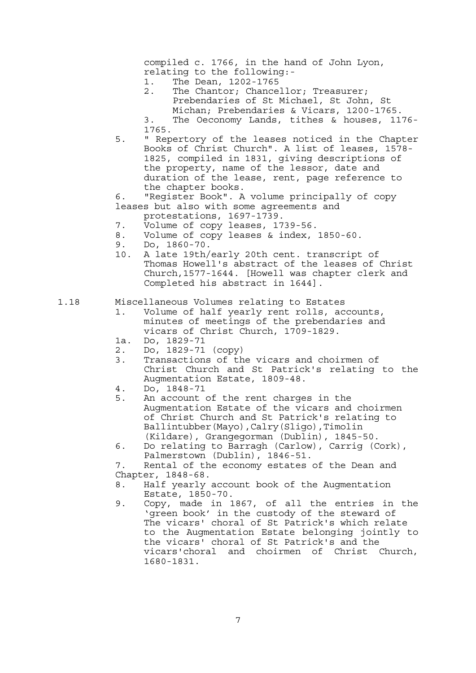compiled c. 1766, in the hand of John Lyon, relating to the following:-

- 1. The Dean, 1202-1765
- 2. The Chantor; Chancellor; Treasurer; Prebendaries of St Michael, St John, St Michan; Prebendaries & Vicars, 1200-1765.

 3. The Oeconomy Lands, tithes & houses, 1176- 1765.

 5. " Repertory of the leases noticed in the Chapter Books of Christ Church". A list of leases, 1578- 1825, compiled in 1831, giving descriptions of the property, name of the lessor, date and duration of the lease, rent, page reference to the chapter books.

 6. "Register Book". A volume principally of copy leases but also with some agreements and

- protestations, 1697-1739.
- 7. Volume of copy leases, 1739-56.
- 8. Volume of copy leases & index, 1850-60.
- 9. Do, 1860-70.
- 10. A late 19th/early 20th cent. transcript of Thomas Howell's abstract of the leases of Christ Church,1577-1644. [Howell was chapter clerk and Completed his abstract in 1644].
- 1.18 Miscellaneous Volumes relating to Estates
	- 1. Volume of half yearly rent rolls, accounts, minutes of meetings of the prebendaries and vicars of Christ Church, 1709-1829.
	- 1a. Do, 1829-71
	- 2. Do, 1829-71 (copy)
	- 3. Transactions of the vicars and choirmen of Christ Church and St Patrick's relating to the Augmentation Estate, 1809-48.
	- 4. Do, 1848-71
	- 5. An account of the rent charges in the Augmentation Estate of the vicars and choirmen of Christ Church and St Patrick's relating to Ballintubber(Mayo),Calry(Sligo),Timolin (Kildare), Grangegorman (Dublin), 1845-50.
	- 6. Do relating to Barragh (Carlow), Carrig (Cork), Palmerstown (Dublin), 1846-51.

 7. Rental of the economy estates of the Dean and Chapter, 1848-68.

- 8. Half yearly account book of the Augmentation
- Estate, 1850-70.<br>9. Copy, made in 1 Copy, made in 1867, of all the entries in the 'green book' in the custody of the steward of The vicars' choral of St Patrick's which relate to the Augmentation Estate belonging jointly to the vicars' choral of St Patrick's and the vicars'choral and choirmen of Christ Church, 1680-1831.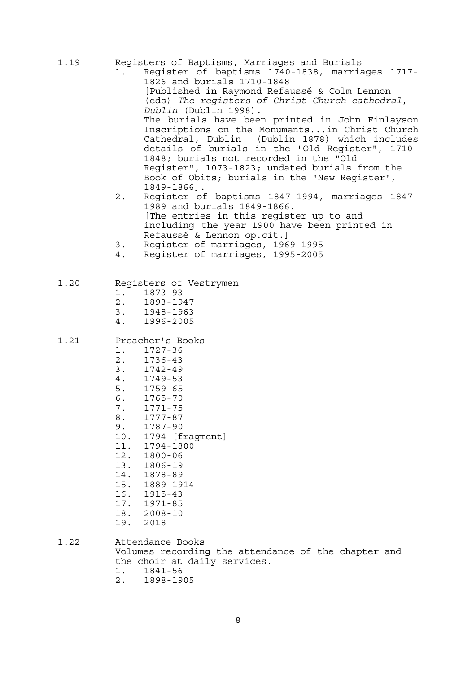- 1.19 Registers of Baptisms, Marriages and Burials
- 1. Register of baptisms 1740-1838, marriages 1717- 1826 and burials 1710-1848 [Published in Raymond Refaussé & Colm Lennon (eds) *The registers of Christ Church cathedral*, *Dublin* (Dublin 1998). The burials have been printed in John Finlayson Inscriptions on the Monuments...in Christ Church<br>Cathedral, Dublin (Dublin 1878) which includes Cathedral, Dublin (Dublin 1878) which includes details of burials in the "Old Register", 1710- 1848; burials not recorded in the "Old Register", 1073-1823; undated burials from the Book of Obits; burials in the "New Register", 1849-1866].
- 2. Register of baptisms 1847-1994, marriages 1847- 1989 and burials 1849-1866. [The entries in this register up to and including the year 1900 have been printed in Refaussé & Lennon op.cit.]
	- 3. Register of marriages, 1969-1995
	- 4. Register of marriages, 1995-2005

### 1.20 Registers of Vestrymen

- 1. 1873-93
- 2. 1893-1947
- 3. 1948-1963
- 4. 1996-2005

### 1.21 Preacher's Books

- 1. 1727-36<br>2. 1736-43
- 2. 1736-43
- 3. 1742-49
- 4. 1749-53
- 
- 5. 1759-65 6. 1765-70
- 7. 1771-75
- 8. 1777-87
- 9. 1787-90
- 10. 1794 [fragment]
- 11. 1794-1800
- 12. 1800-06
- 13. 1806-19
- 14. 1878-89
- 15. 1889-1914
- 
- 16. 1915-43<br>17. 1971-85 17. 1971-85
- 18. 2008-10
- 19. 2018
- 1.22 Attendance Books Volumes recording the attendance of the chapter and the choir at daily services. 1. 1841-56 2. 1898-1905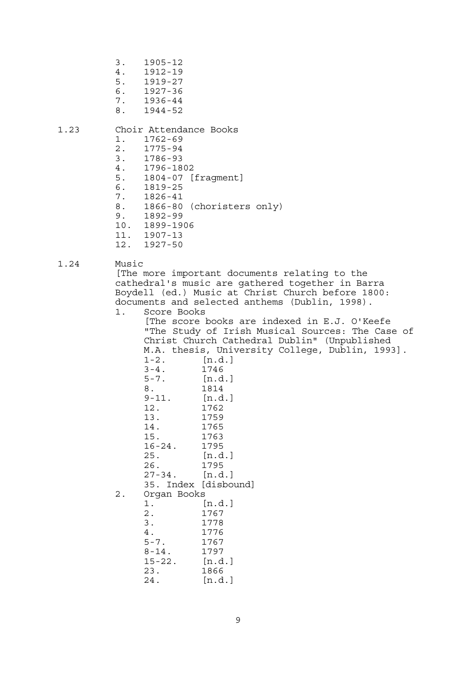- 3. 1905-12 4. 1912-19 5. 1919-27 6. 1927-36
- 7. 1936-44
- 8. 1944-52

### 1.23 Choir Attendance Books

- 1. 1762-69
- 2. 1775-94
- 3. 1786-93
- 4. 1796-1802
- 5. 1804-07 [fragment]
- 6. 1819-25
- 7. 1826-41
- 8. 1866-80 (choristers only)
- 9. 1892-99
- 10. 1899-1906
- 11. 1907-13
- 12. 1927-50

### 1.24 Music

 [The more important documents relating to the cathedral's music are gathered together in Barra Boydell (ed.) Music at Christ Church before 1800: documents and selected anthems (Dublin, 1998).

1. Score Books

 [The score books are indexed in E.J. O'Keefe "The Study of Irish Musical Sources: The Case of Christ Church Cathedral Dublin" (Unpublished M.A. thesis, University College, Dublin, 1993]. 1-2. [n.d.] 3-4. 1746 5-7. [n.d.] 8. 1814<br>9-11. [n.d  $[n.d.]$  12. 1762 13. 1759 14. 1765 15. 1763 16-24. 1795 25. [n.d.] 26. 1795 27-34. [n.d.] 35. Index [disbound] 2. Organ Books 1. [n.d.] 2. 1767 3. 1778 4. 1776 5-7. 1767 8-14. 1797 15-22. [n.d.] 23. 1866

24. [n.d.]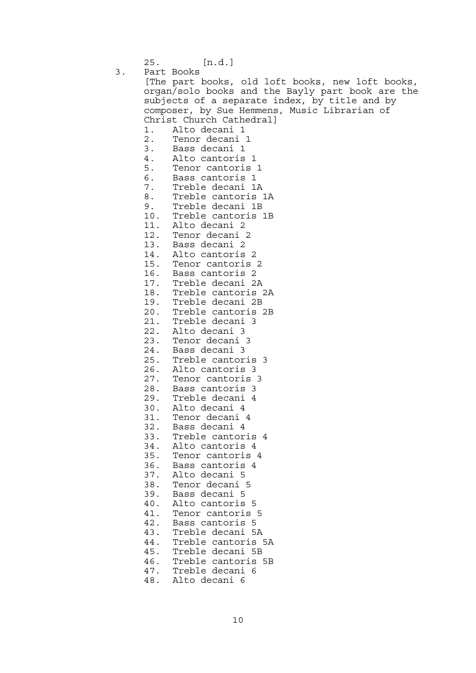25. [n.d.]

 3. Part Books [The part books, old loft books, new loft books, organ/solo books and the Bayly part book are the subjects of a separate index, by title and by composer, by Sue Hemmens, Music Librarian of Christ Church Cathedral] 1. Alto decani 1 2. Tenor decani 1 3. Bass decani 1 4. Alto cantoris 1 5. Tenor cantoris 1 6. Bass cantoris 1 7. Treble decani 1A 8. Treble cantoris 1A 9. Treble decani 1B 10. Treble cantoris 1B Alto decani 2 12. Tenor decani 2 13. Bass decani 2 14. Alto cantoris 2 15. Tenor cantoris 2 16. Bass cantoris 2 17. Treble decani 2A 18. Treble cantoris 2A 19. Treble decani 2B 20. Treble cantoris 2B 21. Treble decani 3 22. Alto decani 3 23. Tenor decani 3 24. Bass decani 3<br>25. Treble cantor Treble cantoris 3 26. Alto cantoris 3 27. Tenor cantoris 3 28. Bass cantoris 3 Treble decani 4 30. Alto decani 4 31. Tenor decani 4 32. Bass decani 4 33. Treble cantoris 4 34. Alto cantoris 4 35. Tenor cantoris 4 36. Bass cantoris 4 37. Alto decani 5 38. Tenor decani 5 39. Bass decani 5 40. Alto cantoris 5 41. Tenor cantoris 5 42. Bass cantoris 5 43. Treble decani 5A 44. Treble cantoris 5A 45. Treble decani 5B 46. Treble cantoris 5B<br>47. Treble decani 6 Treble decani 6 48. Alto decani 6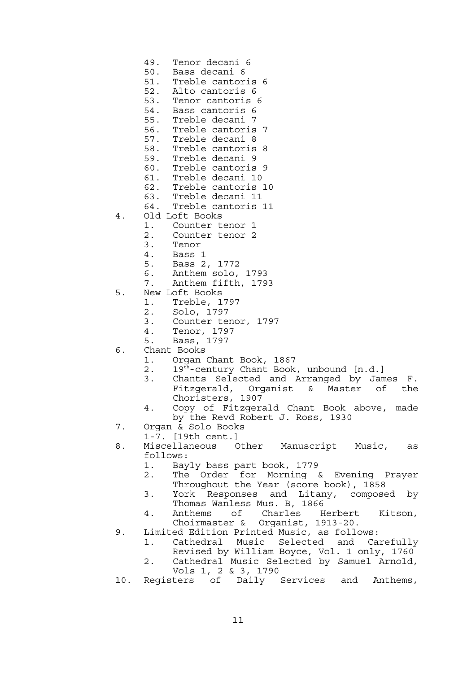- 49. Tenor decani 6
- 50. Bass decani 6
- 51. Treble cantoris 6
- 52. Alto cantoris 6
- 53. Tenor cantoris 6
- 54. Bass cantoris 6
- 55. Treble decani 7
- 56. Treble cantoris 7<br>57. Treble decani 8
- 57. Treble decani 8
- Treble cantoris 8
- 59. Treble decani 9
- 60. Treble cantoris 9
- 61. Treble decani 10
- 62. Treble cantoris 10
- 63. Treble decani 11
- 64. Treble cantoris 11
- 4. Old Loft Books
	- 1. Counter tenor 1
	- 2. Counter tenor 2
	- 3. Tenor<br>4. Bass
	- 4. Bass 1
	- 5. Bass 2, 1772
	- 6. Anthem solo, 1793
	- 7. Anthem fifth, 1793
- 5. New Loft Books
	- 1. Treble, 1797
	- 2. Solo, 1797
	- 3. Counter tenor, 1797
	- 4. Tenor, 1797
	- 5. Bass, 1797
- 6. Chant Books
	- 1. Organ Chant Book, 1867
	- 2. 19<sup>th</sup>-century Chant Book, unbound [n.d.]
	- 3. Chants Selected and Arranged by James F. Fitzgerald, Organist & Master of the Choristers, 1907
	- 4. Copy of Fitzgerald Chant Book above, made by the Revd Robert J. Ross, 1930
- 7. Organ & Solo Books
	- 1-7. [19th cent.]
- 8. Miscellaneous Other Manuscript Music, as follows:
	- 1. Bayly bass part book, 1779
	- 2. The Order for Morning & Evening Prayer Throughout the Year (score book), 1858
	- 3. York Responses and Litany, composed by Thomas Wanless Mus. B, 1866
	- 4. Anthems of Charles Herbert Kitson, Choirmaster & Organist, 1913-20.
- 9. Limited Edition Printed Music, as follows:
	- 1. Cathedral Music Selected and Carefully Revised by William Boyce, Vol. 1 only, 1760
- 2. Cathedral Music Selected by Samuel Arnold, Vols 1, 2 & 3, 1790
	- 10. Registers of Daily Services and Anthems,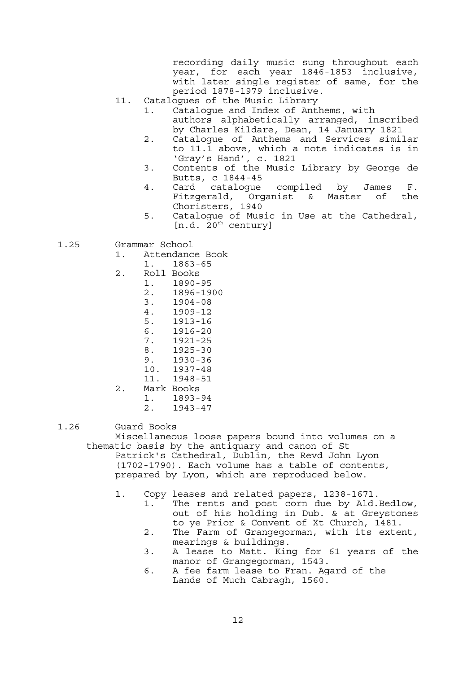recording daily music sung throughout each year, for each year 1846-1853 inclusive, with later single register of same, for the period 1878-1979 inclusive.

- 11. Catalogues of the Music Library
	- 1. Catalogue and Index of Anthems, with authors alphabetically arranged, inscribed by Charles Kildare, Dean, 14 January 1821
	- 2. Catalogue of Anthems and Services similar to 11.1 above, which a note indicates is in 'Gray's Hand', c. 1821
	- 3. Contents of the Music Library by George de Butts, c 1844-45
	- 4. Card catalogue compiled by James F. Fitzgerald, Organist & Master of the Choristers, 1940
	- 5. Catalogue of Music in Use at the Cathedral,  $[n.d. 20<sup>th</sup> century]$
- 1.25 Grammar School
	- 1. Attendance Book
		- 1. 1863-65
	- 2. Roll Books
		- 1. 1890-95
			- 2. 1896-1900
			- 3. 1904-08
			- 4. 1909-12 5. 1913-16
			- 6. 1916-20
			- 7. 1921-25
			-
			- 8. 1925-30 9. 1930-36
			- 10. 1937-48
			- 11. 1948-51
	- 2. Mark Books
		- 1. 1893-94
		- 2. 1943-47
- 

1.26 Guard Books

 Miscellaneous loose papers bound into volumes on a thematic basis by the antiquary and canon of St Patrick's Cathedral, Dublin, the Revd John Lyon (1702-1790). Each volume has a table of contents, prepared by Lyon, which are reproduced below.

- 1. Copy leases and related papers, 1238-1671.
	- 1. The rents and post corn due by Ald.Bedlow, out of his holding in Dub. & at Greystones to ye Prior & Convent of Xt Church, 1481.
	- 2. The Farm of Grangegorman, with its extent, mearings & buildings.
	- 3. A lease to Matt. King for 61 years of the manor of Grangegorman, 1543.
	- 6. A fee farm lease to Fran. Agard of the Lands of Much Cabragh, 1560.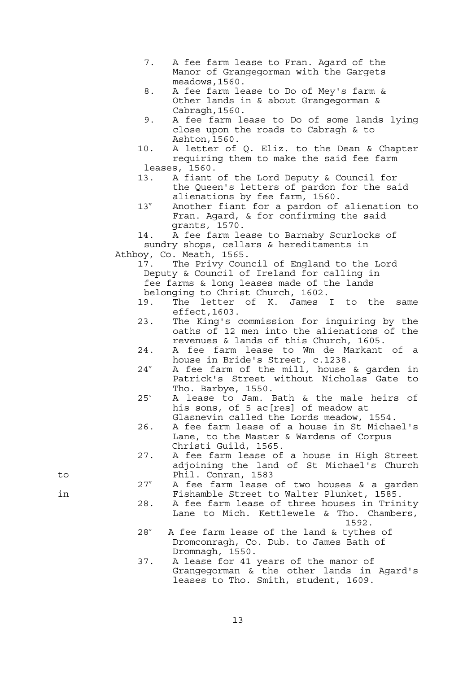- 7. A fee farm lease to Fran. Agard of the Manor of Grangegorman with the Gargets meadows,1560.
- 8. A fee farm lease to Do of Mey's farm & Other lands in & about Grangegorman & Cabragh,1560.
- 9. A fee farm lease to Do of some lands lying close upon the roads to Cabragh & to Ashton,1560.
- 10. A letter of Q. Eliz. to the Dean & Chapter requiring them to make the said fee farm leases, 1560.
- 13. A fiant of the Lord Deputy & Council for the Queen's letters of pardon for the said alienations by fee farm, 1560.
- $13^v$  Another fiant for a pardon of alienation to Fran. Agard, & for confirming the said grants, 1570.

 14. A fee farm lease to Barnaby Scurlocks of sundry shops, cellars & hereditaments in Athboy, Co. Meath, 1565.

 17. The Privy Council of England to the Lord Deputy & Council of Ireland for calling in fee farms & long leases made of the lands belonging to Christ Church, 1602.

- 19. The letter of K. James I to the same effect,1603.
- 23. The King's commission for inquiring by the oaths of 12 men into the alienations of the revenues & lands of this Church, 1605.
- 24. A fee farm lease to Wm de Markant of a house in Bride's Street, c.1238.
- $24^v$  A fee farm of the mill, house & garden in Patrick's Street without Nicholas Gate to Tho. Barbye, 1550.
- $25^v$  A lease to Jam. Bath & the male heirs of his sons, of 5 ac [res] of meadow at Glasnevin called the Lords meadow, 1554.
- 26. A fee farm lease of a house in St Michael's Lane, to the Master & Wardens of Corpus Christi Guild, 1565.
- 27. A fee farm lease of a house in High Street adjoining the land of St Michael's Church to Phil. Conran, 1583
- $27^v$  A fee farm lease of two houses & a garden in Fishamble Street to Walter Plunket, 1585.
- 28. A fee farm lease of three houses in Trinity Lane to Mich. Kettlewele & Tho. Chambers,  $1592.$ 
	- $2.8^v$  A fee farm lease of the land & tythes of Dromconragh, Co. Dub. to James Bath of Dromnagh, 1550.
	- 37. A lease for 41 years of the manor of Grangegorman & the other lands in Agard's leases to Tho. Smith, student, 1609.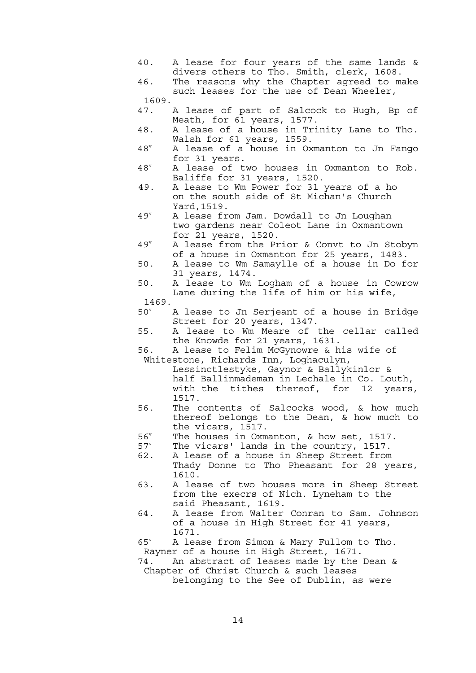40. A lease for four years of the same lands & divers others to Tho. Smith, clerk, 1608.

 46. The reasons why the Chapter agreed to make such leases for the use of Dean Wheeler, 1609.

- 47. A lease of part of Salcock to Hugh, Bp of Meath, for 61 years, 1577.
- 48. A lease of a house in Trinity Lane to Tho. Walsh for 61 years, 1559.
- $48^v$  A lease of a house in Oxmanton to Jn Fango for 31 years.
- $48^v$  A lease of two houses in Oxmanton to Rob. Baliffe for 31 years, 1520.
- 49. A lease to Wm Power for 31 years of a ho on the south side of St Michan's Church Yard,1519.
- $49^v$  A lease from Jam. Dowdall to Jn Loughan two gardens near Coleot Lane in Oxmantown for 21 years, 1520.
- $49^v$  A lease from the Prior & Convt to Jn Stobyn of a house in Oxmanton for 25 years, 1483.
- 50. A lease to Wm Samaylle of a house in Do for 31 years, 1474.
- 50. A lease to Wm Logham of a house in Cowrow Lane during the life of him or his wife,
	- 1469.
- $50^{\circ}$  A lease to Jn Serjeant of a house in Bridge Street for 20 years, 1347.
- 55. A lease to Wm Meare of the cellar called the Knowde for 21 years, 1631.
- 56. A lease to Felim McGynowre & his wife of Whitestone, Richards Inn, Loghaculyn,

 Lessinctlestyke, Gaynor & Ballykinlor & half Ballinmademan in Lechale in Co. Louth, with the tithes thereof, for 12 years, 1517.

- 56. The contents of Salcocks wood, & how much thereof belongs to the Dean, & how much to the vicars, 1517.
- $56^v$ The houses in Oxmanton, & how set, 1517.
- $57^v$ The vicars' lands in the country, 1517.
- 62. A lease of a house in Sheep Street from Thady Donne to Tho Pheasant for 28 years, 1610.
- 63. A lease of two houses more in Sheep Street from the execrs of Nich. Lyneham to the said Pheasant, 1619.
- 64. A lease from Walter Conran to Sam. Johnson of a house in High Street for 41 years, 1671.
- $65^v$  A lease from Simon & Mary Fullom to Tho. Rayner of a house in High Street, 1671.
- 74. An abstract of leases made by the Dean & Chapter of Christ Church & such leases

belonging to the See of Dublin, as were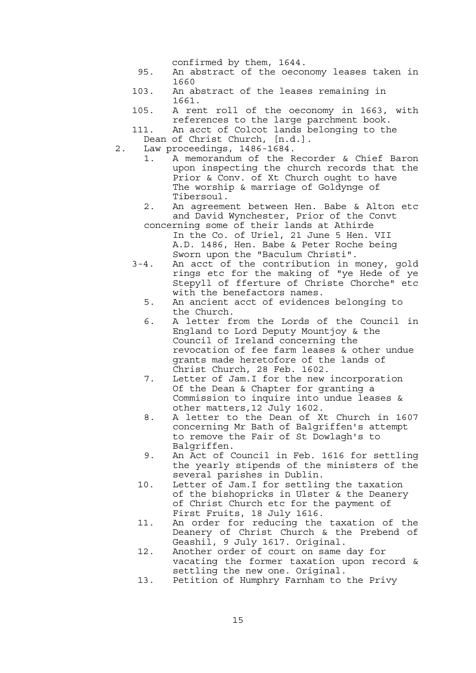confirmed by them, 1644.

- 95. An abstract of the oeconomy leases taken in 1660
- 103. An abstract of the leases remaining in 1661.
- 105. A rent roll of the oeconomy in 1663, with references to the large parchment book.
- 111. An acct of Colcot lands belonging to the Dean of Christ Church, [n.d.].
- 2. Law proceedings, 1486-1684.
	- 1. A memorandum of the Recorder & Chief Baron upon inspecting the church records that the Prior & Conv. of Xt Church ought to have The worship & marriage of Goldynge of Tibersoul.
	- 2. An agreement between Hen. Babe & Alton etc and David Wynchester, Prior of the Convt
	- concerning some of their lands at Athirde In the Co. of Uriel, 21 June 5 Hen. VII A.D. 1486, Hen. Babe & Peter Roche being Sworn upon the "Baculum Christi".
	- 3-4. An acct of the contribution in money, gold rings etc for the making of "ye Hede of ye Stepyll of fferture of Christe Chorche" etc with the benefactors names.
		- 5. An ancient acct of evidences belonging to the Church.
		- 6. A letter from the Lords of the Council in England to Lord Deputy Mountjoy & the Council of Ireland concerning the revocation of fee farm leases & other undue grants made heretofore of the lands of Christ Church, 28 Feb. 1602.
		- 7. Letter of Jam.I for the new incorporation Of the Dean & Chapter for granting a Commission to inquire into undue leases & other matters,12 July 1602.
		- 8. A letter to the Dean of Xt Church in 1607 concerning Mr Bath of Balgriffen's attempt to remove the Fair of St Dowlagh's to Balgriffen.
		- 9. An Act of Council in Feb. 1616 for settling the yearly stipends of the ministers of the several parishes in Dublin.
		- 10. Letter of Jam.I for settling the taxation of the bishopricks in Ulster & the Deanery of Christ Church etc for the payment of First Fruits, 18 July 1616.
	- 11. An order for reducing the taxation of the Deanery of Christ Church & the Prebend of Geashil, 9 July 1617. Original.
	- 12. Another order of court on same day for vacating the former taxation upon record & settling the new one. Original.
	- 13. Petition of Humphry Farnham to the Privy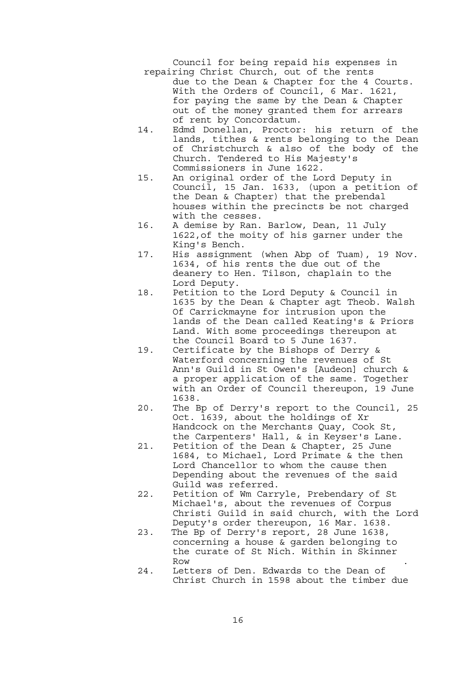Council for being repaid his expenses in repairing Christ Church, out of the rents due to the Dean & Chapter for the 4 Courts. With the Orders of Council, 6 Mar. 1621, for paying the same by the Dean & Chapter out of the money granted them for arrears of rent by Concordatum.

- 14. Edmd Donellan, Proctor: his return of the lands, tithes & rents belonging to the Dean of Christchurch & also of the body of the Church. Tendered to His Majesty's Commissioners in June 1622.
- 15. An original order of the Lord Deputy in Council, 15 Jan. 1633, (upon a petition of the Dean & Chapter) that the prebendal houses within the precincts be not charged with the cesses.
- 16. A demise by Ran. Barlow, Dean, 11 July 1622,of the moity of his garner under the King's Bench.
- 17. His assignment (when Abp of Tuam), 19 Nov. 1634, of his rents the due out of the deanery to Hen. Tilson, chaplain to the Lord Deputy.
- 18. Petition to the Lord Deputy & Council in 1635 by the Dean & Chapter agt Theob. Walsh Of Carrickmayne for intrusion upon the lands of the Dean called Keating's & Priors Land. With some proceedings thereupon at the Council Board to 5 June 1637.
- 19. Certificate by the Bishops of Derry & Waterford concerning the revenues of St Ann's Guild in St Owen's [Audeon] church & a proper application of the same. Together with an Order of Council thereupon, 19 June 1638.
- 20. The Bp of Derry's report to the Council, 25 Oct. 1639, about the holdings of Xr Handcock on the Merchants Quay, Cook St, the Carpenters' Hall, & in Keyser's Lane.
- 21. Petition of the Dean & Chapter, 25 June 1684, to Michael, Lord Primate & the then Lord Chancellor to whom the cause then Depending about the revenues of the said Guild was referred.
- 22. Petition of Wm Carryle, Prebendary of St Michael's, about the revenues of Corpus Christi Guild in said church, with the Lord Deputy's order thereupon, 16 Mar. 1638.
- 23. The Bp of Derry's report, 28 June 1638, concerning a house & garden belonging to the curate of St Nich. Within in Skinner Row the contract of the contract of the contract of the contract of the contract of the contract of the contract of the contract of the contract of the contract of the contract of the contract of the contract of the contra
	- 24. Letters of Den. Edwards to the Dean of Christ Church in 1598 about the timber due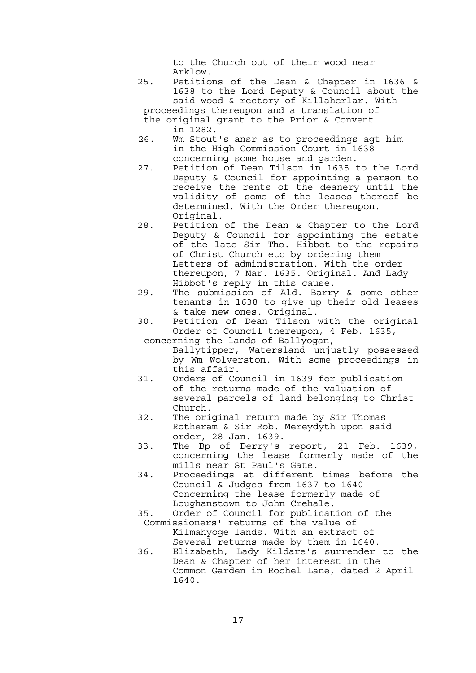to the Church out of their wood near Arklow.

 25. Petitions of the Dean & Chapter in 1636 & 1638 to the Lord Deputy & Council about the said wood & rectory of Killaherlar. With proceedings thereupon and a translation of

 the original grant to the Prior & Convent in 1282.

- 26. Wm Stout's ansr as to proceedings agt him in the High Commission Court in 1638 concerning some house and garden.
- 27. Petition of Dean Tilson in 1635 to the Lord Deputy & Council for appointing a person to receive the rents of the deanery until the validity of some of the leases thereof be determined. With the Order thereupon. Original.
- 28. Petition of the Dean & Chapter to the Lord Deputy & Council for appointing the estate of the late Sir Tho. Hibbot to the repairs of Christ Church etc by ordering them Letters of administration. With the order thereupon, 7 Mar. 1635. Original. And Lady Hibbot's reply in this cause.
- 29. The submission of Ald. Barry & some other tenants in 1638 to give up their old leases & take new ones. Original.
- 30. Petition of Dean Tilson with the original Order of Council thereupon, 4 Feb. 1635,

 concerning the lands of Ballyogan, Ballytipper, Watersland unjustly possessed by Wm Wolverston. With some proceedings in this affair.

- 31. Orders of Council in 1639 for publication of the returns made of the valuation of several parcels of land belonging to Christ Church.
- 32. The original return made by Sir Thomas Rotheram & Sir Rob. Mereydyth upon said order, 28 Jan. 1639.
- 33. The Bp of Derry's report, 21 Feb. 1639, concerning the lease formerly made of the mills near St Paul's Gate.
- 34. Proceedings at different times before the Council & Judges from 1637 to 1640 Concerning the lease formerly made of Loughanstown to John Crehale.
- 35. Order of Council for publication of the Commissioners' returns of the value of Kilmahyoge lands. With an extract of Several returns made by them in 1640.
- 36. Elizabeth, Lady Kildare's surrender to the Dean & Chapter of her interest in the Common Garden in Rochel Lane, dated 2 April 1640.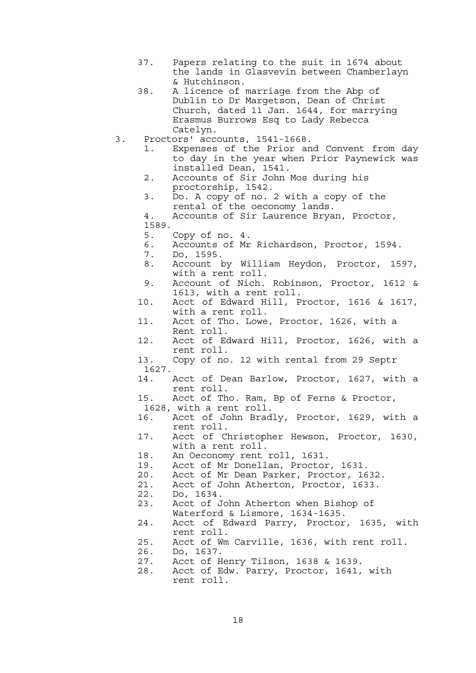- 37. Papers relating to the suit in 1674 about the lands in Glasvevin between Chamberlayn & Hutchinson.
- 38. A licence of marriage from the Abp of Dublin to Dr Margetson, Dean of Christ Church, dated 11 Jan. 1644, for marrying Erasmus Burrows Esq to Lady Rebecca Catelyn.
- 3. Proctors' accounts, 1541-1668.
	- 1. Expenses of the Prior and Convent from day to day in the year when Prior Paynewick was installed Dean, 1541.
	- 2. Accounts of Sir John Mos during his proctorship, 1542.
	- 3. Do. A copy of no. 2 with a copy of the rental of the oeconomy lands.
	- 4. Accounts of Sir Laurence Bryan, Proctor, 1589.
	- 5. Copy of no. 4.
	- 6. Accounts of Mr Richardson, Proctor, 1594.
	- 7. Do, 1595.
- 8. Account by William Heydon, Proctor, 1597, with a rent roll.
	- 9. Account of Nich. Robinson, Proctor, 1612 & 1613, with a rent roll.
	- 10. Acct of Edward Hill, Proctor, 1616 & 1617, with a rent roll.<br>11. Acct of Tho. Lowe
	- Acct of Tho. Lowe, Proctor, 1626, with a Rent roll.
	- 12. Acct of Edward Hill, Proctor, 1626, with a rent roll.
	- 13. Copy of no. 12 with rental from 29 Septr 1627.
	- 14. Acct of Dean Barlow, Proctor, 1627, with a rent roll.

 15. Acct of Tho. Ram, Bp of Ferns & Proctor, 1628, with a rent roll.

- 16. Acct of John Bradly, Proctor, 1629, with a rent roll.
- 17. Acct of Christopher Hewson, Proctor, 1630, with a rent roll.
- 18. An Oeconomy rent roll, 1631.
- 19. Acct of Mr Donellan, Proctor, 1631.
- 20. Acct of Mr Dean Parker, Proctor, 1632.
- 21. Acct of John Atherton, Proctor, 1633.
- 22. Do, 1634.
- 23. Acct of John Atherton when Bishop of Waterford & Lismore, 1634-1635.
- 24. Acct of Edward Parry, Proctor, 1635, with rent roll.
- 25. Acct of Wm Carville, 1636, with rent roll.
- 26. Do, 1637.
- 27. Acct of Henry Tilson, 1638 & 1639.
- 28. Acct of Edw. Parry, Proctor, 1641, with rent roll.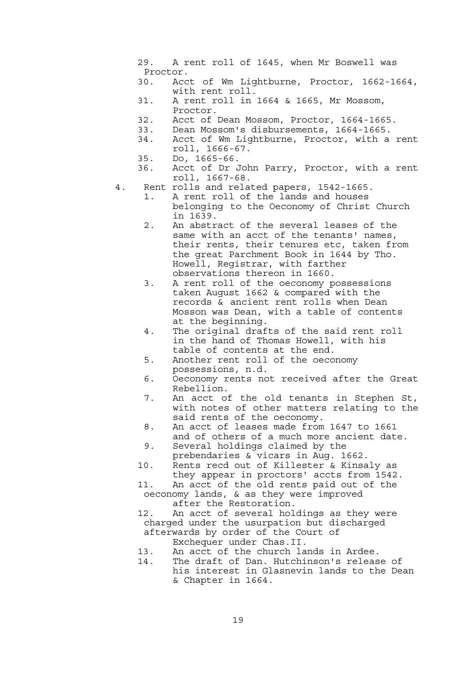- 29. A rent roll of 1645, when Mr Boswell was Proctor.
- 30. Acct of Wm Lightburne, Proctor, 1662-1664, with rent roll.
- 31. A rent roll in 1664 & 1665, Mr Mossom, Proctor.
- 32. Acct of Dean Mossom, Proctor, 1664-1665.
- 33. Dean Mossom's disbursements, 1664-1665.
- 34. Acct of Wm Lightburne, Proctor, with a rent roll, 1666-67.
- 35. Do, 1665-66.
- 36. Acct of Dr John Parry, Proctor, with a rent roll, 1667-68.
- 4. Rent rolls and related papers, 1542-1665.
	- 1. A rent roll of the lands and houses belonging to the Oeconomy of Christ Church in 1639.
	- 2. An abstract of the several leases of the same with an acct of the tenants' names, their rents, their tenures etc, taken from the great Parchment Book in 1644 by Tho. Howell, Registrar, with farther observations thereon in 1660.
	- 3. A rent roll of the oeconomy possessions taken August 1662 & compared with the records & ancient rent rolls when Dean Mosson was Dean, with a table of contents at the beginning.
	- 4. The original drafts of the said rent roll in the hand of Thomas Howell, with his table of contents at the end.
	- 5. Another rent roll of the oeconomy possessions, n.d.
	- 6. Oeconomy rents not received after the Great Rebellion.
	- 7. An acct of the old tenants in Stephen St, with notes of other matters relating to the said rents of the oeconomy.
	- 8. An acct of leases made from 1647 to 1661 and of others of a much more ancient date.
	- 9. Several holdings claimed by the prebendaries & vicars in Aug. 1662.
	- 10. Rents recd out of Killester & Kinsaly as they appear in proctors' accts from 1542.
	- 11. An acct of the old rents paid out of the oeconomy lands, & as they were improved
		- after the Restoration.
	- 12. An acct of several holdings as they were charged under the usurpation but discharged afterwards by order of the Court of
		- Exchequer under Chas.II.
	- 13. An acct of the church lands in Ardee. 14. The draft of Dan. Hutchinson's release of his interest in Glasnevin lands to the Dean & Chapter in 1664.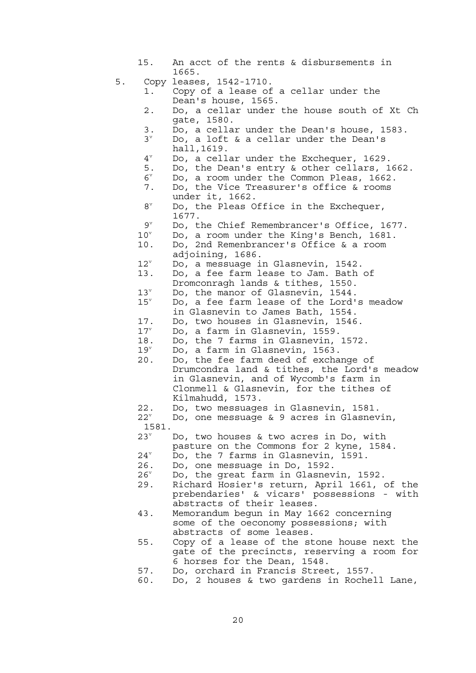- 15. An acct of the rents & disbursements in 1665.
- 5. Copy leases, 1542-1710.
	- 1. Copy of a lease of a cellar under the Dean's house, 1565.
	- 2. Do, a cellar under the house south of Xt Ch gate, 1580.
	- 3. Do, a cellar under the Dean's house, 1583.
- $3^{\circ}$  Do, a loft & a cellar under the Dean's hall, 1619.<br>4<sup>v</sup> Do. a cell
- $4^{\circ}$  Do, a cellar under the Exchequer, 1629.
	- 5. Do, the Dean's entry & other cellars, 1662.
- $6^{\circ}$  $6^{\circ}$  Do, a room under the Common Pleas, 1662. 7. Do, the Vice Treasurer's office & rooms
	- under it, 1662.<br>8<sup>v</sup> Do, the Pleas C
- $8^{\circ}$  Do, the Pleas Office in the Exchequer,  $9^v$  1677.
- $\mathsf{P}^\mathrm{v}$  and  $\mathsf{P}^\mathrm{v}$  Do, the Chief Remembrancer's Office, 1677.
	- $10^v$ Do, a room under the King's Bench, 1681.
	- 10. Do, 2nd Remenbrancer's Office & a room adjoining, 1686.
	- $12^v$ Do, a messuage in Glasnevin, 1542.
	- 13. Do, a fee farm lease to Jam. Bath of
		- Dromconragh lands & tithes, 1550.
	- $13^v$ Do, the manor of Glasnevin, 1544.
	- $15^v$  Do, a fee farm lease of the Lord's meadow in Glasnevin to James Bath, 1554.
	- 17. Do, two houses in Glasnevin, 1546.
	- $17^v$ Do, a farm in Glasnevin, 1559.
	-
	- 18. Do, the 7 farms in Glasnevin, 1572.
	- $19^v$ Do, a farm in Glasnevin, 1563.
	- 20. Do, the fee farm deed of exchange of Drumcondra land & tithes, the Lord's meadow in Glasnevin, and of Wycomb's farm in Clonmell & Glasnevin, for the tithes of Kilmahudd, 1573.
	- 22. Do, two messuages in Glasnevin, 1581.
	- $22^v$  Do, one messuage & 9 acres in Glasnevin, 1581.
	- $23^v$ Do, two houses & two acres in Do, with
	- pasture on the Commons for 2 kyne, 1584.
	- $24^{\circ}$ <br>26. Do, the 7 farms in Glasnevin, 1591.
	- Do, one messuage in Do, 1592.
	- $26^v$ Do, the great farm in Glasnevin, 1592.
	- 29. Richard Hosier's return, April 1661, of the prebendaries' & vicars' possessions - with abstracts of their leases.
	- 43. Memorandum begun in May 1662 concerning some of the oeconomy possessions; with abstracts of some leases.
- 55. Copy of a lease of the stone house next the gate of the precincts, reserving a room for 6 horses for the Dean, 1548.
	- 57. Do, orchard in Francis Street, 1557.
	- 60. Do, 2 houses & two gardens in Rochell Lane,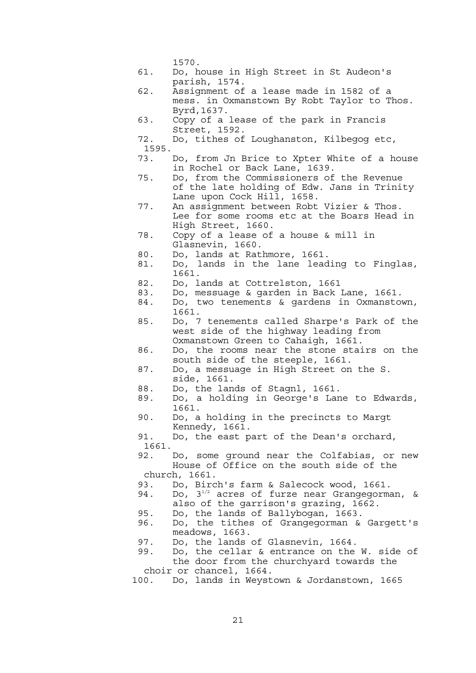1570.

- 61. Do, house in High Street in St Audeon's parish, 1574.
- 62. Assignment of a lease made in 1582 of a mess. in Oxmanstown By Robt Taylor to Thos. Byrd,1637.
- 63. Copy of a lease of the park in Francis Street, 1592.
- 72. Do, tithes of Loughanston, Kilbegog etc, 1595.
- 73. Do, from Jn Brice to Xpter White of a house in Rochel or Back Lane, 1639.
- 75. Do, from the Commissioners of the Revenue of the late holding of Edw. Jans in Trinity Lane upon Cock Hill, 1658.
- 77. An assignment between Robt Vizier & Thos. Lee for some rooms etc at the Boars Head in High Street, 1660.
- 78. Copy of a lease of a house & mill in Glasnevin, 1660.
- 80. Do, lands at Rathmore, 1661.
- 81. Do, lands in the lane leading to Finglas, 1661.
- 82. Do, lands at Cottrelston, 1661
- 83. Do, messuage & garden in Back Lane, 1661.
- 84. Do, two tenements & gardens in Oxmanstown,
- 1661.<br>85. Do, 7 Do, 7 tenements called Sharpe's Park of the west side of the highway leading from Oxmanstown Green to Cahaigh, 1661.
- 86. Do, the rooms near the stone stairs on the south side of the steeple, 1661.
- 87. Do, a messuage in High Street on the S. side, 1661.
- 88. Do, the lands of Stagnl, 1661.
- 89. Do, a holding in George's Lane to Edwards, 1661.
- 90. Do, a holding in the precincts to Margt Kennedy, 1661.
- 91. Do, the east part of the Dean's orchard, 1661.
- 92. Do, some ground near the Colfabias, or new House of Office on the south side of the church, 1661.
- 93. Do, Birch's farm & Salecock wood, 1661.
- 94. Do,  $3^{1/2}$  acres of furze near Grangegorman, &
	- also of the garrison's grazing, 1662.
- 95. Do, the lands of Ballybogan, 1663.
- 96. Do, the tithes of Grangegorman & Gargett's meadows, 1663.<br>97. Do, the lands
- Do, the lands of Glasnevin, 1664.
- 99. Do, the cellar & entrance on the W. side of the door from the churchyard towards the choir or chancel, 1664.
- 100. Do, lands in Weystown & Jordanstown, 1665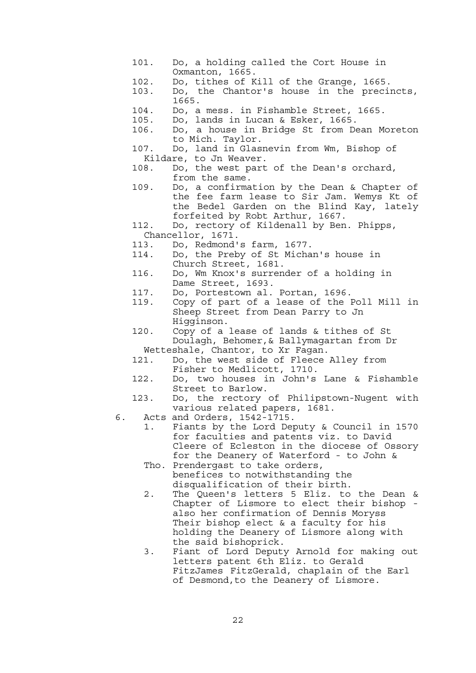- 101. Do, a holding called the Cort House in Oxmanton, 1665.
- 102. Do, tithes of Kill of the Grange, 1665.
- 103. Do, the Chantor's house in the precincts, 1665.
- 104. Do, a mess. in Fishamble Street, 1665.
- 105. Do, lands in Lucan & Esker, 1665.
- 106. Do, a house in Bridge St from Dean Moreton to Mich. Taylor.
- 107. Do, land in Glasnevin from Wm, Bishop of Kildare, to Jn Weaver.
- 108. Do, the west part of the Dean's orchard, from the same.
- 109. Do, a confirmation by the Dean & Chapter of the fee farm lease to Sir Jam. Wemys Kt of the Bedel Garden on the Blind Kay, lately forfeited by Robt Arthur, 1667.
- 112. Do, rectory of Kildenall by Ben. Phipps, Chancellor, 1671.
- 113. Do, Redmond's farm, 1677.
- 114. Do, the Preby of St Michan's house in Church Street, 1681.
- 116. Do, Wm Knox's surrender of a holding in Dame Street, 1693.
- 117. Do, Portestown al. Portan, 1696.
- 119. Copy of part of a lease of the Poll Mill in Sheep Street from Dean Parry to Jn Higginson.
- 120. Copy of a lease of lands & tithes of St Doulagh, Behomer,& Ballymagartan from Dr

Wetteshale, Chantor, to Xr Fagan.

- 121. Do, the west side of Fleece Alley from Fisher to Medlicott, 1710.
- 122. Do, two houses in John's Lane & Fishamble Street to Barlow.
- 123. Do, the rectory of Philipstown-Nugent with various related papers, 1681.
- 6. Acts and Orders, 1542-1715.
	- 1. Fiants by the Lord Deputy & Council in 1570 for faculties and patents viz. to David Cleere of Ecleston in the diocese of Ossory for the Deanery of Waterford - to John &
	- Tho. Prendergast to take orders, benefices to notwithstanding the disqualification of their birth.
	- 2. The Queen's letters 5 Eliz. to the Dean & Chapter of Lismore to elect their bishop also her confirmation of Dennis Moryss Their bishop elect & a faculty for his holding the Deanery of Lismore along with the said bishoprick.
	- 3. Fiant of Lord Deputy Arnold for making out letters patent 6th Eliz. to Gerald FitzJames FitzGerald, chaplain of the Earl of Desmond,to the Deanery of Lismore.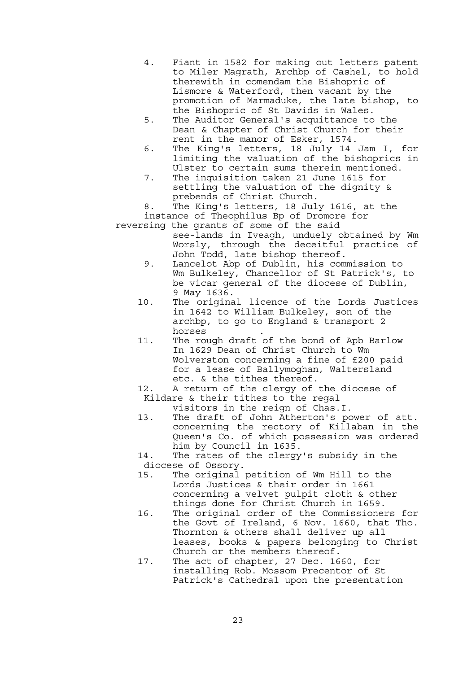- 4. Fiant in 1582 for making out letters patent to Miler Magrath, Archbp of Cashel, to hold therewith in comendam the Bishopric of Lismore & Waterford, then vacant by the promotion of Marmaduke, the late bishop, to the Bishopric of St Davids in Wales.
- 5. The Auditor General's acquittance to the Dean & Chapter of Christ Church for their rent in the manor of Esker, 1574.
- 6. The King's letters, 18 July 14 Jam I, for limiting the valuation of the bishoprics in Ulster to certain sums therein mentioned.
- 7. The inquisition taken 21 June 1615 for settling the valuation of the dignity & prebends of Christ Church.

 8. The King's letters, 18 July 1616, at the instance of Theophilus Bp of Dromore for

- reversing the grants of some of the said see-lands in Iveagh, unduely obtained by Wm Worsly, through the deceitful practice of John Todd, late bishop thereof.
	- 9. Lancelot Abp of Dublin, his commission to Wm Bulkeley, Chancellor of St Patrick's, to be vicar general of the diocese of Dublin, 9 May 1636.
	- 10. The original licence of the Lords Justices in 1642 to William Bulkeley, son of the archbp, to go to England & transport 2 horses .
	- 11. The rough draft of the bond of Apb Barlow In 1629 Dean of Christ Church to Wm Wolverston concerning a fine of £200 paid for a lease of Ballymoghan, Waltersland etc. & the tithes thereof.
	- 12. A return of the clergy of the diocese of Kildare & their tithes to the regal
		- visitors in the reign of Chas.I.
	- 13. The draft of John Atherton's power of att. concerning the rectory of Killaban in the Queen's Co. of which possession was ordered him by Council in 1635.
	- 14. The rates of the clergy's subsidy in the diocese of Ossory.
	- 15. The original petition of Wm Hill to the Lords Justices & their order in 1661 concerning a velvet pulpit cloth & other things done for Christ Church in 1659.
	- 16. The original order of the Commissioners for the Govt of Ireland, 6 Nov. 1660, that Tho. Thornton & others shall deliver up all leases, books & papers belonging to Christ Church or the members thereof.
	- 17. The act of chapter, 27 Dec. 1660, for installing Rob. Mossom Precentor of St Patrick's Cathedral upon the presentation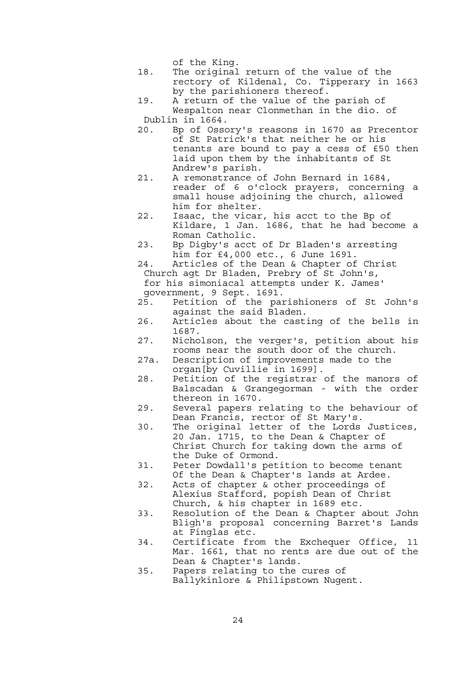of the King.

- 18. The original return of the value of the rectory of Kildenal, Co. Tipperary in 1663 by the parishioners thereof.
- 19. A return of the value of the parish of Wespalton near Clonmethan in the dio. of Dublin in 1664.
- 20. Bp of Ossory's reasons in 1670 as Precentor of St Patrick's that neither he or his tenants are bound to pay a cess of £50 then laid upon them by the inhabitants of St Andrew's parish.
- 21. A remonstrance of John Bernard in 1684, reader of 6 o'clock prayers, concerning a small house adjoining the church, allowed him for shelter.
- 22. Isaac, the vicar, his acct to the Bp of Kildare, 1 Jan. 1686, that he had become a Roman Catholic.
- 23. Bp Digby's acct of Dr Bladen's arresting him for £4,000 etc., 6 June 1691.
- 24. Articles of the Dean & Chapter of Christ Church agt Dr Bladen, Prebry of St John's, for his simoniacal attempts under K. James'
- government, 9 Sept. 1691.
- 25. Petition of the parishioners of St John's against the said Bladen.<br>26. Articles about the cast
- Articles about the casting of the bells in 1687.
- 27. Nicholson, the verger's, petition about his rooms near the south door of the church.
- 27a. Description of improvements made to the organ[by Cuvillie in 1699].
- 28. Petition of the registrar of the manors of Balscadan & Grangegorman - with the order thereon in 1670.
- 29. Several papers relating to the behaviour of Dean Francis, rector of St Mary's.
- 30. The original letter of the Lords Justices, 20 Jan. 1715, to the Dean & Chapter of Christ Church for taking down the arms of the Duke of Ormond.
	- 31. Peter Dowdall's petition to become tenant Of the Dean & Chapter's lands at Ardee.
	- 32. Acts of chapter & other proceedings of Alexius Stafford, popish Dean of Christ Church, & his chapter in 1689 etc.
	- 33. Resolution of the Dean & Chapter about John Bligh's proposal concerning Barret's Lands at Finglas etc.
	- 34. Certificate from the Exchequer Office, 11 Mar. 1661, that no rents are due out of the Dean & Chapter's lands.
	- 35. Papers relating to the cures of Ballykinlore & Philipstown Nugent.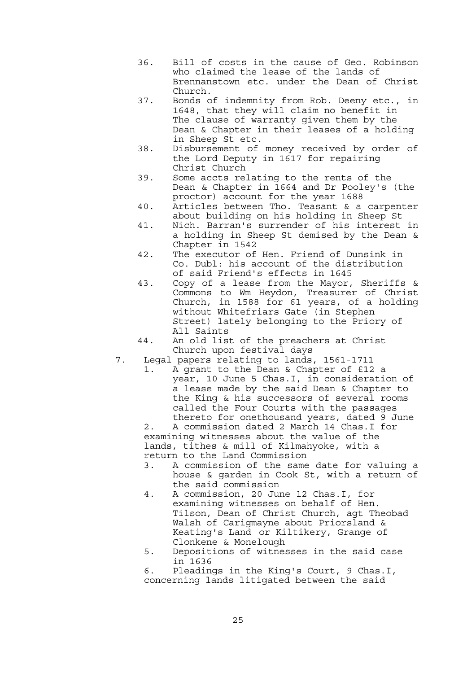- 36. Bill of costs in the cause of Geo. Robinson who claimed the lease of the lands of Brennanstown etc. under the Dean of Christ Church.
- 37. Bonds of indemnity from Rob. Deeny etc., in 1648, that they will claim no benefit in The clause of warranty given them by the Dean & Chapter in their leases of a holding in Sheep St etc.
- 38. Disbursement of money received by order of the Lord Deputy in 1617 for repairing Christ Church
- 39. Some accts relating to the rents of the Dean & Chapter in 1664 and Dr Pooley's (the proctor) account for the year 1688
- 40. Articles between Tho. Teasant & a carpenter about building on his holding in Sheep St
- 41. Nich. Barran's surrender of his interest in a holding in Sheep St demised by the Dean & Chapter in 1542
- 42. The executor of Hen. Friend of Dunsink in Co. Dubl: his account of the distribution of said Friend's effects in 1645
- 43. Copy of a lease from the Mayor, Sheriffs & Commons to Wm Heydon, Treasurer of Christ Church, in 1588 for 61 years, of a holding without Whitefriars Gate (in Stephen Street) lately belonging to the Priory of All Saints
- 44. An old list of the preachers at Christ Church upon festival days
- 7. Legal papers relating to lands, 1561-1711
	- 1. A grant to the Dean & Chapter of £12 a year, 10 June 5 Chas.I, in consideration of a lease made by the said Dean & Chapter to the King & his successors of several rooms called the Four Courts with the passages thereto for onethousand years, dated 9 June

 2. A commission dated 2 March 14 Chas.I for examining witnesses about the value of the lands, tithes & mill of Kilmahyoke, with a return to the Land Commission

- 3. A commission of the same date for valuing a house & garden in Cook St, with a return of the said commission
- 4. A commission, 20 June 12 Chas.I, for examining witnesses on behalf of Hen. Tilson, Dean of Christ Church, agt Theobad Walsh of Carigmayne about Priorsland & Keating's Land or Kiltikery, Grange of Clonkene & Monelough
- 5. Depositions of witnesses in the said case in 1636
- 6. Pleadings in the King's Court, 9 Chas.I, concerning lands litigated between the said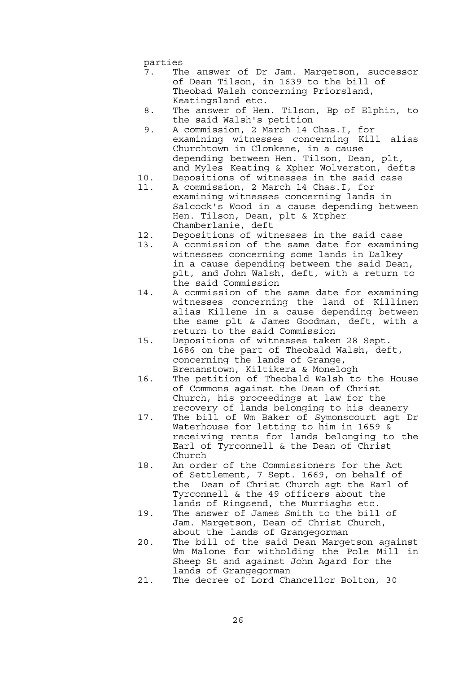parties

- 7. The answer of Dr Jam. Margetson, successor of Dean Tilson, in 1639 to the bill of Theobad Walsh concerning Priorsland, Keatingsland etc.
- 8. The answer of Hen. Tilson, Bp of Elphin, to the said Walsh's petition
- 9. A commission, 2 March 14 Chas.I, for examining witnesses concerning Kill alias Churchtown in Clonkene, in a cause depending between Hen. Tilson, Dean, plt, and Myles Keating & Xpher Wolverston, defts
- 10. Depositions of witnesses in the said case
- 11. A commission, 2 March 14 Chas.I, for examining witnesses concerning lands in Salcock's Wood in a cause depending between Hen. Tilson, Dean, plt & Xtpher Chamberlanie, deft
- 12. Depositions of witnesses in the said case
- 13. A conmission of the same date for examining witnesses concerning some lands in Dalkey in a cause depending between the said Dean, plt, and John Walsh, deft, with a return to the said Commission
- 14. A commission of the same date for examining witnesses concerning the land of Killinen alias Killene in a cause depending between the same plt & James Goodman, deft, with a return to the said Commission
- 15. Depositions of witnesses taken 28 Sept. 1686 on the part of Theobald Walsh, deft, concerning the lands of Grange, Brenanstown, Kiltikera & Monelogh
- 16. The petition of Theobald Walsh to the House of Commons against the Dean of Christ Church, his proceedings at law for the recovery of lands belonging to his deanery
- 17. The bill of Wm Baker of Symonscourt agt Dr Waterhouse for letting to him in 1659 & receiving rents for lands belonging to the Earl of Tyrconnell & the Dean of Christ Church
- 18. An order of the Commissioners for the Act of Settlement, 7 Sept. 1669, on behalf of the Dean of Christ Church agt the Earl of Tyrconnell & the 49 officers about the lands of Ringsend, the Murriaghs etc.
- 19. The answer of James Smith to the bill of Jam. Margetson, Dean of Christ Church, about the lands of Grangegorman
- 20. The bill of the said Dean Margetson against Wm Malone for witholding the Pole Mill in Sheep St and against John Agard for the lands of Grangegorman
- 21. The decree of Lord Chancellor Bolton, 30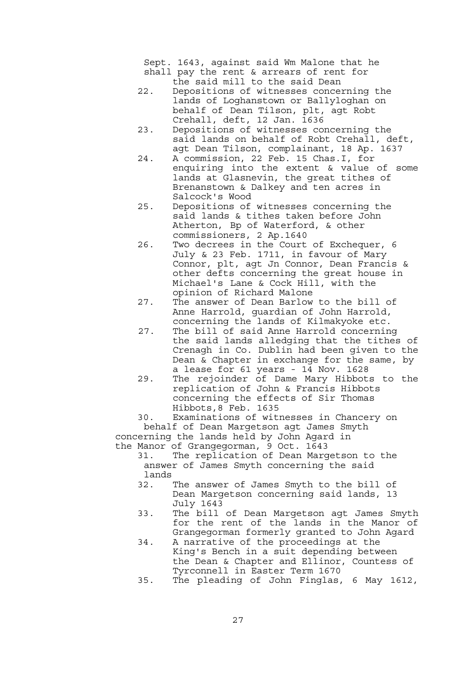Sept. 1643, against said Wm Malone that he shall pay the rent & arrears of rent for the said mill to the said Dean

- 22. Depositions of witnesses concerning the lands of Loghanstown or Ballyloghan on behalf of Dean Tilson, plt, agt Robt Crehall, deft, 12 Jan. 1636
- 23. Depositions of witnesses concerning the said lands on behalf of Robt Crehall, deft, agt Dean Tilson, complainant, 18 Ap. 1637
	- 24. A commission, 22 Feb. 15 Chas.I, for enquiring into the extent & value of some lands at Glasnevin, the great tithes of Brenanstown & Dalkey and ten acres in Salcock's Wood
	- 25. Depositions of witnesses concerning the said lands & tithes taken before John Atherton, Bp of Waterford, & other commissioners, 2 Ap.1640
	- 26. Two decrees in the Court of Exchequer, 6 July & 23 Feb. 1711, in favour of Mary Connor, plt, agt Jn Connor, Dean Francis & other defts concerning the great house in Michael's Lane & Cock Hill, with the opinion of Richard Malone
	- 27. The answer of Dean Barlow to the bill of Anne Harrold, guardian of John Harrold, concerning the lands of Kilmakyoke etc.
	- 27. The bill of said Anne Harrold concerning the said lands alledging that the tithes of Crenagh in Co. Dublin had been given to the Dean & Chapter in exchange for the same, by a lease for 61 years - 14 Nov. 1628
	- 29. The rejoinder of Dame Mary Hibbots to the replication of John & Francis Hibbots concerning the effects of Sir Thomas Hibbots,8 Feb. 1635

 30. Examinations of witnesses in Chancery on behalf of Dean Margetson agt James Smyth concerning the lands held by John Agard in

the Manor of Grangegorman, 9 Oct. 1643

 31. The replication of Dean Margetson to the answer of James Smyth concerning the said lands

- 32. The answer of James Smyth to the bill of Dean Margetson concerning said lands, 13 July 1643
- 33. The bill of Dean Margetson agt James Smyth for the rent of the lands in the Manor of Grangegorman formerly granted to John Agard
- 34. A narrative of the proceedings at the King's Bench in a suit depending between the Dean & Chapter and Ellinor, Countess of Tyrconnell in Easter Term 1670
- 35. The pleading of John Finglas, 6 May 1612,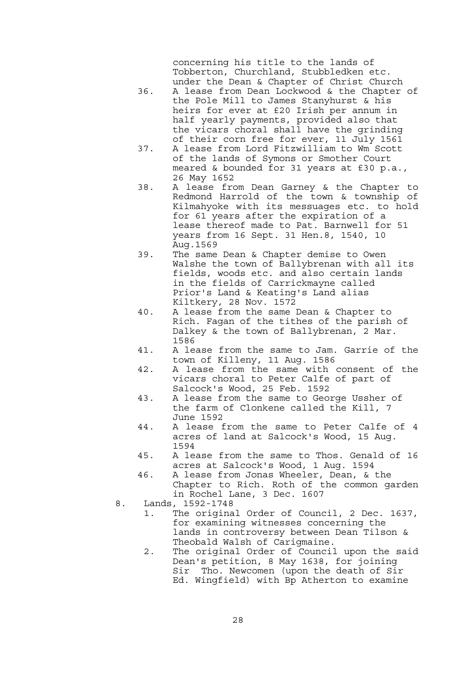concerning his title to the lands of Tobberton, Churchland, Stubbledken etc. under the Dean & Chapter of Christ Church

- 36. A lease from Dean Lockwood & the Chapter of the Pole Mill to James Stanyhurst & his heirs for ever at £20 Irish per annum in half yearly payments, provided also that the vicars choral shall have the grinding of their corn free for ever, 11 July 1561
	- 37. A lease from Lord Fitzwilliam to Wm Scott of the lands of Symons or Smother Court meared & bounded for 31 years at £30 p.a., 26 May 1652
	- 38. A lease from Dean Garney & the Chapter to Redmond Harrold of the town & township of Kilmahyoke with its messuages etc. to hold for 61 years after the expiration of a lease thereof made to Pat. Barnwell for 51 years from 16 Sept. 31 Hen.8, 1540, 10 Aug.1569
	- 39. The same Dean & Chapter demise to Owen Walshe the town of Ballybrenan with all its fields, woods etc. and also certain lands in the fields of Carrickmayne called Prior's Land & Keating's Land alias Kiltkery, 28 Nov. 1572
	- 40. A lease from the same Dean & Chapter to Rich. Fagan of the tithes of the parish of Dalkey & the town of Ballybrenan, 2 Mar. 1586
	- 41. A lease from the same to Jam. Garrie of the town of Killeny, 11 Aug. 1586
	- 42. A lease from the same with consent of the vicars choral to Peter Calfe of part of Salcock's Wood, 25 Feb. 1592
	- 43. A lease from the same to George Ussher of the farm of Clonkene called the Kill, 7 June 1592
	- 44. A lease from the same to Peter Calfe of 4 acres of land at Salcock's Wood, 15 Aug. 1594
	- 45. A lease from the same to Thos. Genald of 16 acres at Salcock's Wood, 1 Aug. 1594
	- 46. A lease from Jonas Wheeler, Dean, & the Chapter to Rich. Roth of the common garden in Rochel Lane, 3 Dec. 1607
	- 8. Lands, 1592-1748
		- 1. The original Order of Council, 2 Dec. 1637, for examining witnesses concerning the lands in controversy between Dean Tilson & Theobald Walsh of Carigmaine.
		- 2. The original Order of Council upon the said Dean's petition, 8 May 1638, for joining Sir Tho. Newcomen (upon the death of Sir Ed. Wingfield) with Bp Atherton to examine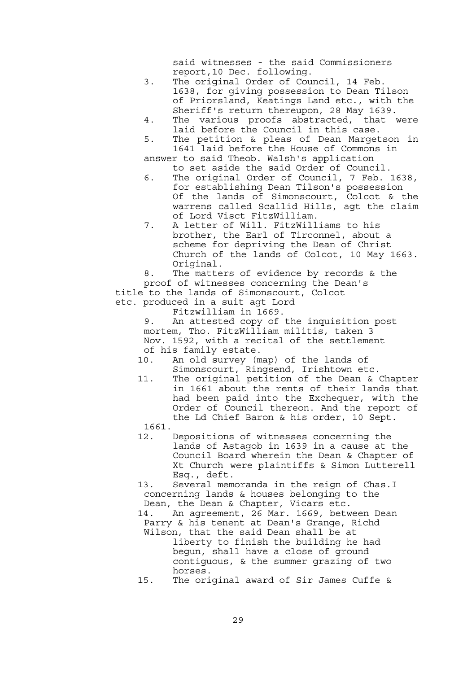said witnesses - the said Commissioners report,10 Dec. following.

- 3. The original Order of Council, 14 Feb. 1638, for giving possession to Dean Tilson of Priorsland, Keatings Land etc., with the Sheriff's return thereupon, 28 May 1639.
- 4. The various proofs abstracted, that were laid before the Council in this case.
- 5. The petition & pleas of Dean Margetson in 1641 laid before the House of Commons in

 answer to said Theob. Walsh's application to set aside the said Order of Council.

- 6. The original Order of Council, 7 Feb. 1638, for establishing Dean Tilson's possession Of the lands of Simonscourt, Colcot & the warrens called Scallid Hills, agt the claim of Lord Visct FitzWilliam.
- 7. A letter of Will. FitzWilliams to his brother, the Earl of Tirconnel, about a scheme for depriving the Dean of Christ Church of the lands of Colcot, 10 May 1663. Original.

 8. The matters of evidence by records & the proof of witnesses concerning the Dean's title to the lands of Simonscourt, Colcot etc. produced in a suit agt Lord

Fitzwilliam in 1669.

 9. An attested copy of the inquisition post mortem, Tho. FitzWilliam militis, taken 3 Nov. 1592, with a recital of the settlement of his family estate.

- 10. An old survey (map) of the lands of Simonscourt, Ringsend, Irishtown etc.
- 11. The original petition of the Dean & Chapter in 1661 about the rents of their lands that had been paid into the Exchequer, with the Order of Council thereon. And the report of the Ld Chief Baron & his order, 10 Sept.
- 1661.
- 12. Depositions of witnesses concerning the lands of Astagob in 1639 in a cause at the Council Board wherein the Dean & Chapter of Xt Church were plaintiffs & Simon Lutterell Esq., deft.

 13. Several memoranda in the reign of Chas.I concerning lands & houses belonging to the Dean, the Dean & Chapter, Vicars etc.

 14. An agreement, 26 Mar. 1669, between Dean Parry & his tenent at Dean's Grange, Richd Wilson, that the said Dean shall be at

- liberty to finish the building he had begun, shall have a close of ground contiguous, & the summer grazing of two horses.
- 15. The original award of Sir James Cuffe &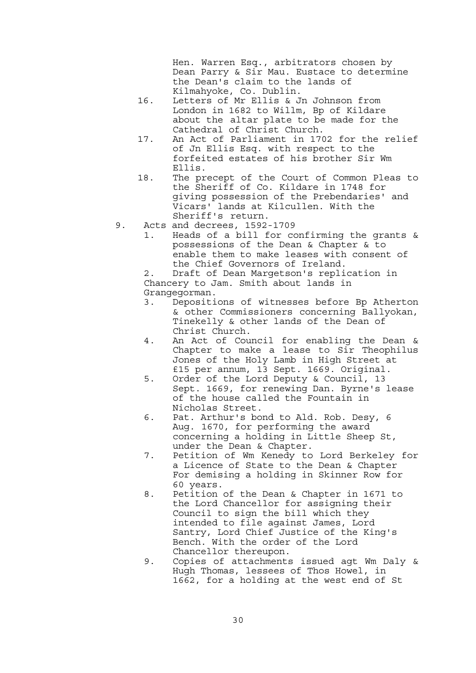Hen. Warren Esq., arbitrators chosen by Dean Parry & Sir Mau. Eustace to determine the Dean's claim to the lands of Kilmahyoke, Co. Dublin.

- 16. Letters of Mr Ellis & Jn Johnson from London in 1682 to Willm, Bp of Kildare about the altar plate to be made for the Cathedral of Christ Church.
- 17. An Act of Parliament in 1702 for the relief of Jn Ellis Esq. with respect to the forfeited estates of his brother Sir Wm Ellis.
- 18. The precept of the Court of Common Pleas to the Sheriff of Co. Kildare in 1748 for giving possession of the Prebendaries' and Vicars' lands at Kilcullen. With the Sheriff's return.
- 9. Acts and decrees, 1592-1709
	- 1. Heads of a bill for confirming the grants & possessions of the Dean & Chapter & to enable them to make leases with consent of the Chief Governors of Ireland.

 2. Draft of Dean Margetson's replication in Chancery to Jam. Smith about lands in Grangegorman.

- 3. Depositions of witnesses before Bp Atherton & other Commissioners concerning Ballyokan, Tinekelly & other lands of the Dean of Christ Church.
- 4. An Act of Council for enabling the Dean & Chapter to make a lease to Sir Theophilus Jones of the Holy Lamb in High Street at £15 per annum, 13 Sept. 1669. Original.
- 5. Order of the Lord Deputy & Council, 13 Sept. 1669, for renewing Dan. Byrne's lease of the house called the Fountain in Nicholas Street.
- 6. Pat. Arthur's bond to Ald. Rob. Desy, 6 Aug. 1670, for performing the award concerning a holding in Little Sheep St, under the Dean & Chapter.
- 7. Petition of Wm Kenedy to Lord Berkeley for a Licence of State to the Dean & Chapter For demising a holding in Skinner Row for 60 years.
- 8. Petition of the Dean & Chapter in 1671 to the Lord Chancellor for assigning their Council to sign the bill which they intended to file against James, Lord Santry, Lord Chief Justice of the King's Bench. With the order of the Lord Chancellor thereupon.
- 9. Copies of attachments issued agt Wm Daly & Hugh Thomas, lessees of Thos Howel, in 1662, for a holding at the west end of St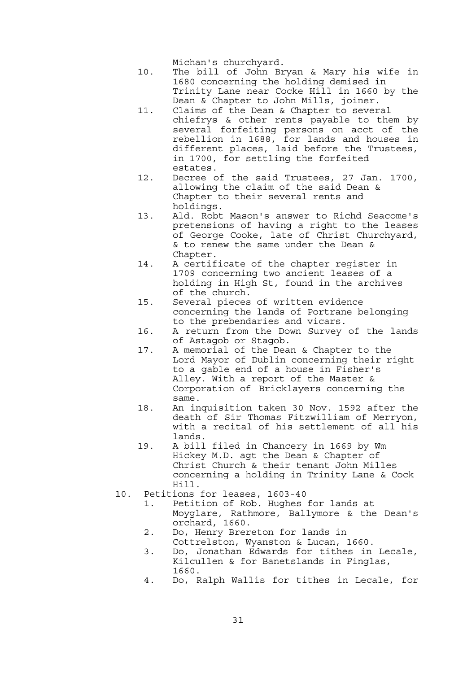Michan's churchyard.

- 10. The bill of John Bryan & Mary his wife in 1680 concerning the holding demised in Trinity Lane near Cocke Hill in 1660 by the Dean & Chapter to John Mills, joiner.
- 11. Claims of the Dean & Chapter to several chiefrys & other rents payable to them by several forfeiting persons on acct of the rebellion in 1688, for lands and houses in different places, laid before the Trustees, in 1700, for settling the forfeited estates.
- 12. Decree of the said Trustees, 27 Jan. 1700, allowing the claim of the said Dean & Chapter to their several rents and holdings.
- 13. Ald. Robt Mason's answer to Richd Seacome's pretensions of having a right to the leases of George Cooke, late of Christ Churchyard, & to renew the same under the Dean & Chapter.
- 14. A certificate of the chapter register in 1709 concerning two ancient leases of a holding in High St, found in the archives of the church.
- 15. Several pieces of written evidence concerning the lands of Portrane belonging to the prebendaries and vicars.
- 16. A return from the Down Survey of the lands of Astagob or Stagob.
- 17. A memorial of the Dean & Chapter to the Lord Mayor of Dublin concerning their right to a gable end of a house in Fisher's Alley. With a report of the Master & Corporation of Bricklayers concerning the same.
- 18. An inquisition taken 30 Nov. 1592 after the death of Sir Thomas Fitzwilliam of Merryon, with a recital of his settlement of all his lands.
- 19. A bill filed in Chancery in 1669 by Wm Hickey M.D. agt the Dean & Chapter of Christ Church & their tenant John Milles concerning a holding in Trinity Lane & Cock Hill.
- 10. Petitions for leases, 1603-40
	- 1. Petition of Rob. Hughes for lands at Moyglare, Rathmore, Ballymore & the Dean's orchard, 1660.
	- 2. Do, Henry Brereton for lands in
	- Cottrelston, Wyanston & Lucan, 1660.
	- 3. Do, Jonathan Edwards for tithes in Lecale, Kilcullen & for Banetslands in Finglas, 1660.
	- 4. Do, Ralph Wallis for tithes in Lecale, for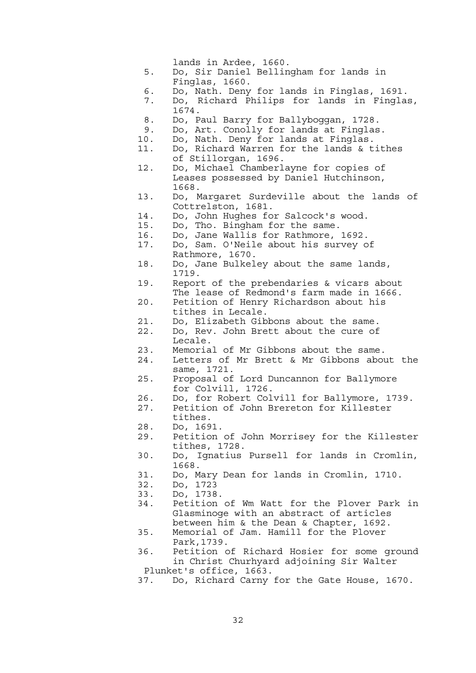lands in Ardee, 1660.

- 5. Do, Sir Daniel Bellingham for lands in Finglas, 1660.
- 6. Do, Nath. Deny for lands in Finglas, 1691.
- 7. Do, Richard Philips for lands in Finglas, 1674.
- 8. Do, Paul Barry for Ballyboggan, 1728.
- 9. Do, Art. Conolly for lands at Finglas.
- 10. Do, Nath. Deny for lands at Finglas.<br>11. Do. Richard Warren for the lands & t
- Do, Richard Warren for the lands & tithes of Stillorgan, 1696.
- 12. Do, Michael Chamberlayne for copies of Leases possessed by Daniel Hutchinson, 1668.
- 13. Do, Margaret Surdeville about the lands of Cottrelston, 1681.
- 14. Do, John Hughes for Salcock's wood.
- 15. Do, Tho. Bingham for the same.
- 16. Do, Jane Wallis for Rathmore, 1692.
- 17. Do, Sam. O'Neile about his survey of
- Rathmore, 1670.
- 18. Do, Jane Bulkeley about the same lands, 1719.
- 19. Report of the prebendaries & vicars about The lease of Redmond's farm made in 1666.
- 20. Petition of Henry Richardson about his tithes in Lecale.
- 21. Do, Elizabeth Gibbons about the same.<br>22. Do, Rev. John Brett about the cure of
- Do, Rev. John Brett about the cure of Lecale.
- 23. Memorial of Mr Gibbons about the same.
- 24. Letters of Mr Brett & Mr Gibbons about the same, 1721.
- 25. Proposal of Lord Duncannon for Ballymore for Colvill, 1726.
- 26. Do, for Robert Colvill for Ballymore, 1739.
- 27. Petition of John Brereton for Killester tithes.
- 28. Do, 1691.
- 29. Petition of John Morrisey for the Killester tithes, 1728.
- 30. Do, Ignatius Pursell for lands in Cromlin, 1668.
- 31. Do, Mary Dean for lands in Cromlin, 1710.
- 32. Do, 1723
- 33. Do, 1738.
- 34. Petition of Wm Watt for the Plover Park in Glasminoge with an abstract of articles between him & the Dean & Chapter, 1692.
- 35. Memorial of Jam. Hamill for the Plover Park,1739.
- 36. Petition of Richard Hosier for some ground in Christ Churhyard adjoining Sir Walter Plunket's office, 1663.
- 37. Do, Richard Carny for the Gate House, 1670.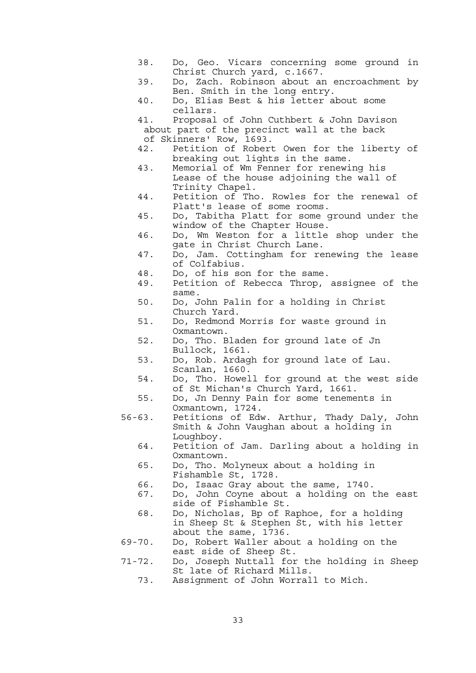- 38. Do, Geo. Vicars concerning some ground in Christ Church yard, c.1667.
- 39. Do, Zach. Robinson about an encroachment by Ben. Smith in the long entry.
- 40. Do, Elias Best & his letter about some cellars.
- 41. Proposal of John Cuthbert & John Davison about part of the precinct wall at the back of Skinners' Row, 1693.
- 42. Petition of Robert Owen for the liberty of breaking out lights in the same.
	- 43. Memorial of Wm Fenner for renewing his Lease of the house adjoining the wall of Trinity Chapel.
	- 44. Petition of Tho. Rowles for the renewal of Platt's lease of some rooms.<br>45. Do. Tabitha Platt for some of
	- Do, Tabitha Platt for some ground under the window of the Chapter House.
	- 46. Do, Wm Weston for a little shop under the gate in Christ Church Lane.
	- 47. Do, Jam. Cottingham for renewing the lease of Colfabius.
	- 48. Do, of his son for the same.
	- 49. Petition of Rebecca Throp, assignee of the same.
	- 50. Do, John Palin for a holding in Christ Church Yard.
	- 51. Do, Redmond Morris for waste ground in Oxmantown.
	- 52. Do, Tho. Bladen for ground late of Jn Bullock, 1661.
	- 53. Do, Rob. Ardagh for ground late of Lau. Scanlan, 1660.
	- 54. Do, Tho. Howell for ground at the west side of St Michan's Church Yard, 1661.
	- 55. Do, Jn Denny Pain for some tenements in Oxmantown, 1724.
	- 56-63. Petitions of Edw. Arthur, Thady Daly, John Smith & John Vaughan about a holding in Loughboy.
		- 64. Petition of Jam. Darling about a holding in Oxmantown.
		- 65. Do, Tho. Molyneux about a holding in Fishamble St, 1728.
		- 66. Do, Isaac Gray about the same, 1740.
		- 67. Do, John Coyne about a holding on the east side of Fishamble St.
		- 68. Do, Nicholas, Bp of Raphoe, for a holding in Sheep St & Stephen St, with his letter about the same, 1736.
	- 69-70. Do, Robert Waller about a holding on the east side of Sheep St.
	- 71-72. Do, Joseph Nuttall for the holding in Sheep St late of Richard Mills.
		- 73. Assignment of John Worrall to Mich.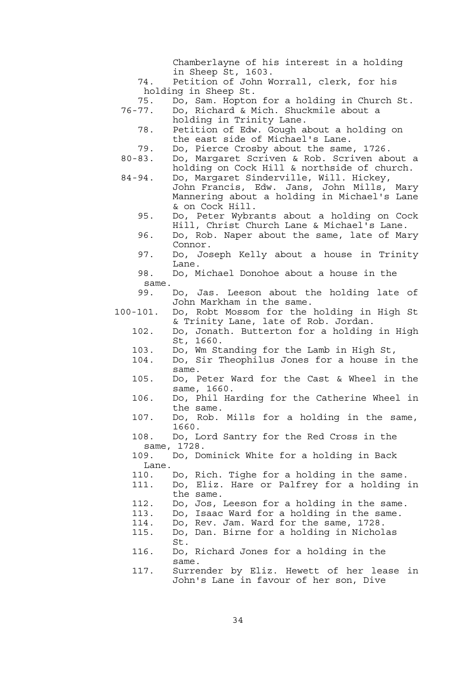Chamberlayne of his interest in a holding in Sheep St, 1603.

 74. Petition of John Worrall, clerk, for his holding in Sheep St.

- 75. Do, Sam. Hopton for a holding in Church St. 76-77. Do, Richard & Mich. Shuckmile about a
	- holding in Trinity Lane.
- 78. Petition of Edw. Gough about a holding on the east side of Michael's Lane.
	- 79. Do, Pierce Crosby about the same, 1726.
	- 80-83. Do, Margaret Scriven & Rob. Scriven about a holding on Cock Hill & northside of church.
	- 84-94. Do, Margaret Sinderville, Will. Hickey,
- John Francis, Edw. Jans, John Mills, Mary Mannering about a holding in Michael's Lane & on Cock Hill.
	- 95. Do, Peter Wybrants about a holding on Cock Hill, Christ Church Lane & Michael's Lane.
	- 96. Do, Rob. Naper about the same, late of Mary Connor.<br>97. Do, Jos
	- Do, Joseph Kelly about a house in Trinity Lane.
	- 98. Do, Michael Donohoe about a house in the same.
	- 99. Do, Jas. Leeson about the holding late of John Markham in the same.
	- 100-101. Do, Robt Mossom for the holding in High St & Trinity Lane, late of Rob. Jordan.
		- 102. Do, Jonath. Butterton for a holding in High St, 1660.
			- 103. Do, Wm Standing for the Lamb in High St,
		- 104. Do, Sir Theophilus Jones for a house in the same.
		- 105. Do, Peter Ward for the Cast & Wheel in the same, 1660.
		- 106. Do, Phil Harding for the Catherine Wheel in the same.
		- 107. Do, Rob. Mills for a holding in the same, 1660.
		- 108. Do, Lord Santry for the Red Cross in the same, 1728.
		- 109. Do, Dominick White for a holding in Back Lane.
		- 110. Do, Rich. Tighe for a holding in the same.
		- 111. Do, Eliz. Hare or Palfrey for a holding in the same.
		- 112. Do, Jos, Leeson for a holding in the same.
		- 113. Do, Isaac Ward for a holding in the same.
		- 114. Do, Rev. Jam. Ward for the same, 1728.
- 115. Do, Dan. Birne for a holding in Nicholas St.
	- 116. Do, Richard Jones for a holding in the same.
	- 117. Surrender by Eliz. Hewett of her lease in John's Lane in favour of her son, Dive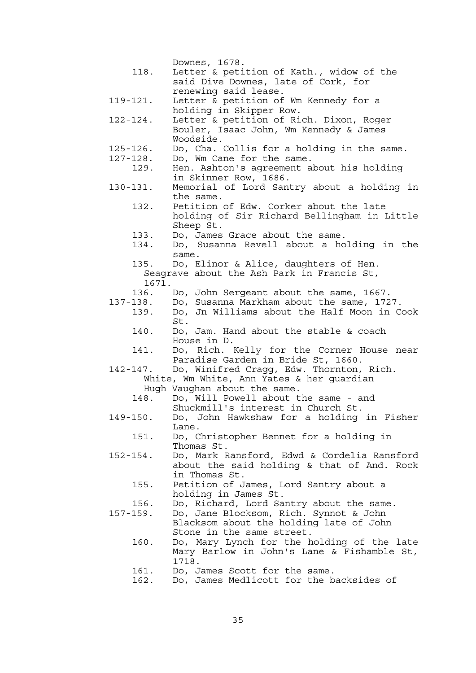|               | Downes, 1678.                               |
|---------------|---------------------------------------------|
| 118.          | Letter & petition of Kath., widow of the    |
|               | said Dive Downes, late of Cork, for         |
|               | renewing said lease.                        |
| $119 - 121.$  | Letter & petition of Wm Kennedy for a       |
|               | holding in Skipper Row.                     |
| 122-124.      | Letter & petition of Rich. Dixon, Roger     |
|               | Bouler, Isaac John, Wm Kennedy & James      |
|               | Woodside.                                   |
| $125 - 126$ . | Do, Cha. Collis for a holding in the same.  |
| $127 - 128$ . | Do, Wm Cane for the same.                   |
| 129.          | Hen. Ashton's agreement about his holding   |
|               | in Skinner Row, 1686.                       |
| 130-131.      | Memorial of Lord Santry about a holding in  |
|               | the same.                                   |
| 132.          | Petition of Edw. Corker about the late      |
|               | holding of Sir Richard Bellingham in Little |
|               | Sheep St.                                   |
| 133.          | Do, James Grace about the same.             |
| 134.          | Do, Susanna Revell about a holding in the   |
|               | same.                                       |
| 135.          | Do, Elinor & Alice, daughters of Hen.       |
|               | Seagrave about the Ash Park in Francis St,  |
| 1671.         |                                             |
| 136.          | Do, John Sergeant about the same, 1667.     |
| 137-138.      | Do, Susanna Markham about the same, 1727.   |
| 139.          | Do, Jn Williams about the Half Moon in Cook |
|               | St.                                         |
| 140.          | Do, Jam. Hand about the stable & coach      |
|               | House in D.                                 |
| 141.          | Do, Rich. Kelly for the Corner House near   |
|               | Paradise Garden in Bride St, 1660.          |
| 142-147.      | Do, Winifred Cragg, Edw. Thornton, Rich.    |
|               | White, Wm White, Ann Yates & her guardian   |
|               | Hugh Vaughan about the same.                |
| 148.          | Do, Will Powell about the same - and        |
|               | Shuckmill's interest in Church St.          |
| $149 - 150.$  | Do, John Hawkshaw for a holding in Fisher   |
|               | Lane.                                       |
| 151.          | Do, Christopher Bennet for a holding in     |
|               | Thomas St.                                  |
| $152 - 154$ . | Do, Mark Ransford, Edwd & Cordelia Ransford |
|               | about the said holding & that of And. Rock  |
|               | in Thomas St.                               |
| 155.          | Petition of James, Lord Santry about a      |
|               | holding in James St.                        |
| 156.          | Do, Richard, Lord Santry about the same.    |
| 157-159.      | Do, Jane Blocksom, Rich. Synnot & John      |
|               | Blacksom about the holding late of John     |
|               | Stone in the same street.                   |
| 160.          | Do, Mary Lynch for the holding of the late  |
|               | Mary Barlow in John's Lane & Fishamble St,  |
|               | 1718.                                       |
| 161.          | Do, James Scott for the same.               |
| 162.          | Do, James Medlicott for the backsides of    |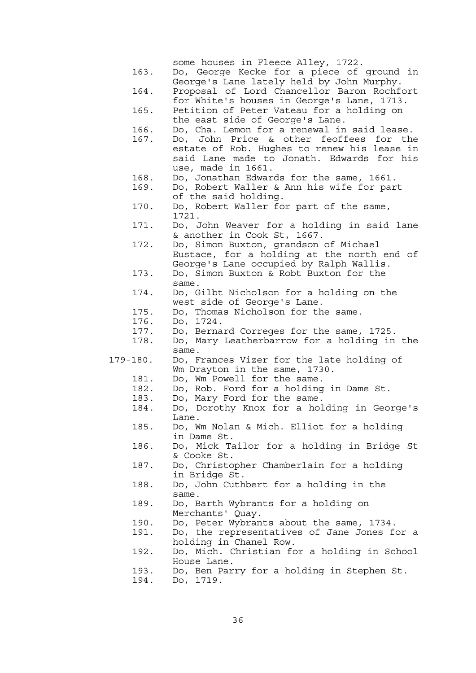|              | some houses in Fleece Alley, 1722.                                                      |
|--------------|-----------------------------------------------------------------------------------------|
| 163.         | Do, George Kecke for a piece of ground in                                               |
| 164.         | George's Lane lately held by John Murphy.<br>Proposal of Lord Chancellor Baron Rochfort |
|              | for White's houses in George's Lane, 1713.                                              |
| 165.         | Petition of Peter Vateau for a holding on                                               |
|              | the east side of George's Lane.                                                         |
| 166.         | Do, Cha. Lemon for a renewal in said lease.                                             |
| 167.         | Do, John Price & other feoffees for the                                                 |
|              | estate of Rob. Hughes to renew his lease in                                             |
|              | said Lane made to Jonath. Edwards for his                                               |
| 168.         | use, made in 1661.<br>Do, Jonathan Edwards for the same, 1661.                          |
| 169.         | Do, Robert Waller & Ann his wife for part                                               |
|              | of the said holding.                                                                    |
| 170.         | Do, Robert Waller for part of the same,                                                 |
|              | 1721.                                                                                   |
| 171.         | Do, John Weaver for a holding in said lane                                              |
|              | & another in Cook St, 1667.                                                             |
| 172.         | Do, Simon Buxton, grandson of Michael                                                   |
|              | Eustace, for a holding at the north end of<br>George's Lane occupied by Ralph Wallis.   |
| 173.         | Do, Simon Buxton & Robt Buxton for the                                                  |
|              | same.                                                                                   |
| 174.         | Do, Gilbt Nicholson for a holding on the                                                |
|              | west side of George's Lane.                                                             |
| 175.         | Do, Thomas Nicholson for the same.                                                      |
| 176.         | Do, 1724.                                                                               |
| 177.         | Do, Bernard Correges for the same, 1725.                                                |
| 178.         | Do, Mary Leatherbarrow for a holding in the<br>same.                                    |
| $179 - 180.$ | Do, Frances Vizer for the late holding of                                               |
|              | Wm Drayton in the same, 1730.                                                           |
| 181.         | Do, Wm Powell for the same.                                                             |
| 182.         | Do, Rob. Ford for a holding in Dame St.                                                 |
| 183.         | Do, Mary Ford for the same.                                                             |
| 184.         | Do, Dorothy Knox for a holding in George's                                              |
| 185.         | Lane.<br>Do, Wm Nolan & Mich. Elliot for a holding                                      |
|              | in Dame St.                                                                             |
| 186.         | Do, Mick Tailor for a holding in Bridge St                                              |
|              | & Cooke St.                                                                             |
| 187.         | Do, Christopher Chamberlain for a holding                                               |
|              |                                                                                         |
| 188.         | in Bridge St.                                                                           |
|              | Do, John Cuthbert for a holding in the                                                  |
|              | same.                                                                                   |
| 189.         | Do, Barth Wybrants for a holding on                                                     |
|              | Merchants' Quay.                                                                        |
| 190.         | Do, Peter Wybrants about the same, 1734.                                                |
| 191.         | Do, the representatives of Jane Jones for a<br>holding in Chanel Row.                   |
| 192.         | Do, Mich. Christian for a holding in School                                             |
|              | House Lane.                                                                             |
| 193.<br>194. | Do, Ben Parry for a holding in Stephen St.<br>Do, 1719.                                 |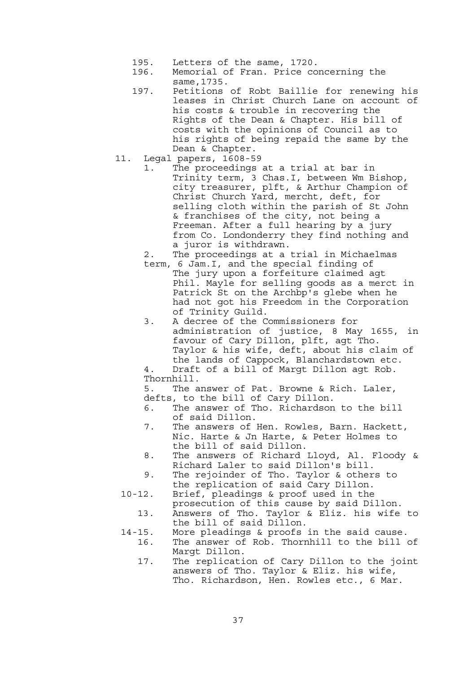- 195. Letters of the same, 1720.
- 196. Memorial of Fran. Price concerning the same,1735.
- 197. Petitions of Robt Baillie for renewing his leases in Christ Church Lane on account of his costs & trouble in recovering the Rights of the Dean & Chapter. His bill of costs with the opinions of Council as to his rights of being repaid the same by the Dean & Chapter.
- 11. Legal papers, 1608-59
	- 1. The proceedings at a trial at bar in Trinity term, 3 Chas.I, between Wm Bishop, city treasurer, plft, & Arthur Champion of Christ Church Yard, mercht, deft, for selling cloth within the parish of St John & franchises of the city, not being a Freeman. After a full hearing by a jury from Co. Londonderry they find nothing and a juror is withdrawn.
	- 2. The proceedings at a trial in Michaelmas
	- term, 6 Jam.I, and the special finding of The jury upon a forfeiture claimed agt Phil. Mayle for selling goods as a merct in Patrick St on the Archbp's glebe when he had not got his Freedom in the Corporation of Trinity Guild.
	- 3. A decree of the Commissioners for administration of justice, 8 May 1655, in favour of Cary Dillon, plft, agt Tho. Taylor & his wife, deft, about his claim of the lands of Cappock, Blanchardstown etc.

 4. Draft of a bill of Margt Dillon agt Rob. Thornhill.

 5. The answer of Pat. Browne & Rich. Laler, defts, to the bill of Cary Dillon.

- 6. The answer of Tho. Richardson to the bill of said Dillon.<br>7. The answers of
- The answers of Hen. Rowles, Barn. Hackett, Nic. Harte & Jn Harte, & Peter Holmes to the bill of said Dillon.
- 8. The answers of Richard Lloyd, Al. Floody & Richard Laler to said Dillon's bill.
- 9. The rejoinder of Tho. Taylor & others to the replication of said Cary Dillon.
- 10-12. Brief, pleadings & proof used in the prosecution of this cause by said Dillon.
	- 13. Answers of Tho. Taylor & Eliz. his wife to the bill of said Dillon.
- 14-15. More pleadings & proofs in the said cause. 16. The answer of Rob. Thornhill to the bill of
	- Margt Dillon. 17. The replication of Cary Dillon to the joint answers of Tho. Taylor & Eliz. his wife, Tho. Richardson, Hen. Rowles etc., 6 Mar.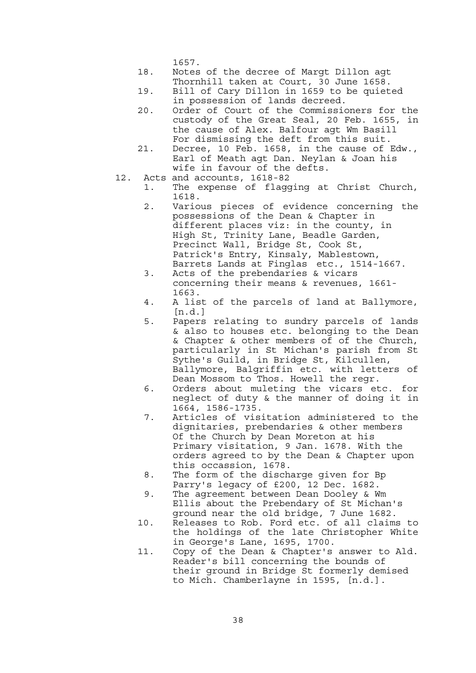1657.

- 18. Notes of the decree of Margt Dillon agt Thornhill taken at Court, 30 June 1658.
- 19. Bill of Cary Dillon in 1659 to be quieted in possession of lands decreed.
- 20. Order of Court of the Commissioners for the custody of the Great Seal, 20 Feb. 1655, in the cause of Alex. Balfour agt Wm Basill For dismissing the deft from this suit.
- 21. Decree, 10 Feb. 1658, in the cause of Edw., Earl of Meath agt Dan. Neylan & Joan his wife in favour of the defts.
- 12. Acts and accounts, 1618-82
	- 1. The expense of flagging at Christ Church, 1618.
	- 2. Various pieces of evidence concerning the possessions of the Dean & Chapter in different places viz: in the county, in High St, Trinity Lane, Beadle Garden, Precinct Wall, Bridge St, Cook St, Patrick's Entry, Kinsaly, Mablestown, Barrets Lands at Finglas etc., 1514-1667.
	- 3. Acts of the prebendaries & vicars concerning their means & revenues, 1661- 1663.
	- 4. A list of the parcels of land at Ballymore,  $[n.d.]$
	- 5. Papers relating to sundry parcels of lands & also to houses etc. belonging to the Dean & Chapter & other members of of the Church, particularly in St Michan's parish from St Sythe's Guild, in Bridge St, Kilcullen, Ballymore, Balgriffin etc. with letters of Dean Mossom to Thos. Howell the regr.
	- 6. Orders about muleting the vicars etc. for neglect of duty & the manner of doing it in 1664, 1586-1735.
	- 7. Articles of visitation administered to the dignitaries, prebendaries & other members Of the Church by Dean Moreton at his Primary visitation, 9 Jan. 1678. With the orders agreed to by the Dean & Chapter upon this occassion, 1678.
	- 8. The form of the discharge given for Bp Parry's legacy of £200, 12 Dec. 1682.
	- 9. The agreement between Dean Dooley & Wm Ellis about the Prebendary of St Michan's ground near the old bridge, 7 June 1682.
- 10. Releases to Rob. Ford etc. of all claims to the holdings of the late Christopher White in George's Lane, 1695, 1700.
- 11. Copy of the Dean & Chapter's answer to Ald. Reader's bill concerning the bounds of their ground in Bridge St formerly demised to Mich. Chamberlayne in 1595, [n.d.].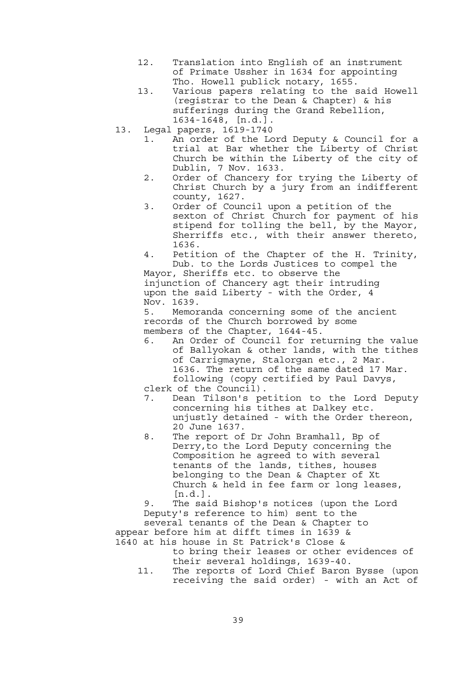- 12. Translation into English of an instrument of Primate Ussher in 1634 for appointing Tho. Howell publick notary, 1655.
- 13. Various papers relating to the said Howell (registrar to the Dean & Chapter) & his sufferings during the Grand Rebellion, 1634- 1648, [n.d.].
- 13. Legal papers, 1619-1740
	- 1. An order of the Lord Deputy & Council for a trial at Bar whether the Liberty of Christ Church be within the Liberty of the city of Dublin, 7 Nov. 1633.
	- 2. Order of Chancery for trying the Liberty of Christ Church by a jury from an indifferent county, 1627.
	- 3. Order of Council upon a petition of the sexton of Christ Church for payment of his stipend for tolling the bell, by the Mayor, Sherriffs etc., with their answer thereto, 1636.
	- 4. Petition of the Chapter of the H. Trinity, Dub. to the Lords Justices to compel the

 Mayor, Sheriffs etc. to observe the injunction of Chancery agt their intruding upon the said Liberty - with the Order, 4 Nov. 1639.

 5. Memoranda concerning some of the ancient records of the Church borrowed by some members of the Chapter, 1644-45.

- 6. An Order of Council for returning the value of Ballyokan & other lands, with the tithes of Carrigmayne, Stalorgan etc., 2 Mar. 1636. The return of the same dated 17 Mar. following (copy certified by Paul Davys,
- clerk of the Council).
- 7. Dean Tilson's petition to the Lord Deputy concerning his tithes at Dalkey etc. unjustly detained - with the Order thereon, 20 June 1637.
	- 8. The report of Dr John Bramhall, Bp of Derry,to the Lord Deputy concerning the Composition he agreed to with several tenants of the lands, tithes, houses belonging to the Dean & Chapter of Xt Church & held in fee farm or long leases, [n.d.].

 9. The said Bishop's notices (upon the Lord Deputy's reference to him) sent to the several tenants of the Dean & Chapter to appear before him at difft times in 1639 &

- 1640 at his house in St Patrick's Close & to bring their leases or other evidences of their several holdings, 1639-40.
	- 11. The reports of Lord Chief Baron Bysse (upon receiving the said order) - with an Act of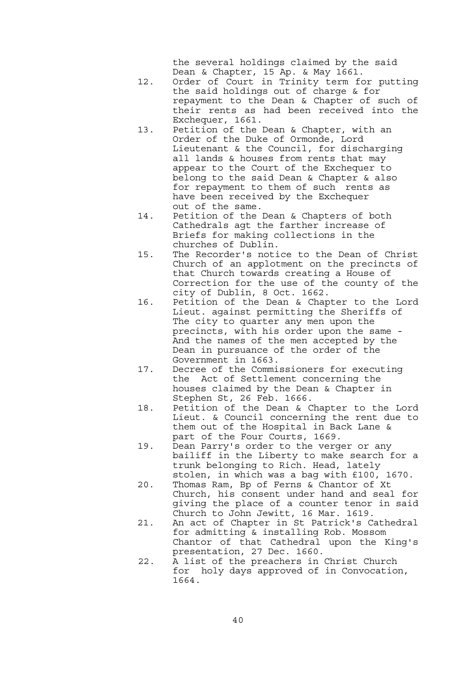the several holdings claimed by the said Dean & Chapter, 15 Ap. & May 1661.

- 12. Order of Court in Trinity term for putting the said holdings out of charge & for repayment to the Dean & Chapter of such of their rents as had been received into the Exchequer, 1661.
- 13. Petition of the Dean & Chapter, with an Order of the Duke of Ormonde, Lord Lieutenant & the Council, for discharging all lands & houses from rents that may appear to the Court of the Exchequer to belong to the said Dean & Chapter & also for repayment to them of such rents as have been received by the Exchequer out of the same.
- 14. Petition of the Dean & Chapters of both Cathedrals agt the farther increase of Briefs for making collections in the churches of Dublin.
- 15. The Recorder's notice to the Dean of Christ Church of an applotment on the precincts of that Church towards creating a House of Correction for the use of the county of the city of Dublin, 8 Oct. 1662.
- 16. Petition of the Dean & Chapter to the Lord Lieut. against permitting the Sheriffs of The city to quarter any men upon the precincts, with his order upon the same - And the names of the men accepted by the Dean in pursuance of the order of the Government in 1663.
- 17. Decree of the Commissioners for executing the Act of Settlement concerning the houses claimed by the Dean & Chapter in Stephen St, 26 Feb. 1666.
- 18. Petition of the Dean & Chapter to the Lord Lieut. & Council concerning the rent due to them out of the Hospital in Back Lane & part of the Four Courts, 1669.
	- 19. Dean Parry's order to the verger or any bailiff in the Liberty to make search for a trunk belonging to Rich. Head, lately stolen, in which was a bag with £100, 1670.
	- 20. Thomas Ram, Bp of Ferns & Chantor of Xt Church, his consent under hand and seal for giving the place of a counter tenor in said Church to John Jewitt, 16 Mar. 1619.
	- 21. An act of Chapter in St Patrick's Cathedral for admitting & installing Rob. Mossom Chantor of that Cathedral upon the King's presentation, 27 Dec. 1660.
	- 22. A list of the preachers in Christ Church for holy days approved of in Convocation, 1664.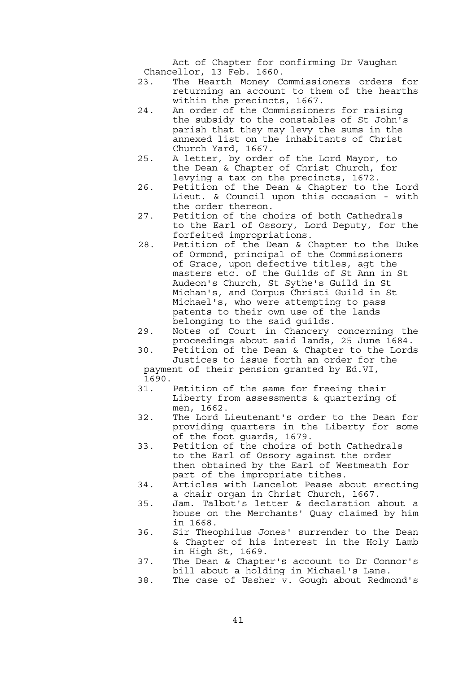Act of Chapter for confirming Dr Vaughan Chancellor, 13 Feb. 1660.

- 23. The Hearth Money Commissioners orders for returning an account to them of the hearths within the precincts, 1667.
- 24. An order of the Commissioners for raising the subsidy to the constables of St John's parish that they may levy the sums in the annexed list on the inhabitants of Christ Church Yard, 1667.
- 25. A letter, by order of the Lord Mayor, to the Dean & Chapter of Christ Church, for levying a tax on the precincts, 1672.
- 26. Petition of the Dean & Chapter to the Lord Lieut. & Council upon this occasion - with the order thereon.
- 27. Petition of the choirs of both Cathedrals to the Earl of Ossory, Lord Deputy, for the forfeited impropriations.
- 28. Petition of the Dean & Chapter to the Duke of Ormond, principal of the Commissioners of Grace, upon defective titles, agt the masters etc. of the Guilds of St Ann in St Audeon's Church, St Sythe's Guild in St Michan's, and Corpus Christi Guild in St Michael's, who were attempting to pass patents to their own use of the lands belonging to the said guilds.
- 29. Notes of Court in Chancery concerning the proceedings about said lands, 25 June 1684.
- 30. Petition of the Dean & Chapter to the Lords Justices to issue forth an order for the payment of their pension granted by Ed.VI,
- 1690.
- 31. Petition of the same for freeing their Liberty from assessments & quartering of men, 1662.
- 32. The Lord Lieutenant's order to the Dean for providing quarters in the Liberty for some of the foot guards, 1679.
- 33. Petition of the choirs of both Cathedrals to the Earl of Ossory against the order then obtained by the Earl of Westmeath for part of the impropriate tithes.
- 34. Articles with Lancelot Pease about erecting a chair organ in Christ Church, 1667.
- 35. Jam. Talbot's letter & declaration about a house on the Merchants' Quay claimed by him in 1668.
- 36. Sir Theophilus Jones' surrender to the Dean & Chapter of his interest in the Holy Lamb in High St, 1669.
- 37. The Dean & Chapter's account to Dr Connor's bill about a holding in Michael's Lane.
- 38. The case of Ussher v. Gough about Redmond's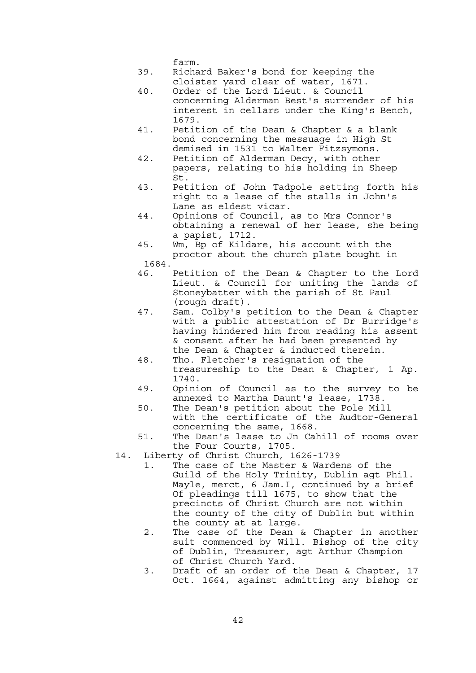farm.

- 39. Richard Baker's bond for keeping the cloister yard clear of water, 1671.
- 40. Order of the Lord Lieut. & Council concerning Alderman Best's surrender of his interest in cellars under the King's Bench, 1679.
- 41. Petition of the Dean & Chapter & a blank bond concerning the messuage in High St demised in 1531 to Walter Fitzsymons.
- 42. Petition of Alderman Decy, with other papers, relating to his holding in Sheep St.
	- 43. Petition of John Tadpole setting forth his right to a lease of the stalls in John's Lane as eldest vicar.
	- 44. Opinions of Council, as to Mrs Connor's obtaining a renewal of her lease, she being a papist, 1712.
	- 45. Wm, Bp of Kildare, his account with the proctor about the church plate bought in
	- 1684.
	- 46. Petition of the Dean & Chapter to the Lord Lieut. & Council for uniting the lands of Stoneybatter with the parish of St Paul (rough draft).
	- 47. Sam. Colby's petition to the Dean & Chapter with a public attestation of Dr Burridge's having hindered him from reading his assent & consent after he had been presented by the Dean & Chapter & inducted therein.
	- 48. Tho. Fletcher's resignation of the treasureship to the Dean & Chapter, 1 Ap. 1740.
	- 49. Opinion of Council as to the survey to be annexed to Martha Daunt's lease, 1738.
	- 50. The Dean's petition about the Pole Mill with the certificate of the Audtor-General concerning the same, 1668.
	- 51. The Dean's lease to Jn Cahill of rooms over the Four Courts, 1705.
	- 14. Liberty of Christ Church, 1626-1739
		- 1. The case of the Master & Wardens of the Guild of the Holy Trinity, Dublin agt Phil. Mayle, merct, 6 Jam.I, continued by a brief Of pleadings till 1675, to show that the precincts of Christ Church are not within the county of the city of Dublin but within the county at at large.
		- 2. The case of the Dean & Chapter in another suit commenced by Will. Bishop of the city of Dublin, Treasurer, agt Arthur Champion of Christ Church Yard.
		- 3. Draft of an order of the Dean & Chapter, 17 Oct. 1664, against admitting any bishop or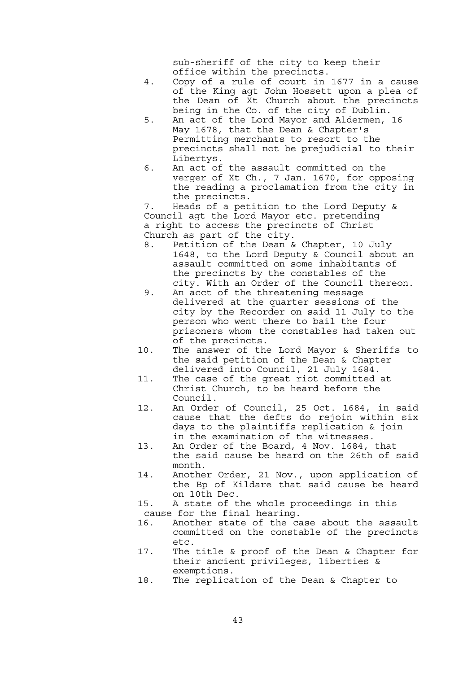sub-sheriff of the city to keep their office within the precincts.

- 4. Copy of a rule of court in 1677 in a cause of the King agt John Hossett upon a plea of the Dean of Xt Church about the precincts being in the Co. of the city of Dublin.
- 5. An act of the Lord Mayor and Aldermen, 16 May 1678, that the Dean & Chapter's Permitting merchants to resort to the precincts shall not be prejudicial to their Libertys.
- 6. An act of the assault committed on the verger of Xt Ch., 7 Jan. 1670, for opposing the reading a proclamation from the city in the precincts.

 7. Heads of a petition to the Lord Deputy & Council agt the Lord Mayor etc. pretending a right to access the precincts of Christ Church as part of the city.

- 8. Petition of the Dean & Chapter, 10 July 1648, to the Lord Deputy & Council about an assault committed on some inhabitants of the precincts by the constables of the city. With an Order of the Council thereon.
- 9. An acct of the threatening message delivered at the quarter sessions of the city by the Recorder on said 11 July to the person who went there to bail the four prisoners whom the constables had taken out of the precincts.
- 10. The answer of the Lord Mayor & Sheriffs to the said petition of the Dean & Chapter delivered into Council, 21 July 1684.
- 11. The case of the great riot committed at Christ Church, to be heard before the Council.
- 12. An Order of Council, 25 Oct. 1684, in said cause that the defts do rejoin within six days to the plaintiffs replication & join in the examination of the witnesses.
- 13. An Order of the Board, 4 Nov. 1684, that the said cause be heard on the 26th of said month.
- 14. Another Order, 21 Nov., upon application of the Bp of Kildare that said cause be heard on 10th Dec.
- 15. A state of the whole proceedings in this cause for the final hearing.
- 16. Another state of the case about the assault committed on the constable of the precincts etc.
- 17. The title & proof of the Dean & Chapter for their ancient privileges, liberties & exemptions.
- 18. The replication of the Dean & Chapter to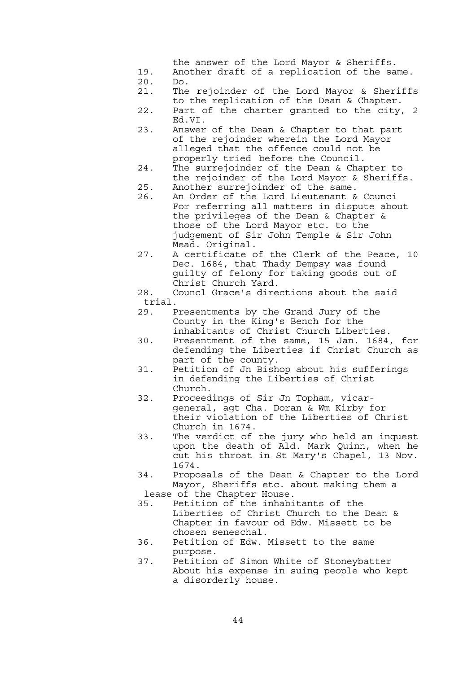the answer of the Lord Mayor & Sheriffs.

- 19. Another draft of a replication of the same. 20. Do.
- 21. The rejoinder of the Lord Mayor & Sheriffs to the replication of the Dean & Chapter.
- 22. Part of the charter granted to the city, 2 Ed.VI.
- 23. Answer of the Dean & Chapter to that part of the rejoinder wherein the Lord Mayor alleged that the offence could not be properly tried before the Council.
- 24. The surrejoinder of the Dean & Chapter to the rejoinder of the Lord Mayor & Sheriffs.
- 25. Another surrejoinder of the same.
- 26. An Order of the Lord Lieutenant & Counci For referring all matters in dispute about the privileges of the Dean & Chapter & those of the Lord Mayor etc. to the judgement of Sir John Temple & Sir John Mead. Original.
- 27. A certificate of the Clerk of the Peace, 10 Dec. 1684, that Thady Dempsy was found guilty of felony for taking goods out of Christ Church Yard.
	- 28. Councl Grace's directions about the said trial.
	- 29. Presentments by the Grand Jury of the County in the King's Bench for the inhabitants of Christ Church Liberties.
	- 30. Presentment of the same, 15 Jan. 1684, for defending the Liberties if Christ Church as part of the county.
	- 31. Petition of Jn Bishop about his sufferings in defending the Liberties of Christ Church.
	- 32. Proceedings of Sir Jn Topham, vicar general, agt Cha. Doran & Wm Kirby for their violation of the Liberties of Christ Church in 1674.
	- 33. The verdict of the jury who held an inquest upon the death of Ald. Mark Quinn, when he cut his throat in St Mary's Chapel, 13 Nov. 1674.
	- 34. Proposals of the Dean & Chapter to the Lord Mayor, Sheriffs etc. about making them a lease of the Chapter House.
	- 35. Petition of the inhabitants of the Liberties of Christ Church to the Dean & Chapter in favour od Edw. Missett to be chosen seneschal.
	- 36. Petition of Edw. Missett to the same purpose.
	- 37. Petition of Simon White of Stoneybatter About his expense in suing people who kept a disorderly house.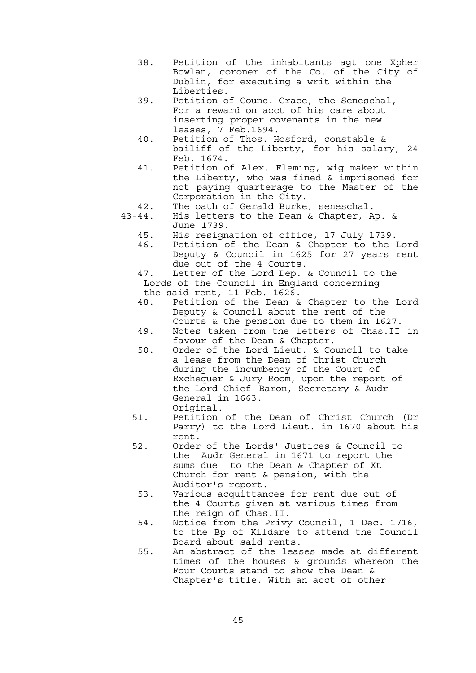- 38. Petition of the inhabitants agt one Xpher Bowlan, coroner of the Co. of the City of Dublin, for executing a writ within the Liberties.
- 39. Petition of Counc. Grace, the Seneschal, For a reward on acct of his care about inserting proper covenants in the new leases, 7 Feb.1694.
	- 40. Petition of Thos. Hosford, constable & bailiff of the Liberty, for his salary, 24 Feb. 1674.
	- 41. Petition of Alex. Fleming, wig maker within the Liberty, who was fined & imprisoned for not paying quarterage to the Master of the Corporation in the City.
	- 42. The oath of Gerald Burke, seneschal.
	- 43-44. His letters to the Dean & Chapter, Ap. & June 1739.
		- 45. His resignation of office, 17 July 1739.
		- 46. Petition of the Dean & Chapter to the Lord Deputy & Council in 1625 for 27 years rent due out of the 4 Courts.
		- 47. Letter of the Lord Dep. & Council to the Lords of the Council in England concerning the said rent, 11 Feb. 1626.
		- 48. Petition of the Dean & Chapter to the Lord Deputy & Council about the rent of the Courts & the pension due to them in 1627.
		- 49. Notes taken from the letters of Chas.II in favour of the Dean & Chapter.
		- 50. Order of the Lord Lieut. & Council to take a lease from the Dean of Christ Church during the incumbency of the Court of Exchequer & Jury Room, upon the report of the Lord Chief Baron, Secretary & Audr General in 1663.
		- Original. 51. Petition of the Dean of Christ Church (Dr Parry) to the Lord Lieut. in 1670 about his rent.
			- 52. Order of the Lords' Justices & Council to the Audr General in 1671 to report the sums due to the Dean & Chapter of Xt Church for rent & pension, with the Auditor's report.
				- 53. Various acquittances for rent due out of the 4 Courts given at various times from the reign of Chas.II.
			- 54. Notice from the Privy Council, 1 Dec. 1716, to the Bp of Kildare to attend the Council Board about said rents.
			- 55. An abstract of the leases made at different times of the houses & grounds whereon the Four Courts stand to show the Dean & Chapter's title. With an acct of other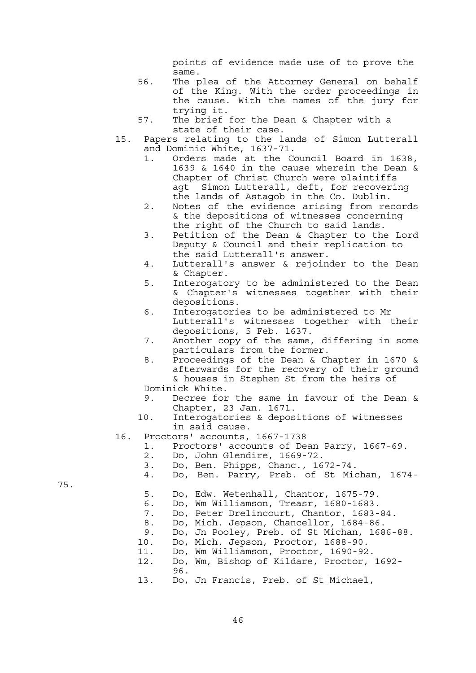points of evidence made use of to prove the same.

- 56. The plea of the Attorney General on behalf of the King. With the order proceedings in the cause. With the names of the jury for trying it.
- 57. The brief for the Dean & Chapter with a state of their case.
- 15. Papers relating to the lands of Simon Lutterall and Dominic White, 1637-71.
	- 1. Orders made at the Council Board in 1638, 1639 & 1640 in the cause wherein the Dean & Chapter of Christ Church were plaintiffs agt Simon Lutterall, deft, for recovering the lands of Astagob in the Co. Dublin.
	- 2. Notes of the evidence arising from records & the depositions of witnesses concerning the right of the Church to said lands.
	- 3. Petition of the Dean & Chapter to the Lord Deputy & Council and their replication to the said Lutterall's answer.
	- 4. Lutterall's answer & rejoinder to the Dean & Chapter.
	- 5. Interogatory to be administered to the Dean & Chapter's witnesses together with their depositions.
	- 6. Interogatories to be administered to Mr Lutterall's witnesses together with their depositions, 5 Feb. 1637.
	- 7. Another copy of the same, differing in some particulars from the former.
	- 8. Proceedings of the Dean & Chapter in 1670 & afterwards for the recovery of their ground & houses in Stephen St from the heirs of Dominick White.
	-
	- 9. Decree for the same in favour of the Dean & Chapter, 23 Jan. 1671.
	- 10. Interogatories & depositions of witnesses in said cause.
- 16. Proctors' accounts, 1667-1738
	- 1. Proctors' accounts of Dean Parry, 1667-69.
	- 2. Do, John Glendire, 1669-72.
	- 3. Do, Ben. Phipps, Chanc., 1672-74.
	- 4. Do, Ben. Parry, Preb. of St Michan, 1674-
	- 5. Do, Edw. Wetenhall, Chantor, 1675-79.
	- 6. Do, Wm Williamson, Treasr, 1680-1683.
	- 7. Do, Peter Drelincourt, Chantor, 1683-84.
	- 8. Do, Mich. Jepson, Chancellor, 1684-86.
	- 9. Do, Jn Pooley, Preb. of St Michan, 1686-88.
	- 10. Do, Mich. Jepson, Proctor, 1688-90.
	- 11. Do, Wm Williamson, Proctor, 1690-92.
- 12. Do, Wm, Bishop of Kildare, Proctor, 1692- 96.
	- 13. Do, Jn Francis, Preb. of St Michael,

75.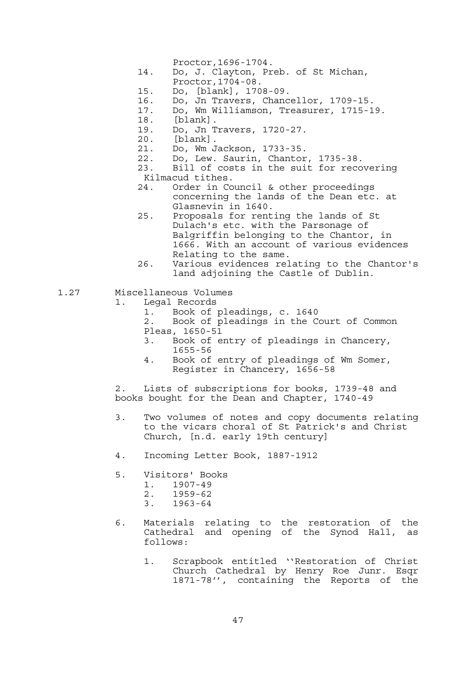- Proctor,1696-1704.
- 14. Do, J. Clayton, Preb. of St Michan, Proctor,1704-08.
- 
- 15. Do, [blank], 1708-09.
- 16. Do, Jn Travers, Chancellor, 1709-15.
- 17. Do, Wm Williamson, Treasurer, 1715-19.
	- 18. [blank].<br>19. Do, Jn T
	- 19. Do, Jn Travers, 1720-27.
	- 20. [blank].
	- 21. Do, Wm Jackson, 1733-35.
	- 22. Do, Lew. Saurin, Chantor, 1735-38.
	- 23. Bill of costs in the suit for recovering Kilmacud tithes.
	- 24. Order in Council & other proceedings concerning the lands of the Dean etc. at Glasnevin in 1640.
	- 25. Proposals for renting the lands of St Dulach's etc. with the Parsonage of Balgriffin belonging to the Chantor, in 1666. With an account of various evidences Relating to the same.
	- 26. Various evidences relating to the Chantor's land adjoining the Castle of Dublin.
- 1.27 Miscellaneous Volumes
	- 1. Legal Records
		- 1. Book of pleadings, c. 1640
		- 2. Book of pleadings in the Court of Common Pleas, 1650-51
			- 3. Book of entry of pleadings in Chancery, 1655-56
			- 4. Book of entry of pleadings of Wm Somer, Register in Chancery, 1656-58

 2. Lists of subscriptions for books, 1739-48 and books bought for the Dean and Chapter, 1740-49

- 3. Two volumes of notes and copy documents relating to the vicars choral of St Patrick's and Christ Church, [n.d. early 19th century]
- 4. Incoming Letter Book, 1887-1912
- 5. Visitors' Books 1. 1907-49 2. 1959-62 3. 1963-64
- 6. Materials relating to the restoration of the Cathedral and opening of the Synod Hall, as follows:
	- 1. Scrapbook entitled ''Restoration of Christ Church Cathedral by Henry Roe Junr. Esqr 1871-78'', containing the Reports of the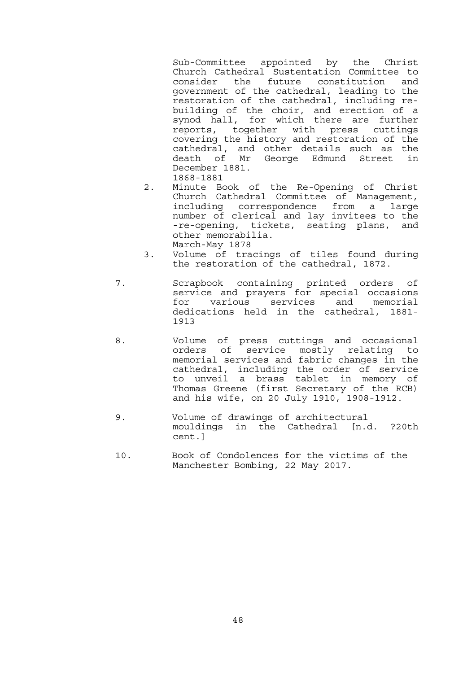Sub-Committee appointed by the Christ Church Cathedral Sustentation Committee to consider the future constitution and government of the cathedral, leading to the restoration of the cathedral, including rebuilding of the choir, and erection of a synod hall, for which there are further reports, together with press cuttings covering the history and restoration of the cathedral, and other details such as the death of Mr George Edmund Street in December 1881. 1868-1881

- 2. Minute Book of the Re-Opening of Christ Church Cathedral Committee of Management, including correspondence from a large number of clerical and lay invitees to the -re-opening, tickets, seating plans, and other memorabilia. March-May 1878
- 3. Volume of tracings of tiles found during the restoration of the cathedral, 1872.
- 7. Scrapbook containing printed orders of service and prayers for special occasions for various services and memorial dedications held in the cathedral, 1881- 1913
- 8. Volume of press cuttings and occasional orders of service mostly relating to memorial services and fabric changes in the cathedral, including the order of service to unveil a brass tablet in memory of Thomas Greene (first Secretary of the RCB) and his wife, on 20 July 1910, 1908-1912.<br>9. Volume of drawings of architectural
	- mouldings in the Cathedral [n.d. ?20th cent.]
	- 10. Book of Condolences for the victims of the Manchester Bombing, 22 May 2017.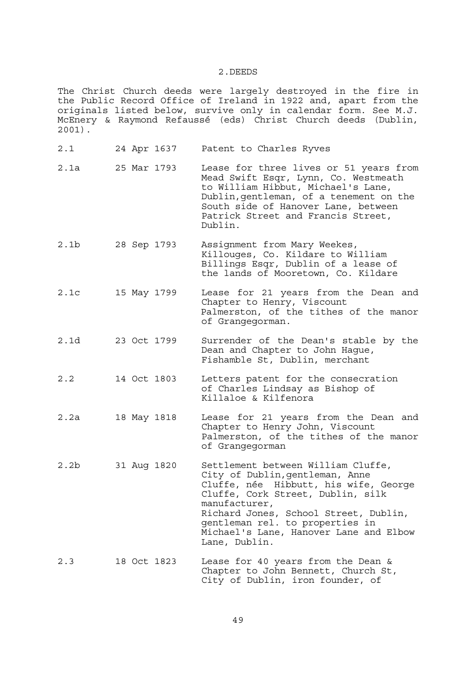#### 2.DEEDS

The Christ Church deeds were largely destroyed in the fire in the Public Record Office of Ireland in 1922 and, apart from the originals listed below, survive only in calendar form. See M.J. McEnery & Raymond Refaussé (eds) Christ Church deeds (Dublin, 2001).

2.1 24 Apr 1637 Patent to Charles Ryves 2.1a 25 Mar 1793 Lease for three lives or 51 years from Mead Swift Esqr, Lynn, Co. Westmeath to William Hibbut, Michael's Lane, Dublin,gentleman, of a tenement on the South side of Hanover Lane, between Patrick Street and Francis Street, Dublin. 2.1b 28 Sep 1793 Assignment from Mary Weekes, Killouges, Co. Kildare to William Billings Esqr, Dublin of a lease of the lands of Mooretown, Co. Kildare 2.1c 15 May 1799 Lease for 21 years from the Dean and Chapter to Henry, Viscount Palmerston, of the tithes of the manor of Grangegorman. 2.1d 23 Oct 1799 Surrender of the Dean's stable by the Dean and Chapter to John Hague, Fishamble St, Dublin, merchant 2.2 14 Oct 1803 Letters patent for the consecration of Charles Lindsay as Bishop of Killaloe & Kilfenora 2.2a 18 May 1818 Lease for 21 years from the Dean and Chapter to Henry John, Viscount Palmerston, of the tithes of the manor of Grangegorman 2.2b 31 Aug 1820 Settlement between William Cluffe, City of Dublin,gentleman, Anne Cluffe, née Hibbutt, his wife, George Cluffe, Cork Street, Dublin, silk manufacturer, Richard Jones, School Street, Dublin, gentleman rel. to properties in Michael's Lane, Hanover Lane and Elbow Lane, Dublin. 2.3 18 Oct 1823 Lease for 40 years from the Dean & Chapter to John Bennett, Church St, City of Dublin, iron founder, of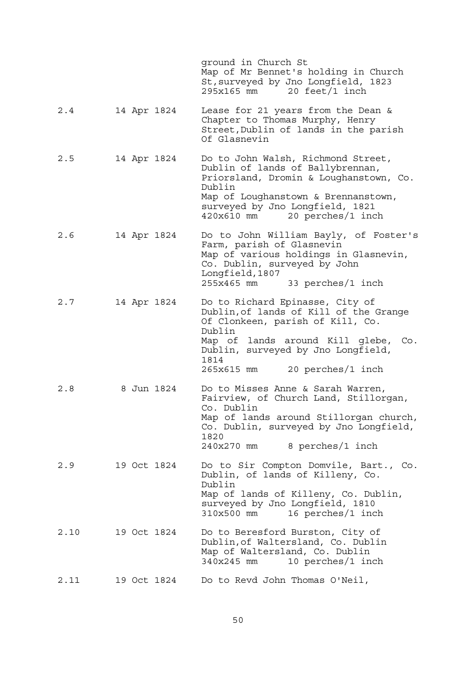|      |  |             | ground in Church St<br>Map of Mr Bennet's holding in Church<br>St, surveyed by Jno Longfield, 1823<br>$295x165$ mm $20$ feet/1 inch                                                                                                          |
|------|--|-------------|----------------------------------------------------------------------------------------------------------------------------------------------------------------------------------------------------------------------------------------------|
| 2.4  |  | 14 Apr 1824 | Lease for 21 years from the Dean &<br>Chapter to Thomas Murphy, Henry<br>Street, Dublin of lands in the parish<br>Of Glasnevin                                                                                                               |
| 2.5  |  | 14 Apr 1824 | Do to John Walsh, Richmond Street,<br>Dublin of lands of Ballybrennan,<br>Priorsland, Dromin & Loughanstown, Co.<br>Dublin<br>Map of Loughanstown & Brennanstown,<br>surveyed by Jno Longfield, 1821<br>$420x610$ mm $20$ perches/1 inch     |
| 2.6  |  | 14 Apr 1824 | Do to John William Bayly, of Foster's<br>Farm, parish of Glasnevin<br>Map of various holdings in Glasnevin,<br>Co. Dublin, surveyed by John<br>Longfield, 1807<br>$255x465$ mm $33$ perches/1 inch                                           |
| 2.7  |  | 14 Apr 1824 | Do to Richard Epinasse, City of<br>Dublin, of lands of Kill of the Grange<br>Of Clonkeen, parish of Kill, Co.<br>Dublin<br>Map of lands around Kill glebe, Co.<br>Dublin, surveyed by Jno Longfield,<br>1814<br>265x615 mm 20 perches/1 inch |
| 2.8  |  | 8 Jun 1824  | Do to Misses Anne & Sarah Warren,<br>Fairview, of Church Land, Stillorgan,<br>Co. Dublin<br>Map of lands around Stillorgan church,<br>Co. Dublin, surveyed by Jno Longfield,<br>1820<br>8 perches/1 inch<br>240x270 mm                       |
| 2.9  |  | 19 Oct 1824 | Do to Sir Compton Domvile, Bart., Co.<br>Dublin, of lands of Killeny, Co.<br>Dublin<br>Map of lands of Killeny, Co. Dublin,<br>surveyed by Jno Longfield, 1810<br>16 perches/1 inch<br>310x500 mm                                            |
| 2.10 |  | 19 Oct 1824 | Do to Beresford Burston, City of<br>Dublin, of Waltersland, Co. Dublin<br>Map of Waltersland, Co. Dublin<br>10 perches/1 inch<br>340x245 mm                                                                                                  |
| 2.11 |  | 19 Oct 1824 | Do to Revd John Thomas O'Neil,                                                                                                                                                                                                               |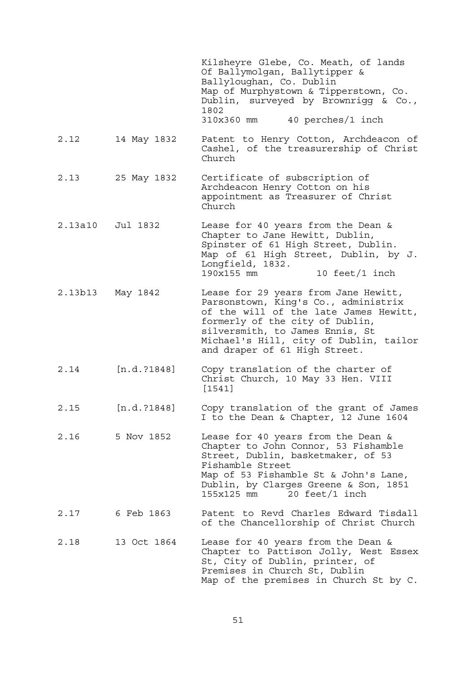|                  |              | Kilsheyre Glebe, Co. Meath, of lands<br>Of Ballymolgan, Ballytipper &<br>Ballyloughan, Co. Dublin<br>Map of Murphystown & Tipperstown, Co.<br>Dublin, surveyed by Brownrigg & Co.,<br>1802<br>$310x360$ mm $40$ perches/1 inch                                         |
|------------------|--------------|------------------------------------------------------------------------------------------------------------------------------------------------------------------------------------------------------------------------------------------------------------------------|
| 2.12             | 14 May 1832  | Patent to Henry Cotton, Archdeacon of<br>Cashel, of the treasurership of Christ<br>Church                                                                                                                                                                              |
| 2.13             | 25 May 1832  | Certificate of subscription of<br>Archdeacon Henry Cotton on his<br>appointment as Treasurer of Christ<br>Church                                                                                                                                                       |
| 2.13a10          | Jul 1832     | Lease for 40 years from the Dean &<br>Chapter to Jane Hewitt, Dublin,<br>Spinster of 61 High Street, Dublin.<br>Map of 61 High Street, Dublin, by J.<br>Longfield, 1832.<br>10 feet/1 inch<br>190x155 mm                                                               |
| 2.13b13 May 1842 |              | Lease for 29 years from Jane Hewitt,<br>Parsonstown, King's Co., administrix<br>of the will of the late James Hewitt,<br>formerly of the city of Dublin,<br>silversmith, to James Ennis, St<br>Michael's Hill, city of Dublin, tailor<br>and draper of 61 High Street. |
| 2.14             | [n.d. ?1848] | Copy translation of the charter of<br>Christ Church, 10 May 33 Hen. VIII<br>[1541]                                                                                                                                                                                     |
| 2.15             | [n.d. ?1848] | Copy translation of the grant of James<br>I to the Dean & Chapter, 12 June 1604                                                                                                                                                                                        |
| 2.16             | 5 Nov 1852   | Lease for 40 years from the Dean &<br>Chapter to John Connor, 53 Fishamble<br>Street, Dublin, basketmaker, of 53<br>Fishamble Street<br>Map of 53 Fishamble St & John's Lane,<br>Dublin, by Clarges Greene & Son, 1851<br>$155x125$ mm $20$ feet/1 inch                |
| 2.17             | 6 Feb 1863   | Patent to Revd Charles Edward Tisdall<br>of the Chancellorship of Christ Church                                                                                                                                                                                        |
| 2.18             | 13 Oct 1864  | Lease for 40 years from the Dean &<br>Chapter to Pattison Jolly, West Essex<br>St, City of Dublin, printer, of<br>Premises in Church St, Dublin<br>Map of the premises in Church St by C.                                                                              |

51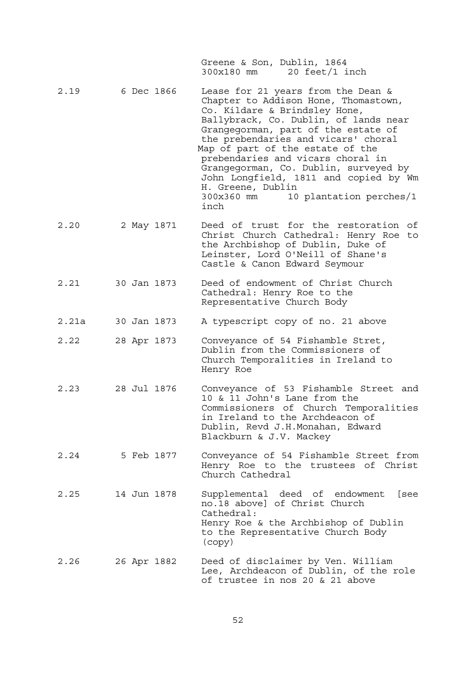Greene & Son, Dublin, 1864 300x180 mm 20 feet/1 inch

- 2.19 6 Dec 1866 Lease for 21 years from the Dean & Chapter to Addison Hone, Thomastown, Co. Kildare & Brindsley Hone, Ballybrack, Co. Dublin, of lands near Grangegorman, part of the estate of the prebendaries and vicars' choral Map of part of the estate of the prebendaries and vicars choral in Grangegorman, Co. Dublin, surveyed by John Longfield, 1811 and copied by Wm H. Greene, Dublin 300x360 mm 10 plantation perches/1 inch
- 2.20 2 May 1871 Deed of trust for the restoration of Christ Church Cathedral: Henry Roe to the Archbishop of Dublin, Duke of Leinster, Lord O'Neill of Shane's Castle & Canon Edward Seymour
- 2.21 30 Jan 1873 Deed of endowment of Christ Church Cathedral: Henry Roe to the Representative Church Body
- 2.21a 30 Jan 1873 A typescript copy of no. 21 above
- 2.22 28 Apr 1873 Conveyance of 54 Fishamble Stret, Dublin from the Commissioners of Church Temporalities in Ireland to Henry Roe
- 2.23 28 Jul 1876 Conveyance of 53 Fishamble Street and 10 & 11 John's Lane from the Commissioners of Church Temporalities in Ireland to the Archdeacon of Dublin, Revd J.H.Monahan, Edward Blackburn & J.V. Mackey
- 2.24 5 Feb 1877 Conveyance of 54 Fishamble Street from Henry Roe to the trustees of Christ Church Cathedral
- 2.25 14 Jun 1878 Supplemental deed of endowment [see no.18 above] of Christ Church Cathedral: Henry Roe & the Archbishop of Dublin to the Representative Church Body (copy)
- 2.26 26 Apr 1882 Deed of disclaimer by Ven. William Lee, Archdeacon of Dublin, of the role of trustee in nos 20 & 21 above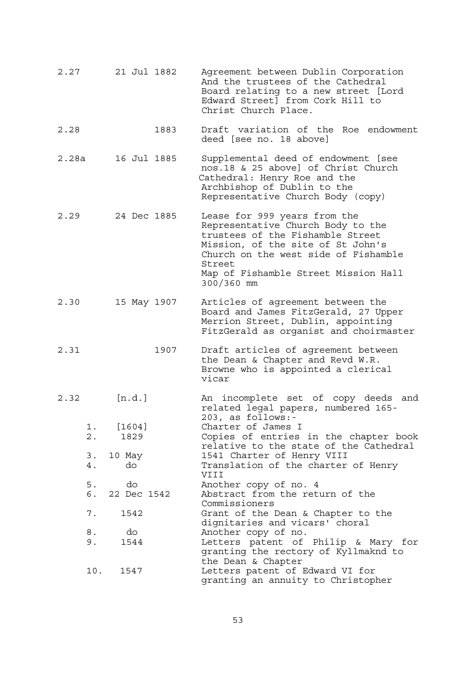| 2.27  |             | 21 Jul 1882       |      | Agreement between Dublin Corporation<br>And the trustees of the Cathedral<br>Board relating to a new street [Lord<br>Edward Street] from Cork Hill to<br>Christ Church Place.                                                                        |
|-------|-------------|-------------------|------|------------------------------------------------------------------------------------------------------------------------------------------------------------------------------------------------------------------------------------------------------|
| 2.28  |             |                   | 1883 | Draft variation of the Roe endowment<br>deed [see no. 18 above]                                                                                                                                                                                      |
| 2.28a |             | 16 Jul 1885       |      | Supplemental deed of endowment [see<br>nos.18 & 25 above] of Christ Church<br>Cathedral: Henry Roe and the<br>Archbishop of Dublin to the<br>Representative Church Body (copy)                                                                       |
| 2.29  |             | 24 Dec 1885       |      | Lease for 999 years from the<br>Representative Church Body to the<br>trustees of the Fishamble Street<br>Mission, of the site of St John's<br>Church on the west side of Fishamble<br>Street<br>Map of Fishamble Street Mission Hall<br>$300/360$ mm |
| 2.30  |             | 15 May 1907       |      | Articles of agreement between the<br>Board and James FitzGerald, 27 Upper<br>Merrion Street, Dublin, appointing<br>FitzGerald as organist and choirmaster                                                                                            |
| 2.31  |             |                   | 1907 | Draft articles of agreement between<br>the Dean & Chapter and Revd W.R.<br>Browne who is appointed a clerical<br>vicar                                                                                                                               |
| 2.32  |             | [n.d.]            |      | An incomplete set of copy deeds and<br>related legal papers, numbered 165-<br>203, as follows:-                                                                                                                                                      |
|       | $1$ .<br>2. | [1604]<br>1829    |      | Charter of James I<br>Copies of entries in the chapter book                                                                                                                                                                                          |
|       | 3.<br>4.    | 10 May<br>do      |      | relative to the state of the Cathedral<br>1541 Charter of Henry VIII<br>Translation of the charter of Henry<br>VIII                                                                                                                                  |
|       | 5.<br>б.    | do<br>22 Dec 1542 |      | Another copy of no. 4<br>Abstract from the return of the<br>Commissioners                                                                                                                                                                            |
|       | 7.          | 1542              |      | Grant of the Dean & Chapter to the<br>dignitaries and vicars' choral                                                                                                                                                                                 |
|       | 8.<br>9.    | do<br>1544        |      | Another copy of no.<br>Letters patent of Philip & Mary for<br>granting the rectory of Kyllmaknd to<br>the Dean & Chapter                                                                                                                             |
|       |             | 10. 1547          |      | Letters patent of Edward VI for<br>granting an annuity to Christopher                                                                                                                                                                                |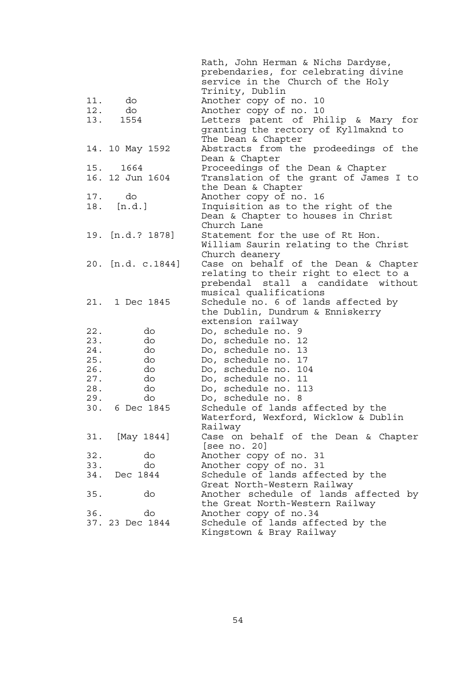|                   | Rath, John Herman & Nichs Dardyse,     |
|-------------------|----------------------------------------|
|                   | prebendaries, for celebrating divine   |
|                   | service in the Church of the Holy      |
|                   | Trinity, Dublin                        |
| 11.<br>do         | Another copy of no. 10                 |
| do<br>12.         | Another copy of no. 10                 |
| 13.<br>1554       | Letters patent of Philip & Mary for    |
|                   |                                        |
|                   | granting the rectory of Kyllmaknd to   |
|                   | The Dean & Chapter                     |
| 14. 10 May 1592   | Abstracts from the prodeedings of the  |
|                   | Dean & Chapter                         |
| 15. 1664          | Proceedings of the Dean & Chapter      |
| 16. 12 Jun 1604   | Translation of the grant of James I to |
|                   | the Dean & Chapter                     |
| 17.<br>do         | Another copy of no. 16                 |
| 18.<br>[n.d.]     | Inquisition as to the right of the     |
|                   | Dean & Chapter to houses in Christ     |
|                   | Church Lane                            |
| 19. [n.d.? 1878]  | Statement for the use of Rt Hon.       |
|                   | William Saurin relating to the Christ  |
|                   | Church deanery                         |
| 20. [n.d. c.1844] | Case on behalf of the Dean & Chapter   |
|                   | relating to their right to elect to a  |
|                   | prebendal stall a candidate without    |
|                   | musical qualifications                 |
| 21. 1 Dec 1845    |                                        |
|                   | Schedule no. 6 of lands affected by    |
|                   | the Dublin, Dundrum & Enniskerry       |
|                   | extension railway                      |
| 22.<br>do         | Do, schedule no. 9                     |
| 23.<br>do         | Do, schedule no. 12                    |
| 24.<br>do         | Do, schedule no. 13                    |
| 25.<br>do         | Do, schedule no. 17                    |
| 26.<br>do         | Do, schedule no. 104                   |
| 27.<br>do         | Do, schedule no. 11                    |
| 28.<br>do         | Do, schedule no. 113                   |
| 29.<br>do         | Do, schedule no. 8                     |
| 6 Dec 1845<br>30. | Schedule of lands affected by the      |
|                   | Waterford, Wexford, Wicklow & Dublin   |
|                   | Railway                                |
| [May 1844]<br>31. | Case on behalf of the Dean & Chapter   |
|                   | [see no. $20$ ]                        |
| 32.<br>do         | Another copy of no. 31                 |
| 33.<br>do         | Another copy of no. 31                 |
| 34.<br>Dec 1844   | Schedule of lands affected by the      |
|                   | Great North-Western Railway            |
| 35.<br>do         | Another schedule of lands affected by  |
|                   | the Great North-Western Railway        |
| 36.<br>do         | Another copy of no.34                  |
| 37. 23 Dec 1844   | Schedule of lands affected by the      |
|                   | Kingstown & Bray Railway               |
|                   |                                        |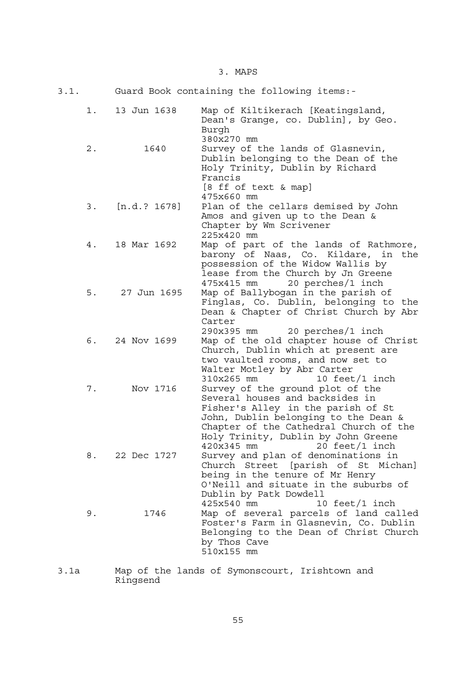3. MAPS

| 3.1.  | Guard Book containing the following items:- |                                                                                                                                                                                                                                                                     |  |  |
|-------|---------------------------------------------|---------------------------------------------------------------------------------------------------------------------------------------------------------------------------------------------------------------------------------------------------------------------|--|--|
| 1.    | 13 Jun 1638                                 | Map of Kiltikerach [Keatingsland,<br>Dean's Grange, co. Dublin], by Geo.<br>Burgh<br>380x270 mm                                                                                                                                                                     |  |  |
| $2$ . | 1640                                        | Survey of the lands of Glasnevin,<br>Dublin belonging to the Dean of the<br>Holy Trinity, Dublin by Richard<br>Francis<br>[8 ff of text & map]<br>475x660 mm                                                                                                        |  |  |
| 3.    | [n.d. ? 1678]                               | Plan of the cellars demised by John<br>Amos and given up to the Dean &<br>Chapter by Wm Scrivener<br>225x420 mm                                                                                                                                                     |  |  |
| 4.    | 18 Mar 1692                                 | Map of part of the lands of Rathmore,<br>barony of Naas, Co. Kildare, in the<br>possession of the Widow Wallis by<br>lease from the Church by Jn Greene<br>20 perches/1 inch<br>475x415 mm                                                                          |  |  |
| 5.    | 27 Jun 1695                                 | Map of Ballybogan in the parish of<br>Finglas, Co. Dublin, belonging to the<br>Dean & Chapter of Christ Church by Abr<br>Carter<br>290x395 mm 20 perches/1 inch                                                                                                     |  |  |
| 6.    | 24 Nov 1699                                 | Map of the old chapter house of Christ<br>Church, Dublin which at present are<br>two vaulted rooms, and now set to<br>Walter Motley by Abr Carter<br>310x265 mm<br>10 feet/1 inch                                                                                   |  |  |
| 7.    | Nov 1716                                    | Survey of the ground plot of the<br>Several houses and backsides in<br>Fisher's Alley in the parish of St<br>John, Dublin belonging to the Dean &<br>Chapter of the Cathedral Church of the<br>Holy Trinity, Dublin by John Greene<br>$420x345$ mm $20$ feet/1 inch |  |  |
| 8.    | 22 Dec 1727                                 | Survey and plan of denominations in<br>Church Street [parish of St Michan]<br>being in the tenure of Mr Henry<br>O'Neill and situate in the suburbs of<br>Dublin by Patk Dowdell<br>425x540 mm<br>10 feet/1 inch                                                    |  |  |
| 9.    | 1746                                        | Map of several parcels of land called<br>Foster's Farm in Glasnevin, Co. Dublin<br>Belonging to the Dean of Christ Church<br>by Thos Cave<br>510x155 mm                                                                                                             |  |  |

3.1a Map of the lands of Symonscourt, Irishtown and Ringsend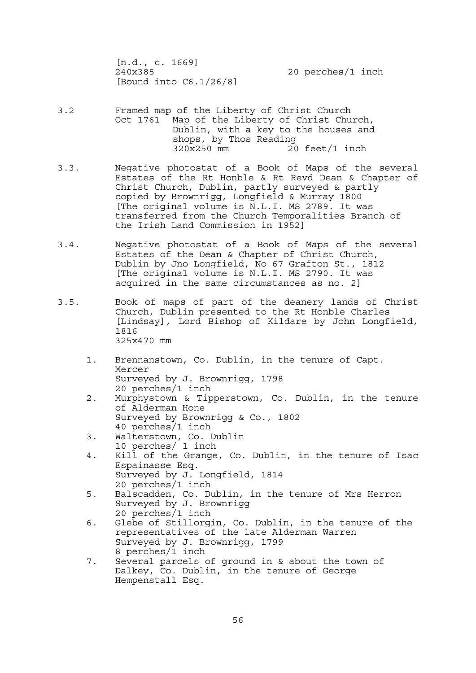[n.d., c. 1669] 240x385 20 perches/1 inch [Bound into C6.1/26/8]

3.2 Framed map of the Liberty of Christ Church Oct 1761 Map of the Liberty of Christ Church, Dublin, with a key to the houses and shops, by Thos Reading 320x250 mm 20 feet/1 inch

- 3.3. Negative photostat of a Book of Maps of the several Estates of the Rt Honble & Rt Revd Dean & Chapter of Christ Church, Dublin, partly surveyed & partly copied by Brownrigg, Longfield & Murray 1800 [The original volume is N.L.I. MS 2789. It was transferred from the Church Temporalities Branch of the Irish Land Commission in 1952]
- 3.4. Negative photostat of a Book of Maps of the several Estates of the Dean & Chapter of Christ Church, Dublin by Jno Longfield, No 67 Grafton St., 1812 [The original volume is N.L.I. MS 2790. It was acquired in the same circumstances as no. 2]
- 3.5. Book of maps of part of the deanery lands of Christ Church, Dublin presented to the Rt Honble Charles [Lindsay], Lord Bishop of Kildare by John Longfield, 1816 325x470 mm
	- 1. Brennanstown, Co. Dublin, in the tenure of Capt. Mercer Surveyed by J. Brownrigg, 1798 20 perches/1 inch
	- 2. Murphystown & Tipperstown, Co. Dublin, in the tenure of Alderman Hone Surveyed by Brownrigg & Co., 1802 40 perches/1 inch
	- 3. Walterstown, Co. Dublin 10 perches/ 1 inch
	- 4. Kill of the Grange, Co. Dublin, in the tenure of Isac Espainasse Esq. Surveyed by J. Longfield, 1814 20 perches/1 inch
	- 5. Balscadden, Co. Dublin, in the tenure of Mrs Herron Surveyed by J. Brownrigg 20 perches/1 inch
- 6. Glebe of Stillorgin, Co. Dublin, in the tenure of the representatives of the late Alderman Warren Surveyed by J. Brownrigg, 1799 8 perches/1 inch
	- 7. Several parcels of ground in & about the town of Dalkey, Co. Dublin, in the tenure of George Hempenstall Esq.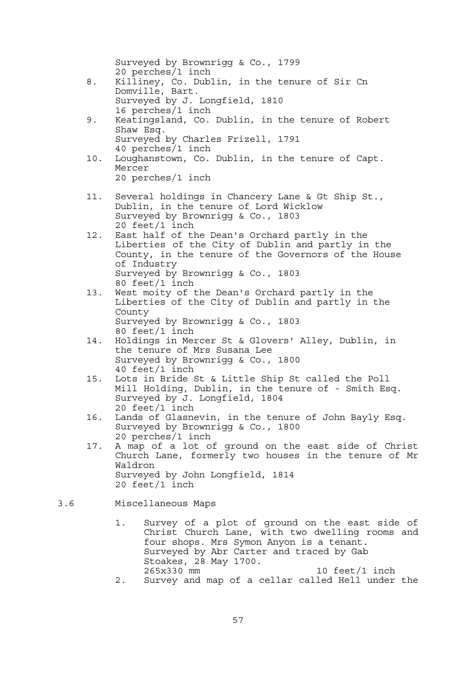|     |     | Surveyed by Brownrigg & Co., 1799<br>20 perches/1 inch                                                                                                                                                                                                   |
|-----|-----|----------------------------------------------------------------------------------------------------------------------------------------------------------------------------------------------------------------------------------------------------------|
|     | 8.  | Killiney, Co. Dublin, in the tenure of Sir Cn<br>Domville, Bart.                                                                                                                                                                                         |
|     |     | Surveyed by J. Longfield, 1810<br>16 perches/1 inch                                                                                                                                                                                                      |
|     | 9.  | Keatingsland, Co. Dublin, in the tenure of Robert<br>Shaw Esq.                                                                                                                                                                                           |
|     |     | Surveyed by Charles Frizell, 1791<br>40 perches/1 inch                                                                                                                                                                                                   |
|     | 10. | Loughanstown, Co. Dublin, in the tenure of Capt.<br>Mercer                                                                                                                                                                                               |
|     |     | 20 perches/1 inch                                                                                                                                                                                                                                        |
|     | 11. | Several holdings in Chancery Lane & Gt Ship St.,<br>Dublin, in the tenure of Lord Wicklow<br>Surveyed by Brownrigg & Co., 1803<br>20 feet/1 inch                                                                                                         |
|     | 12. | East half of the Dean's Orchard partly in the<br>Liberties of the City of Dublin and partly in the<br>County, in the tenure of the Governors of the House                                                                                                |
|     |     | of Industry<br>Surveyed by Brownrigg & Co., 1803<br>80 feet/1 inch                                                                                                                                                                                       |
|     | 13. | West moity of the Dean's Orchard partly in the<br>Liberties of the City of Dublin and partly in the<br>County                                                                                                                                            |
|     |     | Surveyed by Brownrigg & Co., 1803<br>80 feet/1 inch                                                                                                                                                                                                      |
|     | 14. | Holdings in Mercer St & Glovers' Alley, Dublin, in<br>the tenure of Mrs Susana Lee<br>Surveyed by Brownrigg & Co., 1800                                                                                                                                  |
|     | 15. | 40 feet/1 inch<br>Lots in Bride St & Little Ship St called the Poll                                                                                                                                                                                      |
|     |     | Mill Holding, Dublin, in the tenure of - Smith Esq.<br>Surveyed by J. Longfield, 1804                                                                                                                                                                    |
|     | 16. | 20 feet/1 inch<br>Lands of Glasnevin, in the tenure of John Bayly Esq.<br>Surveyed by Brownrigg & Co., 1800                                                                                                                                              |
|     | 17. | 20 perches/1 inch<br>A map of a lot of ground on the east side of Christ<br>Church Lane, formerly two houses in the tenure of Mr<br>Waldron                                                                                                              |
|     |     | Surveyed by John Longfield, 1814<br>$20 \text{ feet}/1 \text{ inch}$                                                                                                                                                                                     |
| 3.6 |     | Miscellaneous Maps                                                                                                                                                                                                                                       |
|     |     | Survey of a plot of ground on the east side of<br>1.<br>Christ Church Lane, with two dwelling rooms and<br>four shops. Mrs Symon Anyon is a tenant.<br>Surveyed by Abr Carter and traced by Gab<br>Stoakes, 28 May 1700.<br>265x330 mm<br>10 feet/1 inch |
|     |     | Survey and map of a cellar called Hell under the<br>$2$ .                                                                                                                                                                                                |

57

 $3.6$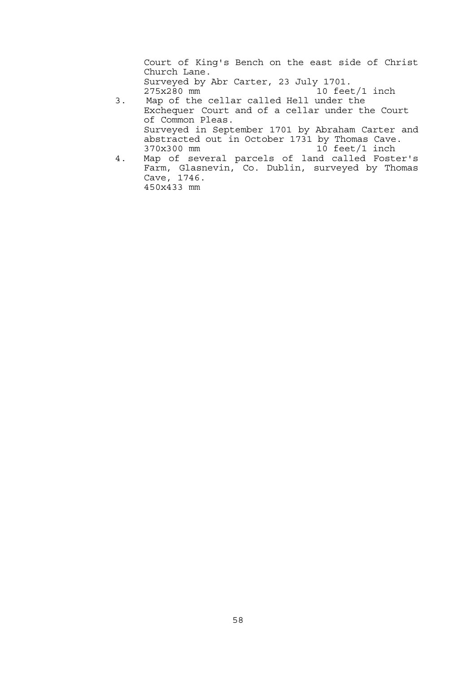Court of King's Bench on the east side of Christ Church Lane. Surveyed by Abr Carter, 23 July 1701. 10 feet/1 inch 3. Map of the cellar called Hell under the

- Exchequer Court and of a cellar under the Court of Common Pleas. Surveyed in September 1701 by Abraham Carter and abstracted out in October 1731 by Thomas Cave. 370x300 mm 10 feet/1 inch
	- 4. Map of several parcels of land called Foster's Farm, Glasnevin, Co. Dublin, surveyed by Thomas Cave, 1746. 450x433 mm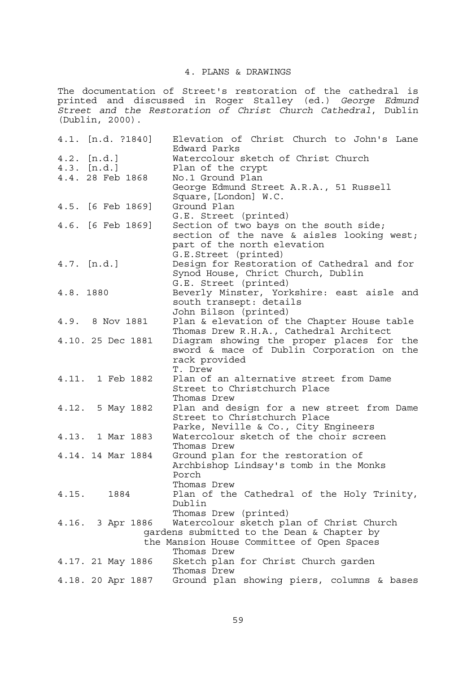## 4. PLANS & DRAWINGS

The documentation of Street's restoration of the cathedral is printed and discussed in Roger Stalley (ed.) *George Edmund Street and the Restoration of Christ Church Cathedral*, Dublin (Dublin, 2000).

| 4.1. [n.d. ?1840] |      | Elevation of Christ Church to John's Lane                                            |
|-------------------|------|--------------------------------------------------------------------------------------|
| $4.2.$ [n.d.]     |      | Edward Parks<br>Watercolour sketch of Christ Church                                  |
| 4.3. [n.d.]       |      | Plan of the crypt                                                                    |
| 4.4. 28 Feb 1868  |      | No.1 Ground Plan                                                                     |
|                   |      | George Edmund Street A.R.A., 51 Russell                                              |
|                   |      | Square, [London] W.C.                                                                |
| 4.5. [6 Feb 1869] |      | Ground Plan                                                                          |
|                   |      | G.E. Street (printed)                                                                |
| 4.6. [6 Feb 1869] |      | Section of two bays on the south side;<br>section of the nave & aisles looking west; |
|                   |      | part of the north elevation                                                          |
|                   |      | G.E.Street (printed)                                                                 |
| 4.7. [n.d.]       |      | Design for Restoration of Cathedral and for                                          |
|                   |      | Synod House, Chrict Church, Dublin                                                   |
|                   |      | G.E. Street (printed)                                                                |
| 4.8. 1880         |      | Beverly Minster, Yorkshire: east aisle and                                           |
|                   |      | south transept: details                                                              |
|                   |      | John Bilson (printed)                                                                |
| 4.9. 8 Nov 1881   |      | Plan & elevation of the Chapter House table                                          |
|                   |      | Thomas Drew R.H.A., Cathedral Architect                                              |
| 4.10. 25 Dec 1881 |      | Diagram showing the proper places for the                                            |
|                   |      | sword & mace of Dublin Corporation on the                                            |
|                   |      | rack provided<br>T. Drew                                                             |
| 4.11. 1 Feb 1882  |      | Plan of an alternative street from Dame                                              |
|                   |      | Street to Christchurch Place                                                         |
|                   |      | Thomas Drew                                                                          |
| 4.12. 5 May 1882  |      | Plan and design for a new street from Dame                                           |
|                   |      | Street to Christchurch Place                                                         |
|                   |      | Parke, Neville & Co., City Engineers                                                 |
| 4.13. 1 Mar 1883  |      | Watercolour sketch of the choir screen                                               |
|                   |      | Thomas Drew                                                                          |
| 4.14. 14 Mar 1884 |      | Ground plan for the restoration of                                                   |
|                   |      | Archbishop Lindsay's tomb in the Monks                                               |
|                   |      | Porch                                                                                |
|                   |      | Thomas Drew                                                                          |
| 4.15.             | 1884 | Plan of the Cathedral of the Holy Trinity,<br>Dublin                                 |
|                   |      | Thomas Drew (printed)                                                                |
| 4.16. 3 Apr 1886  |      | Watercolour sketch plan of Christ Church                                             |
|                   |      | gardens submitted to the Dean & Chapter by                                           |
|                   |      | the Mansion House Committee of Open Spaces                                           |
|                   |      | Thomas Drew                                                                          |
| 4.17. 21 May 1886 |      | Sketch plan for Christ Church garden                                                 |
|                   |      | Thomas Drew                                                                          |
| 4.18. 20 Apr 1887 |      | Ground plan showing piers, columns & bases                                           |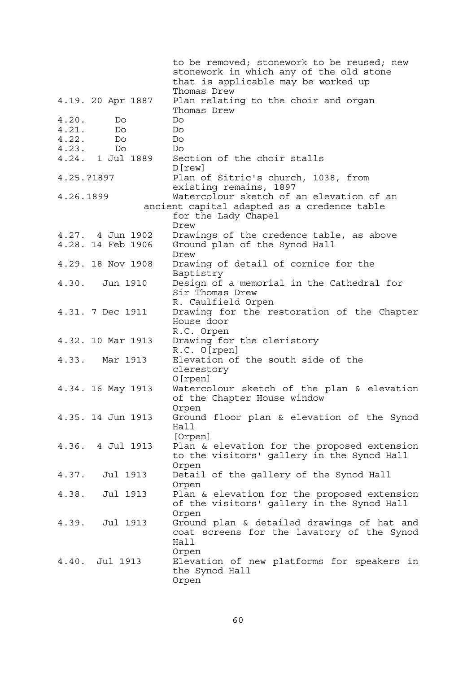|                   | to be removed; stonework to be reused; new             |
|-------------------|--------------------------------------------------------|
|                   | stonework in which any of the old stone                |
|                   | that is applicable may be worked up                    |
|                   | Thomas Drew                                            |
| 4.19. 20 Apr 1887 | Plan relating to the choir and organ<br>Thomas Drew    |
| 4.20.<br>Do.      | Do                                                     |
| 4.21.<br>Do       | Do                                                     |
| 4.22.<br>Do       | Do                                                     |
| 4.23.<br>Do       | Do                                                     |
| 4.24. 1 Jul 1889  | Section of the choir stalls                            |
|                   | D[rew]                                                 |
| 4.25.?1897        | Plan of Sitric's church, 1038, from                    |
|                   | existing remains, 1897                                 |
| 4.26.1899         | Watercolour sketch of an elevation of an               |
|                   | ancient capital adapted as a credence table            |
|                   | for the Lady Chapel<br>Drew                            |
| 4.27. 4 Jun 1902  | Drawings of the credence table, as above               |
| 4.28. 14 Feb 1906 | Ground plan of the Synod Hall                          |
|                   | Drew                                                   |
| 4.29. 18 Nov 1908 | Drawing of detail of cornice for the                   |
| 4.30. Jun 1910    | Baptistry<br>Design of a memorial in the Cathedral for |
|                   | Sir Thomas Drew                                        |
|                   | R. Caulfield Orpen                                     |
| 4.31. 7 Dec 1911  | Drawing for the restoration of the Chapter             |
|                   | House door                                             |
|                   | R.C. Orpen                                             |
| 4.32. 10 Mar 1913 | Drawing for the cleristory                             |
|                   | R.C. O[rpen]                                           |
| 4.33. Mar 1913    | Elevation of the south side of the                     |
|                   | clerestory                                             |
|                   | $O[$ rpen]                                             |
| 4.34. 16 May 1913 | Watercolour sketch of the plan & elevation             |
|                   | of the Chapter House window                            |
|                   | Orpen                                                  |
| 4.35. 14 Jun 1913 | Ground floor plan & elevation of the Synod<br>Hall     |
|                   | [Orpen]                                                |
| 4.36. 4 Jul 1913  | Plan & elevation for the proposed extension            |
|                   | to the visitors' gallery in the Synod Hall             |
|                   | Orpen                                                  |
| 4.37. Jul 1913    | Detail of the gallery of the Synod Hall                |
|                   | Orpen                                                  |
| 4.38. Jul 1913    | Plan & elevation for the proposed extension            |
|                   | of the visitors' gallery in the Synod Hall             |
|                   | Orpen                                                  |
| 4.39. Jul 1913    | Ground plan & detailed drawings of hat and             |
|                   | coat screens for the lavatory of the Synod             |
|                   | Hall                                                   |
|                   | Orpen                                                  |
| 4.40. Jul 1913    | Elevation of new platforms for speakers in             |
|                   | the Synod Hall<br>Orpen                                |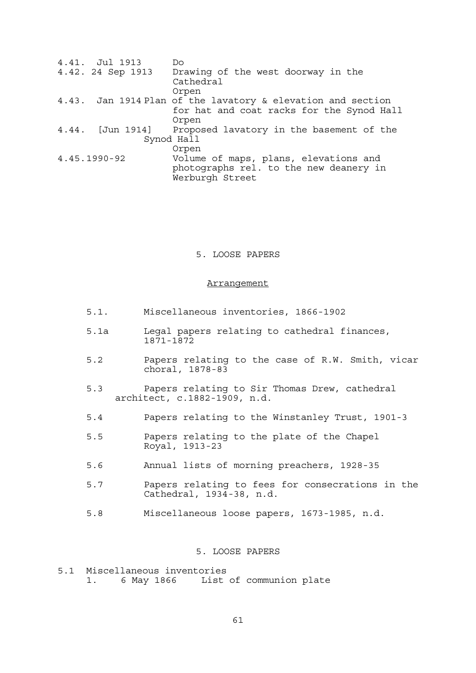| 4.41. Jul 1913    | Do                                                          |
|-------------------|-------------------------------------------------------------|
| 4.42. 24 Sep 1913 | Drawing of the west doorway in the                          |
|                   | Cathedral                                                   |
|                   | Orpen                                                       |
|                   | 4.43. Jan 1914 Plan of the lavatory & elevation and section |
|                   | for hat and coat racks for the Synod Hall                   |
|                   | Orpen                                                       |
|                   | 4.44. [Jun 1914] Proposed lavatory in the basement of the   |
|                   | Synod Hall                                                  |
|                   | Orpen                                                       |
| 4.45.1990-92      | Volume of maps, plans, elevations and                       |
|                   | photographs rel. to the new deanery in                      |
|                   | Werburgh Street                                             |

## 5. LOOSE PAPERS

#### **Arrangement**

- 5.1. Miscellaneous inventories, 1866-1902
- 5.1a Legal papers relating to cathedral finances, 1871-1872
- 5.2 Papers relating to the case of R.W. Smith, vicar choral, 1878-83
- 5.3 Papers relating to Sir Thomas Drew, cathedral architect, c.1882-1909, n.d.
- 5.4 Papers relating to the Winstanley Trust, 1901-3
- 5.5 Papers relating to the plate of the Chapel Royal, 1913-23
- 5.6 Annual lists of morning preachers, 1928-35
- 5.7 Papers relating to fees for consecrations in the Cathedral, 1934-38, n.d.
- 5.8 Miscellaneous loose papers, 1673-1985, n.d.

# 5. LOOSE PAPERS

5.1 Miscellaneous inventories 1. 6 May 1866 List of communion plate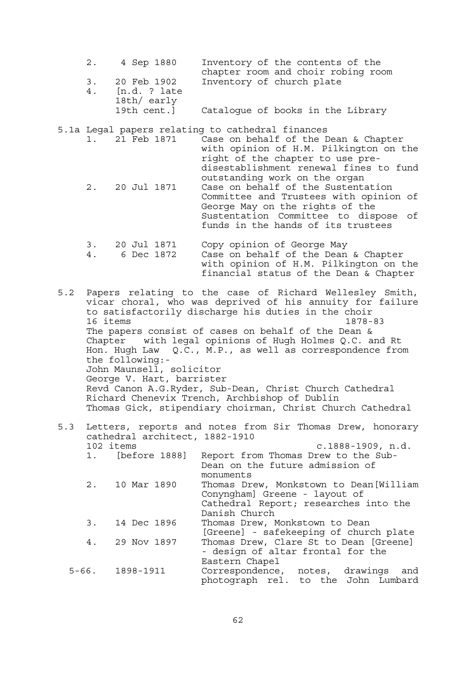|    | 2. 4 Sep 1880               | Inventory of the contents of the   |
|----|-----------------------------|------------------------------------|
|    |                             | chapter room and choir robing room |
|    | 3. 20 Feb 1902              | Inventory of church plate          |
| 4. | [n.d. ? late<br>18th/ early |                                    |
|    | 19th cent.]                 | Catalogue of books in the Library  |

5.1a Legal papers relating to cathedral finances

|  | 1. 21 Feb 1871 | Case on behalf of the Dean & Chapter<br>with opinion of H.M. Pilkington on the |
|--|----------------|--------------------------------------------------------------------------------|
|  |                | right of the chapter to use pre-                                               |
|  |                | disestablishment renewal fines to fund                                         |
|  |                | outstanding work on the organ                                                  |
|  | 2. 20 Jul 1871 | Case on behalf of the Sustentation                                             |
|  |                | Committee and Trustees with opinion of                                         |
|  |                | George May on the rights of the                                                |
|  |                | Sustentation Committee to dispose of                                           |
|  |                | funds in the hands of its trustees                                             |
|  |                |                                                                                |
|  |                | 20 Iul 1971 Copy opinion of Coorge May                                         |

### 3. 20 Jul 1871 Copy opinion of George May 4. 6 Dec 1872 Case on behalf of the Dean & Chapter with opinion of H.M. Pilkington on the financial status of the Dean & Chapter

5.2 Papers relating to the case of Richard Wellesley Smith, vicar choral, who was deprived of his annuity for failure to satisfactorily discharge his duties in the choir 16 items 1878-83 The papers consist of cases on behalf of the Dean & Chapter with legal opinions of Hugh Holmes Q.C. and Rt Hon. Hugh Law Q.C., M.P., as well as correspondence from the following:- John Maunsell, solicitor George V. Hart, barrister Revd Canon A.G.Ryder, Sub-Dean, Christ Church Cathedral Richard Chenevix Trench, Archbishop of Dublin Thomas Gick, stipendiary choirman, Christ Church Cathedral

## 5.3 Letters, reports and notes from Sir Thomas Drew, honorary cathedral architect, 1882-1910 102 items c.1888-1909, n.d. 1. [before 1888] Report from Thomas Drew to the Sub- Dean on the future admission of monuments 2. 10 Mar 1890 Thomas Drew, Monkstown to Dean[William Conyngham] Greene - layout of Cathedral Report; researches into the Danish Church 3. 14 Dec 1896 Thomas Drew, Monkstown to Dean [Greene] - safekeeping of church plate 4. 29 Nov 1897 Thomas Drew, Clare St to Dean [Greene] - design of altar frontal for the Eastern Chapel 5-66. 1898-1911 Correspondence, notes, drawings and photograph rel. to the John Lumbard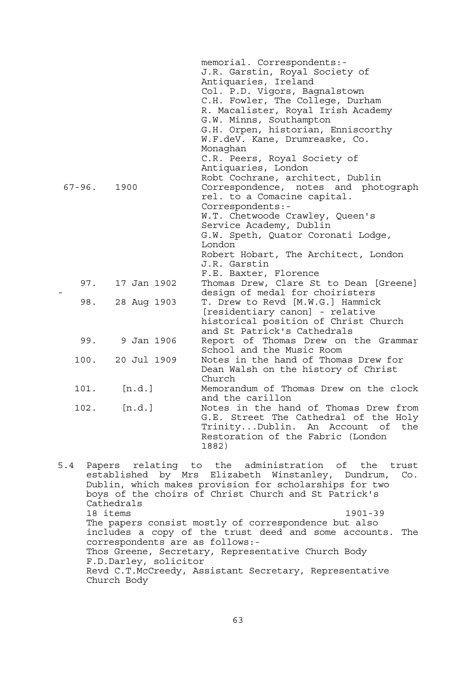|             |                | memorial. Correspondents:-             |
|-------------|----------------|----------------------------------------|
|             |                | J.R. Garstin, Royal Society of         |
|             |                | Antiquaries, Ireland                   |
|             |                | Col. P.D. Vigors, Bagnalstown          |
|             |                | C.H. Fowler, The College, Durham       |
|             |                | R. Macalister, Royal Irish Academy     |
|             |                | G.W. Minns, Southampton                |
|             |                | G.H. Orpen, historian, Enniscorthy     |
|             |                | W.F.deV. Kane, Drumreaske, Co.         |
|             |                | Monaghan                               |
|             |                | C.R. Peers, Royal Society of           |
|             |                | Antiquaries, London                    |
|             |                | Robt Cochrane, architect, Dublin       |
| $67 - 96$ . | 1900           | Correspondence, notes and photograph   |
|             |                | rel. to a Comacine capital.            |
|             |                | Correspondents:-                       |
|             |                | W.T. Chetwoode Crawley, Queen's        |
|             |                | Service Academy, Dublin                |
|             |                | G.W. Speth, Quator Coronati Lodge,     |
|             |                | London                                 |
|             |                | Robert Hobart, The Architect, London   |
|             |                | J.R. Garstin                           |
|             |                | F.E. Baxter, Florence                  |
| 97.         | 17 Jan 1902    | Thomas Drew, Clare St to Dean [Greene] |
|             |                | design of medal for choiristers        |
| 98.         | 28 Aug 1903    | T. Drew to Revd [M.W.G.] Hammick       |
|             |                | [residentiary canon] - relative        |
|             |                | historical position of Christ Church   |
|             |                | and St Patrick's Cathedrals            |
|             | 99. 9 Jan 1906 | Report of Thomas Drew on the Grammar   |
|             |                | School and the Music Room              |
| 100.        | 20 Jul 1909    | Notes in the hand of Thomas Drew for   |
|             |                | Dean Walsh on the history of Christ    |
|             |                | Church                                 |
| 101.        | [n.d.]         | Memorandum of Thomas Drew on the clock |
|             |                | and the carillon                       |
| 102.        | [n.d.]         | Notes in the hand of Thomas Drew from  |
|             |                | G.E. Street The Cathedral of the Holy  |
|             |                | TrinityDublin. An Account of<br>the    |
|             |                | Restoration of the Fabric (London      |
|             |                | 1882)                                  |
|             |                |                                        |

5.4 Papers relating to the administration of the trust established by Mrs Elizabeth Winstanley, Dundrum, Co. Dublin, which makes provision for scholarships for two boys of the choirs of Christ Church and St Patrick's Cathedrals 18 items 1901-39 The papers consist mostly of correspondence but also includes a copy of the trust deed and some accounts. The correspondents are as follows:- Thos Greene, Secretary, Representative Church Body F.D.Darley, solicitor Revd C.T.McCreedy, Assistant Secretary, Representative Church Body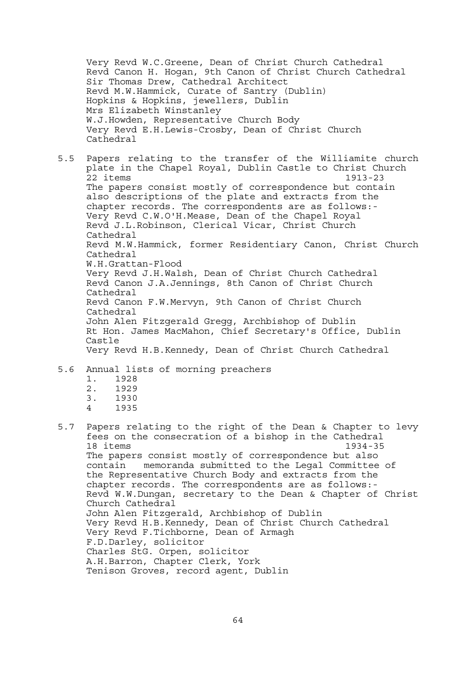Very Revd W.C.Greene, Dean of Christ Church Cathedral Revd Canon H. Hogan, 9th Canon of Christ Church Cathedral Sir Thomas Drew, Cathedral Architect Revd M.W.Hammick, Curate of Santry (Dublin) Hopkins & Hopkins, jewellers, Dublin Mrs Elizabeth Winstanley W.J.Howden, Representative Church Body Very Revd E.H.Lewis-Crosby, Dean of Christ Church Cathedral

5.5 Papers relating to the transfer of the Williamite church plate in the Chapel Royal, Dublin Castle to Christ Church 22 items 1913-23 The papers consist mostly of correspondence but contain also descriptions of the plate and extracts from the chapter records. The correspondents are as follows:- Very Revd C.W.O'H.Mease, Dean of the Chapel Royal Revd J.L.Robinson, Clerical Vicar, Christ Church Cathedral Revd M.W.Hammick, former Residentiary Canon, Christ Church Cathedral W.H.Grattan-Flood Very Revd J.H.Walsh, Dean of Christ Church Cathedral Revd Canon J.A.Jennings, 8th Canon of Christ Church Cathedral Revd Canon F.W.Mervyn, 9th Canon of Christ Church Cathedral John Alen Fitzgerald Gregg, Archbishop of Dublin Rt Hon. James MacMahon, Chief Secretary's Office, Dublin Castle Very Revd H.B.Kennedy, Dean of Christ Church Cathedral

# 5.6 Annual lists of morning preachers

- 1. 1928
- 2. 1929
- 3. 1930
- 4 1935
- 5.7 Papers relating to the right of the Dean & Chapter to levy fees on the consecration of a bishop in the Cathedral 18 items 1934-35 The papers consist mostly of correspondence but also contain memoranda submitted to the Legal Committee of the Representative Church Body and extracts from the chapter records. The correspondents are as follows:- Revd W.W.Dungan, secretary to the Dean & Chapter of Christ Church Cathedral John Alen Fitzgerald, Archbishop of Dublin Very Revd H.B.Kennedy, Dean of Christ Church Cathedral Very Revd F.Tichborne, Dean of Armagh F.D.Darley, solicitor Charles StG. Orpen, solicitor A.H.Barron, Chapter Clerk, York Tenison Groves, record agent, Dublin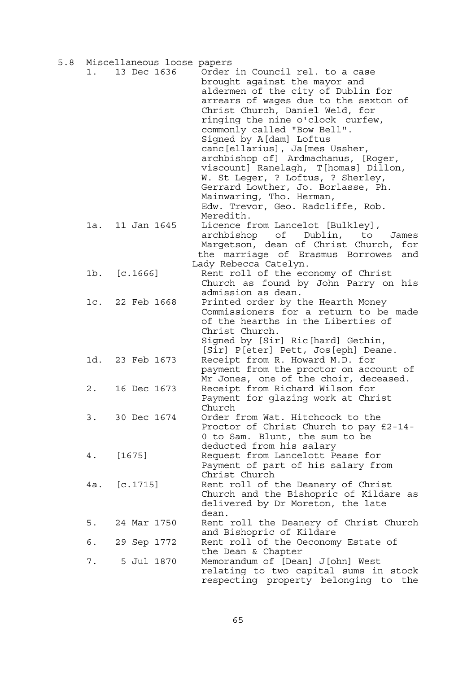| 5.8 |     | Miscellaneous loose papers |                                                                                                                                                                                                                                                                                                                                                                                                                                                                              |
|-----|-----|----------------------------|------------------------------------------------------------------------------------------------------------------------------------------------------------------------------------------------------------------------------------------------------------------------------------------------------------------------------------------------------------------------------------------------------------------------------------------------------------------------------|
|     | 1.  | 13 Dec 1636                | Order in Council rel. to a case<br>brought against the mayor and<br>aldermen of the city of Dublin for<br>arrears of wages due to the sexton of<br>Christ Church, Daniel Weld, for<br>ringing the nine o'clock curfew,<br>commonly called "Bow Bell".<br>Signed by A[dam] Loftus<br>canc[ellarius], Ja[mes Ussher,<br>archbishop of] Ardmachanus, [Roger,<br>viscount] Ranelagh, T[homas] Dillon,<br>W. St Leger, ? Loftus, ? Sherley,<br>Gerrard Lowther, Jo. Borlasse, Ph. |
|     | 1a. | 11 Jan 1645                | Mainwaring, Tho. Herman,<br>Edw. Trevor, Geo. Radcliffe, Rob.<br>Meredith.<br>Licence from Lancelot [Bulkley],                                                                                                                                                                                                                                                                                                                                                               |
|     |     |                            | archbishop of Dublin, to<br>James<br>Margetson, dean of Christ Church, for<br>the marriage of Erasmus Borrowes<br>and<br>Lady Rebecca Catelyn.                                                                                                                                                                                                                                                                                                                               |
|     |     | 1b. [c.1666]               | Rent roll of the economy of Christ<br>Church as found by John Parry on his<br>admission as dean.                                                                                                                                                                                                                                                                                                                                                                             |
|     |     | 1c. 22 Feb 1668            | Printed order by the Hearth Money<br>Commissioners for a return to be made<br>of the hearths in the Liberties of<br>Christ Church.                                                                                                                                                                                                                                                                                                                                           |
|     |     | 1d. 23 Feb 1673            | Signed by [Sir] Ric[hard] Gethin,<br>[Sir] P[eter] Pett, Jos[eph] Deane.<br>Receipt from R. Howard M.D. for                                                                                                                                                                                                                                                                                                                                                                  |
|     | 2.  | 16 Dec 1673                | payment from the proctor on account of<br>Mr Jones, one of the choir, deceased.<br>Receipt from Richard Wilson for                                                                                                                                                                                                                                                                                                                                                           |
|     |     |                            | Payment for glazing work at Christ<br>Church                                                                                                                                                                                                                                                                                                                                                                                                                                 |
|     | 3.  | 30 Dec 1674                | Order from Wat. Hitchcock to the<br>Proctor of Christ Church to pay £2-14-<br>0 to Sam. Blunt, the sum to be<br>deducted from his salary                                                                                                                                                                                                                                                                                                                                     |
|     | 4.  | [1675]                     | Request from Lancelott Pease for<br>Payment of part of his salary from<br>Christ Church                                                                                                                                                                                                                                                                                                                                                                                      |
|     |     | 4a. [c.1715]               | Rent roll of the Deanery of Christ<br>Church and the Bishopric of Kildare as<br>delivered by Dr Moreton, the late<br>dean.                                                                                                                                                                                                                                                                                                                                                   |
|     | 5.  | 24 Mar 1750                | Rent roll the Deanery of Christ Church<br>and Bishopric of Kildare                                                                                                                                                                                                                                                                                                                                                                                                           |
|     | 6.  | 29 Sep 1772                | Rent roll of the Oeconomy Estate of<br>the Dean & Chapter                                                                                                                                                                                                                                                                                                                                                                                                                    |
|     | 7.  | 5 Jul 1870                 | Memorandum of [Dean] J[ohn] West<br>relating to two capital sums in stock<br>respecting property belonging to the                                                                                                                                                                                                                                                                                                                                                            |

 $\sim$  65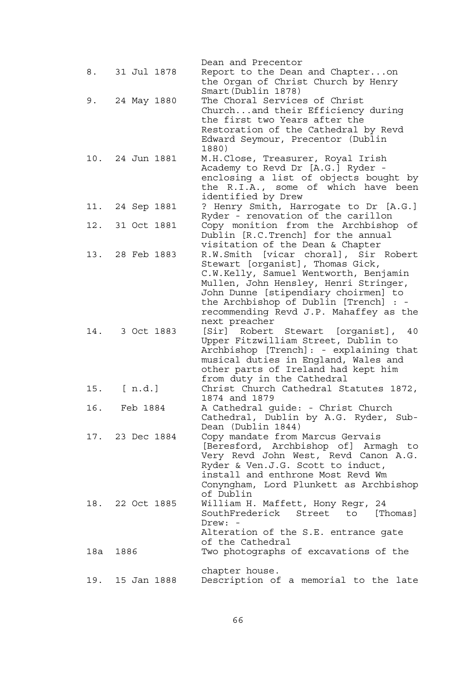|     |                 | Dean and Precentor                                                           |
|-----|-----------------|------------------------------------------------------------------------------|
|     | 8. 31 Jul 1878  | Report to the Dean and Chapteron                                             |
|     |                 | the Organ of Christ Church by Henry                                          |
|     |                 | Smart (Dublin 1878)                                                          |
| 9.  | 24 May 1880     | The Choral Services of Christ                                                |
|     |                 | Churchand their Efficiency during                                            |
|     |                 | the first two Years after the                                                |
|     |                 | Restoration of the Cathedral by Revd                                         |
|     |                 | Edward Seymour, Precentor (Dublin                                            |
|     |                 | 1880)                                                                        |
|     | 10. 24 Jun 1881 | M.H.Close, Treasurer, Royal Irish                                            |
|     |                 | Academy to Revd Dr [A.G.] Ryder -                                            |
|     |                 | enclosing a list of objects bought by                                        |
|     |                 | the R.I.A., some of which have been                                          |
|     |                 | identified by Drew                                                           |
|     | 11. 24 Sep 1881 | ? Henry Smith, Harrogate to Dr [A.G.]                                        |
|     |                 | Ryder - renovation of the carillon                                           |
|     | 12. 31 Oct 1881 | Copy monition from the Archbishop<br>of.                                     |
|     |                 | Dublin [R.C.Trench] for the annual                                           |
|     |                 | visitation of the Dean & Chapter                                             |
|     | 13. 28 Feb 1883 | R.W.Smith [vicar choral], Sir Robert                                         |
|     |                 | Stewart [organist], Thomas Gick,                                             |
|     |                 | C.W.Kelly, Samuel Wentworth, Benjamin                                        |
|     |                 | Mullen, John Hensley, Henri Stringer,                                        |
|     |                 | John Dunne [stipendiary choirmen] to                                         |
|     |                 | the Archbishop of Dublin [Trench] : -                                        |
|     |                 | recommending Revd J.P. Mahaffey as the                                       |
|     |                 | next preacher                                                                |
| 14. | 3 Oct 1883      | [Sir] Robert Stewart [organist],<br>40                                       |
|     |                 | Upper Fitzwilliam Street, Dublin to                                          |
|     |                 | Archbishop [Trench]: - explaining that                                       |
|     |                 | musical duties in England, Wales and                                         |
|     |                 | other parts of Ireland had kept him                                          |
|     |                 | from duty in the Cathedral                                                   |
| 15. | [ n.d.]         | Christ Church Cathedral Statutes 1872,                                       |
|     |                 | 1874 and 1879                                                                |
| 16. | Feb 1884        | A Cathedral guide: - Christ Church                                           |
|     |                 | Cathedral, Dublin by A.G. Ryder, Sub-                                        |
|     |                 |                                                                              |
|     |                 |                                                                              |
|     | 17. 23 Dec 1884 | Dean (Dublin 1844)                                                           |
|     |                 | Copy mandate from Marcus Gervais                                             |
|     |                 | [Beresford, Archbishop of] Armagh to                                         |
|     |                 | Very Revd John West, Revd Canon A.G.                                         |
|     |                 | Ryder & Ven.J.G. Scott to induct,<br>install and enthrone Most Revd Wm       |
|     |                 |                                                                              |
|     |                 | Conyngham, Lord Plunkett as Archbishop<br>of Dublin                          |
|     | 18. 22 Oct 1885 |                                                                              |
|     |                 | William H. Maffett, Hony Regr, 24<br>SouthFrederick Street<br>[Thomas]<br>to |
|     |                 | Drew: -                                                                      |
|     |                 | Alteration of the S.E. entrance gate                                         |
|     |                 | of the Cathedral                                                             |
| 18a | 1886            | Two photographs of excavations of the                                        |
|     |                 |                                                                              |
| 19. | 15 Jan 1888     | chapter house.<br>Description of a memorial to the late                      |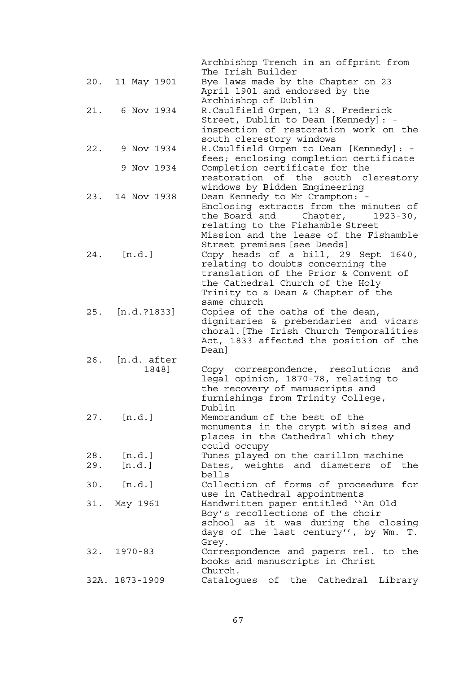|     |                | Archbishop Trench in an offprint from                                       |
|-----|----------------|-----------------------------------------------------------------------------|
|     |                | The Irish Builder                                                           |
| 20. | 11 May 1901    | Bye laws made by the Chapter on 23                                          |
|     |                | April 1901 and endorsed by the                                              |
|     | 6 Nov 1934     | Archbishop of Dublin                                                        |
| 21. |                | R.Caulfield Orpen, 13 S. Frederick                                          |
|     |                | Street, Dublin to Dean [Kennedy]: -                                         |
|     |                | inspection of restoration work on the<br>south clerestory windows           |
| 22. | 9 Nov 1934     | R.Caulfield Orpen to Dean [Kennedy]: -                                      |
|     |                | fees; enclosing completion certificate                                      |
|     | 9 Nov 1934     | Completion certificate for the                                              |
|     |                | restoration of the south clerestory                                         |
|     |                | windows by Bidden Engineering                                               |
| 23. | 14 Nov 1938    | Dean Kennedy to Mr Crampton: -                                              |
|     |                | Enclosing extracts from the minutes of                                      |
|     |                | the Board and<br>Chapter,<br>$1923 - 30,$                                   |
|     |                | relating to the Fishamble Street                                            |
|     |                | Mission and the lease of the Fishamble                                      |
|     |                | Street premises [see Deeds]                                                 |
| 24. | [n.d.]         | Copy heads of a bill, 29 Sept 1640,                                         |
|     |                | relating to doubts concerning the                                           |
|     |                | translation of the Prior & Convent of                                       |
|     |                | the Cathedral Church of the Holy                                            |
|     |                | Trinity to a Dean & Chapter of the                                          |
|     |                | same church                                                                 |
| 25. | [n.d. ?1833]   | Copies of the oaths of the dean,                                            |
|     |                | dignitaries & prebendaries and vicars                                       |
|     |                | choral. [The Irish Church Temporalities                                     |
|     |                | Act, 1833 affected the position of the                                      |
| 26. | [n.d. after    | Dean]                                                                       |
|     | 1848]          | Copy correspondence, resolutions<br>and                                     |
|     |                | legal opinion, 1870-78, relating to                                         |
|     |                | the recovery of manuscripts and                                             |
|     |                | furnishings from Trinity College,                                           |
|     |                | Dublin                                                                      |
| 27. | [n.d.]         | Memorandum of the best of the                                               |
|     |                | monuments in the crypt with sizes and                                       |
|     |                | places in the Cathedral which they                                          |
|     |                | could occupy                                                                |
| 28. | [n.d.]         | Tunes played on the carillon machine                                        |
| 29. | [n.d.]         | Dates, weights and diameters of the                                         |
|     |                | bells                                                                       |
| 30. | [n.d.]         | Collection of forms of proceedure for                                       |
|     |                | use in Cathedral appointments                                               |
| 31. | May 1961       | Handwritten paper entitled "An Old                                          |
|     |                | Boy's recollections of the choir                                            |
|     |                | school as it was during the closing<br>days of the last century", by Wm. T. |
|     |                | Grey.                                                                       |
| 32. | $1970 - 83$    | Correspondence and papers rel. to the                                       |
|     |                | books and manuscripts in Christ                                             |
|     |                | Church.                                                                     |
|     | 32A. 1873-1909 | Catalogues of the Cathedral Library                                         |
|     |                |                                                                             |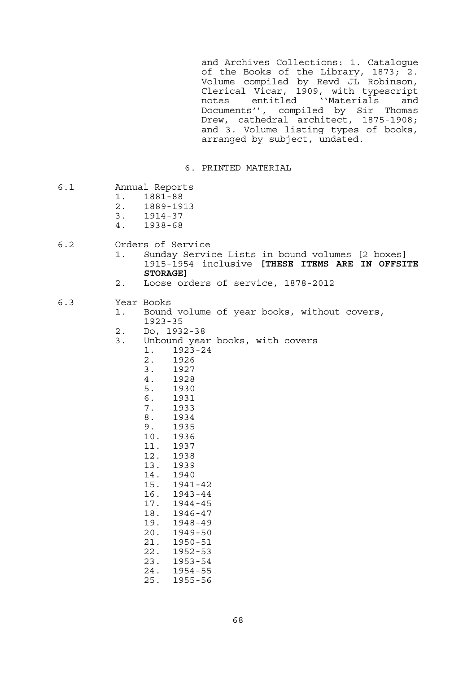and Archives Collections: 1. Catalogue of the Books of the Library, 1873; 2. Volume compiled by Revd JL Robinson, Clerical Vicar, 1909, with typescript notes entitled ''Materials and Documents'', compiled by Sir Thomas Drew, cathedral architect, 1875-1908; and 3. Volume listing types of books, arranged by subject, undated.

6. PRINTED MATERIAL

- 6.1 Annual Reports
	- 1. 1881-88
	- 2. 1889-1913
	- 3. 1914-37
	- 4. 1938-68
- 6.2 Orders of Service
	- 1. Sunday Service Lists in bound volumes [2 boxes] 1915-1954 inclusive **[THESE ITEMS ARE IN OFFSITE STORAGE]**
	- 2. Loose orders of service, 1878-2012

### 6.3 Year Books

- 1. Bound volume of year books, without covers, 1923-35
- 2. Do, 1932-38
- 3. Unbound year books, with covers
	- 1. 1923-24<br>2. 1926
		- 2. 1926
	- 3. 1927
	-
	- 4. 1928<br>5. 1930
	- 5. 1930
	- 6. 1931 7. 1933
	- 8. 1934
	- 9. 1935
	- 10. 1936 11. 1937

 12. 1938 13. 1939 14. 1940 15. 1941-42

 21. 1950-51 22. 1952-53

- 16. 1943-44 17. 1944-45 18. 1946-47 19. 1948-49 20. 1949-50
- 23. 1953-54 24. 1954-55 25. 1955-56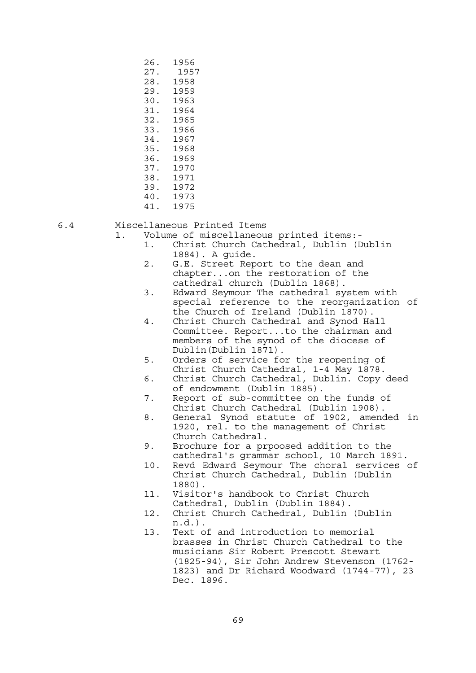26. 1956 27. 1957 28. 1958 29. 1959 30. 1963 31. 1964<br>32. 1965 32. 1965 33. 1966 34. 1967 35. 1968 36. 1969 37. 1970 38. 1971 39. 1972 40. 1973 41. 1975

#### 6.4 Miscellaneous Printed Items

1. Volume of miscellaneous printed items:-

- 1. Christ Church Cathedral, Dublin (Dublin 1884). A guide.
- 2. G.E. Street Report to the dean and chapter...on the restoration of the cathedral church (Dublin 1868).
- 3. Edward Seymour The cathedral system with special reference to the reorganization of the Church of Ireland (Dublin 1870).
- 4. Christ Church Cathedral and Synod Hall Committee. Report...to the chairman and members of the synod of the diocese of Dublin(Dublin 1871).<br>5. Orders of service fo
- Orders of service for the reopening of Christ Church Cathedral, 1-4 May 1878.
- 6. Christ Church Cathedral, Dublin. Copy deed of endowment (Dublin 1885).
- 7. Report of sub-committee on the funds of Christ Church Cathedral (Dublin 1908).
- 8. General Synod statute of 1902, amended in 1920, rel. to the management of Christ Church Cathedral.
- 9. Brochure for a prpoosed addition to the cathedral's grammar school, 10 March 1891.
- 10. Revd Edward Seymour The choral services of Christ Church Cathedral, Dublin (Dublin 1880).
- 11. Visitor's handbook to Christ Church Cathedral, Dublin (Dublin 1884).
- 12. Christ Church Cathedral, Dublin (Dublin n.d.).
- 13. Text of and introduction to memorial brasses in Christ Church Cathedral to the musicians Sir Robert Prescott Stewart (1825-94), Sir John Andrew Stevenson (1762- 1823) and Dr Richard Woodward (1744-77), 23 Dec. 1896.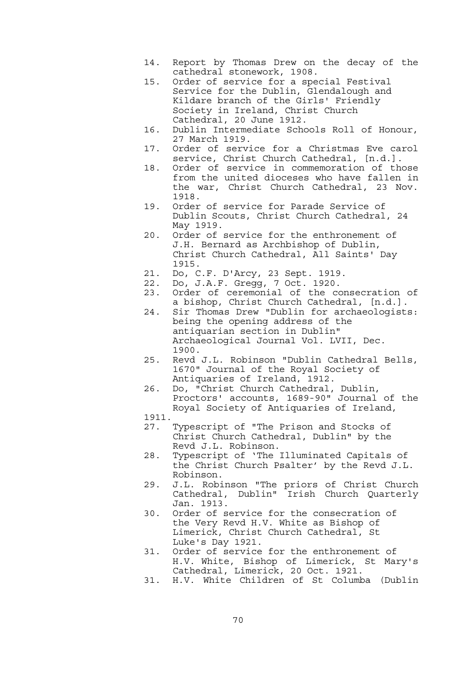- 14. Report by Thomas Drew on the decay of the cathedral stonework, 1908.
- 15. Order of service for a special Festival Service for the Dublin, Glendalough and Kildare branch of the Girls' Friendly Society in Ireland, Christ Church Cathedral, 20 June 1912.
- 16. Dublin Intermediate Schools Roll of Honour, 27 March 1919.
- 17. Order of service for a Christmas Eve carol service, Christ Church Cathedral, [n.d.].
- 18. Order of service in commemoration of those from the united dioceses who have fallen in the war, Christ Church Cathedral, 23 Nov. 1918.
- 19. Order of service for Parade Service of Dublin Scouts, Christ Church Cathedral, 24 May 1919.
- 20. Order of service for the enthronement of J.H. Bernard as Archbishop of Dublin, Christ Church Cathedral, All Saints' Day 1915.
- 21. Do, C.F. D'Arcy, 23 Sept. 1919.
- 22. Do, J.A.F. Gregg, 7 Oct. 1920.
- 23. Order of ceremonial of the consecration of a bishop, Christ Church Cathedral, [n.d.].
- 24. Sir Thomas Drew "Dublin for archaeologists: being the opening address of the antiquarian section in Dublin" Archaeological Journal Vol. LVII, Dec. 1900.
- 25. Revd J.L. Robinson "Dublin Cathedral Bells, 1670" Journal of the Royal Society of Antiquaries of Ireland, 1912.
- 26. Do, "Christ Church Cathedral, Dublin, Proctors' accounts, 1689-90" Journal of the Royal Society of Antiquaries of Ireland,
- 1911.
- 27. Typescript of "The Prison and Stocks of Christ Church Cathedral, Dublin" by the Revd J.L. Robinson.
- 28. Typescript of 'The Illuminated Capitals of the Christ Church Psalter' by the Revd J.L. Robinson.
- 29. J.L. Robinson "The priors of Christ Church Cathedral, Dublin" Irish Church Quarterly Jan. 1913.
- 30. Order of service for the consecration of the Very Revd H.V. White as Bishop of Limerick, Christ Church Cathedral, St Luke's Day 1921.
- 31. Order of service for the enthronement of H.V. White, Bishop of Limerick, St Mary's Cathedral, Limerick, 20 Oct. 1921.
- 31. H.V. White Children of St Columba (Dublin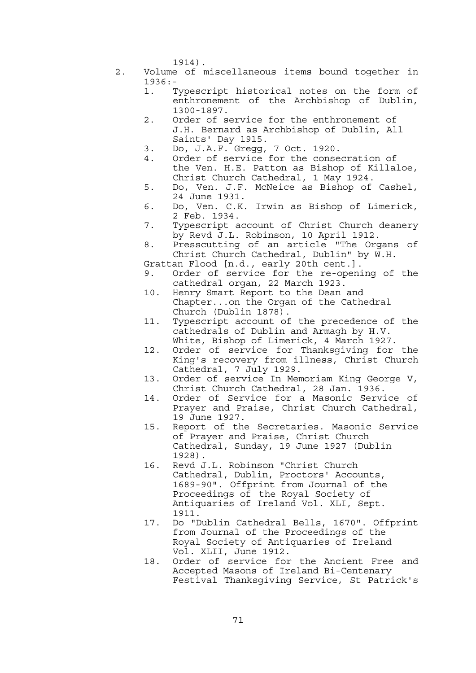1914).

- 2. Volume of miscellaneous items bound together in 1936:-
	- 1. Typescript historical notes on the form of enthronement of the Archbishop of Dublin, 1300-1897.
	- 2. Order of service for the enthronement of J.H. Bernard as Archbishop of Dublin, All Saints' Day 1915.
	- 3. Do, J.A.F. Gregg, 7 Oct. 1920.
	- 4. Order of service for the consecration of the Ven. H.E. Patton as Bishop of Killaloe, Christ Church Cathedral, 1 May 1924.
	- 5. Do, Ven. J.F. McNeice as Bishop of Cashel, 24 June 1931.
	- 6. Do, Ven. C.K. Irwin as Bishop of Limerick, 2 Feb. 1934.
	- 7. Typescript account of Christ Church deanery by Revd J.L. Robinson, 10 April 1912.
	- 8. Presscutting of an article "The Organs of Christ Church Cathedral, Dublin" by W.H.
	- Grattan Flood [n.d., early 20th cent.].
	- 9. Order of service for the re-opening of the cathedral organ, 22 March 1923.
	- 10. Henry Smart Report to the Dean and Chapter...on the Organ of the Cathedral Church (Dublin 1878).
	- 11. Typescript account of the precedence of the cathedrals of Dublin and Armagh by H.V. White, Bishop of Limerick, 4 March 1927.
	- 12. Order of service for Thanksgiving for the King's recovery from illness, Christ Church Cathedral, 7 July 1929.
	- 13. Order of service In Memoriam King George V, Christ Church Cathedral, 28 Jan. 1936.
	- 14. Order of Service for a Masonic Service of Prayer and Praise, Christ Church Cathedral, 19 June 1927.
	- 15. Report of the Secretaries. Masonic Service of Prayer and Praise, Christ Church Cathedral, Sunday, 19 June 1927 (Dublin 1928).
	- 16. Revd J.L. Robinson "Christ Church Cathedral, Dublin, Proctors' Accounts, 1689-90". Offprint from Journal of the Proceedings of the Royal Society of Antiquaries of Ireland Vol. XLI, Sept. 1911.
	- 17. Do "Dublin Cathedral Bells, 1670". Offprint from Journal of the Proceedings of the Royal Society of Antiquaries of Ireland Vol. XLII, June 1912.
	- 18. Order of service for the Ancient Free and Accepted Masons of Ireland Bi-Centenary Festival Thanksgiving Service, St Patrick's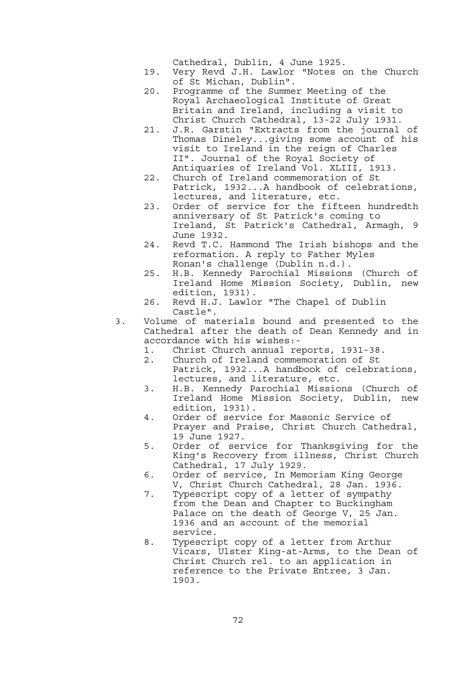Cathedral, Dublin, 4 June 1925.

- 19. Very Revd J.H. Lawlor "Notes on the Church of St Michan, Dublin".
- 20. Programme of the Summer Meeting of the Royal Archaeological Institute of Great Britain and Ireland, including a visit to Christ Church Cathedral, 13-22 July 1931.
- 21. J.R. Garstin "Extracts from the journal of Thomas Dineley...giving some account of his visit to Ireland in the reign of Charles II". Journal of the Royal Society of Antiquaries of Ireland Vol. XLIII, 1913.
- 22. Church of Ireland commemoration of St Patrick, 1932...A handbook of celebrations, lectures, and literature, etc.
- 23. Order of service for the fifteen hundredth anniversary of St Patrick's coming to Ireland, St Patrick's Cathedral, Armagh, 9 June 1932.
	- 24. Revd T.C. Hammond The Irish bishops and the reformation. A reply to Father Myles Ronan's challenge (Dublin n.d.).
	- 25. H.B. Kennedy Parochial Missions (Church of Ireland Home Mission Society, Dublin, new edition, 1931).
	- 26. Revd H.J. Lawlor "The Chapel of Dublin Castle".
	- 3. Volume of materials bound and presented to the Cathedral after the death of Dean Kennedy and in accordance with his wishes:-
		- 1. Christ Church annual reports, 1931-38.
		- 2. Church of Ireland commemoration of St Patrick, 1932...A handbook of celebrations, lectures, and literature, etc.
- 3. H.B. Kennedy Parochial Missions (Church of Ireland Home Mission Society, Dublin, new edition, 1931).
- 4. Order of service for Masonic Service of Prayer and Praise, Christ Church Cathedral, 19 June 1927.
	- 5. Order of service for Thanksgiving for the King's Recovery from illness, Christ Church Cathedral, 17 July 1929.
	- 6. Order of service, In Memoriam King George V, Christ Church Cathedral, 28 Jan. 1936.
	- 7. Typescript copy of a letter of sympathy from the Dean and Chapter to Buckingham Palace on the death of George V, 25 Jan. 1936 and an account of the memorial service.
	- 8. Typescript copy of a letter from Arthur Vicars, Ulster King-at-Arms, to the Dean of Christ Church rel. to an application in reference to the Private Entree, 3 Jan. 1903.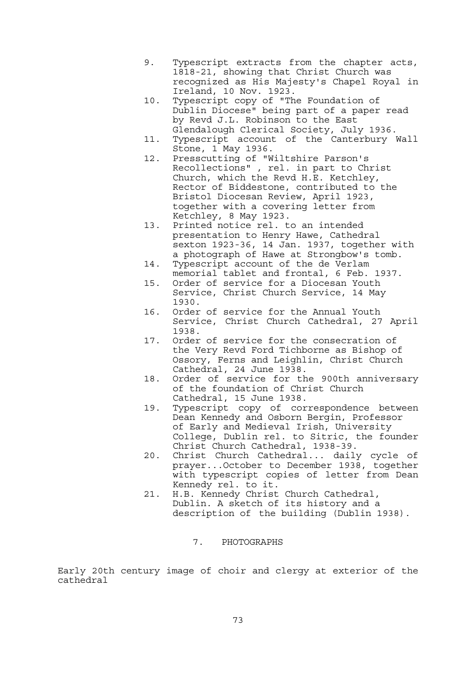- 9. Typescript extracts from the chapter acts, 1818-21, showing that Christ Church was recognized as His Majesty's Chapel Royal in Ireland, 10 Nov. 1923.
- 10. Typescript copy of "The Foundation of Dublin Diocese" being part of a paper read by Revd J.L. Robinson to the East Glendalough Clerical Society, July 1936.
- 11. Typescript account of the Canterbury Wall Stone, 1 May 1936.
- 12. Presscutting of "Wiltshire Parson's Recollections" , rel. in part to Christ Church, which the Revd H.E. Ketchley, Rector of Biddestone, contributed to the Bristol Diocesan Review, April 1923, together with a covering letter from Ketchley, 8 May 1923.
- 13. Printed notice rel. to an intended presentation to Henry Hawe, Cathedral sexton 1923-36, 14 Jan. 1937, together with a photograph of Hawe at Strongbow's tomb.
- 14. Typescript account of the de Verlam memorial tablet and frontal, 6 Feb. 1937.
- 15. Order of service for a Diocesan Youth Service, Christ Church Service, 14 May 1930.
- 16. Order of service for the Annual Youth Service, Christ Church Cathedral, 27 April 1938.
- 17. Order of service for the consecration of the Very Revd Ford Tichborne as Bishop of Ossory, Ferns and Leighlin, Christ Church Cathedral, 24 June 1938.
- 18. Order of service for the 900th anniversary of the foundation of Christ Church Cathedral, 15 June 1938.
- 19. Typescript copy of correspondence between Dean Kennedy and Osborn Bergin, Professor of Early and Medieval Irish, University College, Dublin rel. to Sitric, the founder Christ Church Cathedral, 1938-39.
	- 20. Christ Church Cathedral... daily cycle of prayer...October to December 1938, together with typescript copies of letter from Dean Kennedy rel. to it.
	- 21. H.B. Kennedy Christ Church Cathedral, Dublin. A sketch of its history and a description of the building (Dublin 1938).
		- 7. PHOTOGRAPHS

Early 20th century image of choir and clergy at exterior of the cathedral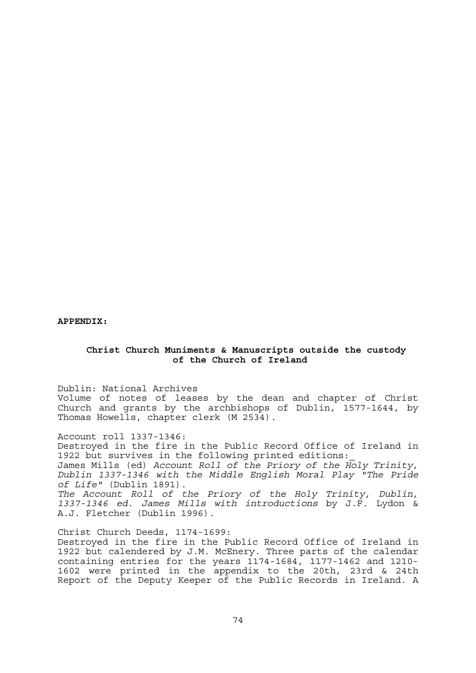**APPENDIX:** 

## **Christ Church Muniments & Manuscripts outside the custody of the Church of Ireland**

Dublin: National Archives

Volume of notes of leases by the dean and chapter of Christ Church and grants by the archbishops of Dublin, 1577-1644, by Thomas Howells, chapter clerk (M 2534).

Account roll 1337-1346:

Destroyed in the fire in the Public Record Office of Ireland in 1922 but survives in the following printed editions:\_ James Mills (ed) *Account Roll of the Priory of the Holy Trinity, Dublin 1337-1346 with the Middle English Moral Play "The Pride of Life"* (Dublin 1891). *The Account Roll of the Priory of the Holy Trinity, Dublin,* 

*1337-1346 ed. James Mills with introductions* by J.F. Lydon & A.J. Fletcher (Dublin 1996).

Christ Church Deeds, 1174-1699:

Destroyed in the fire in the Public Record Office of Ireland in 1922 but calendered by J.M. McEnery. Three parts of the calendar containing entries for the years 1174-1684, 1177-1462 and 1210- 1602 were printed in the appendix to the 20th, 23rd & 24th Report of the Deputy Keeper of the Public Records in Ireland. A